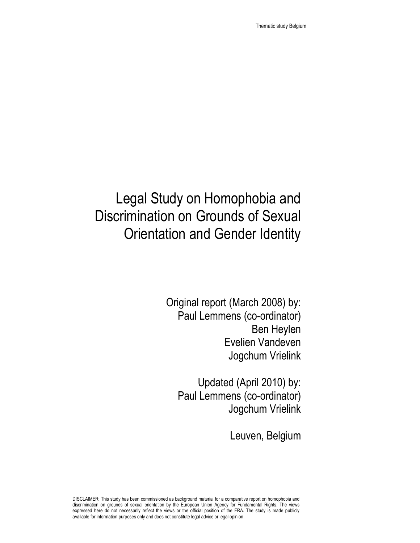# Legal Study on Homophobia and Discrimination on Grounds of Sexual Orientation and Gender Identity

Original report (March 2008) by: Paul Lemmens (co-ordinator) Ben Heylen Evelien Vandeven Jogchum Vrielink

Updated (April 2010) by: Paul Lemmens (co-ordinator) Jogchum Vrielink

Leuven, Belgium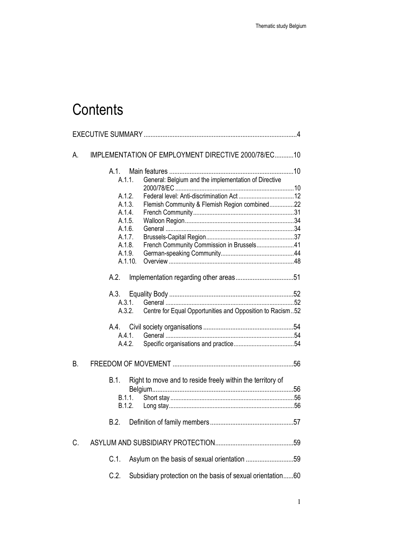# **Contents**

| А.        | IMPLEMENTATION OF EMPLOYMENT DIRECTIVE 2000/78/EC10                    |  |  |
|-----------|------------------------------------------------------------------------|--|--|
|           | A.1.<br>General: Belgium and the implementation of Directive<br>A.1.1. |  |  |
|           |                                                                        |  |  |
|           | A.1.2.                                                                 |  |  |
|           | Flemish Community & Flemish Region combined22<br>A.1.3.                |  |  |
|           | A.1.4.                                                                 |  |  |
|           | A.1.5.<br>A.1.6.                                                       |  |  |
|           | A.1.7.                                                                 |  |  |
|           | French Community Commission in Brussels41<br>A.1.8.                    |  |  |
|           | A.1.9.                                                                 |  |  |
|           | A.1.10.                                                                |  |  |
|           | A.2.                                                                   |  |  |
|           | A.3.                                                                   |  |  |
|           | A.3.1.                                                                 |  |  |
|           | Centre for Equal Opportunities and Opposition to Racism52<br>A.3.2.    |  |  |
|           | A.4.                                                                   |  |  |
|           | A.4.1.                                                                 |  |  |
|           | A.4.2.                                                                 |  |  |
| <b>B.</b> |                                                                        |  |  |
|           | B.1.<br>Right to move and to reside freely within the territory of     |  |  |
|           |                                                                        |  |  |
|           | B.1.1.                                                                 |  |  |
|           | B.1.2.                                                                 |  |  |
|           | B.2.                                                                   |  |  |
| C.        |                                                                        |  |  |
|           | Asylum on the basis of sexual orientation 59<br>C.1.                   |  |  |
|           | C.2.<br>Subsidiary protection on the basis of sexual orientation60     |  |  |
|           |                                                                        |  |  |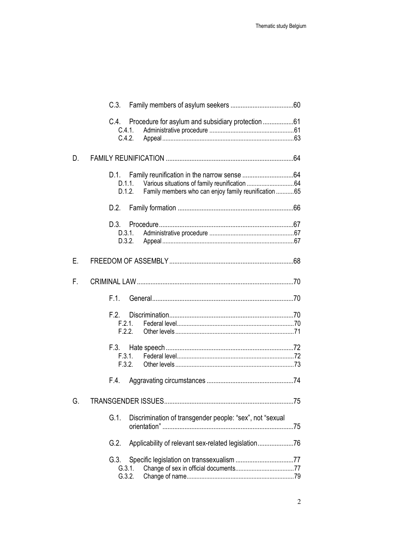|    | C.4. Procedure for asylum and subsidiary protection 61<br>C.4.1.<br>C.4.2. |  |  |  |
|----|----------------------------------------------------------------------------|--|--|--|
| D. |                                                                            |  |  |  |
|    | D.1.1.<br>Family members who can enjoy family reunification  65<br>D.1.2.  |  |  |  |
|    | D.2.                                                                       |  |  |  |
|    | D.3.1.<br>D.3.2.                                                           |  |  |  |
| Ε. |                                                                            |  |  |  |
| F. |                                                                            |  |  |  |
|    | F.1.                                                                       |  |  |  |
|    | F.2.<br>F.2.1.<br>F.2.2.                                                   |  |  |  |
|    | F.3.2.                                                                     |  |  |  |
|    | F.4.                                                                       |  |  |  |
| G. |                                                                            |  |  |  |
|    | Discrimination of transgender people: "sex", not "sexual<br>$G.1$ .        |  |  |  |
|    | G.2.                                                                       |  |  |  |
|    | G.3.<br>G.3.1.<br>G.3.2.                                                   |  |  |  |
|    |                                                                            |  |  |  |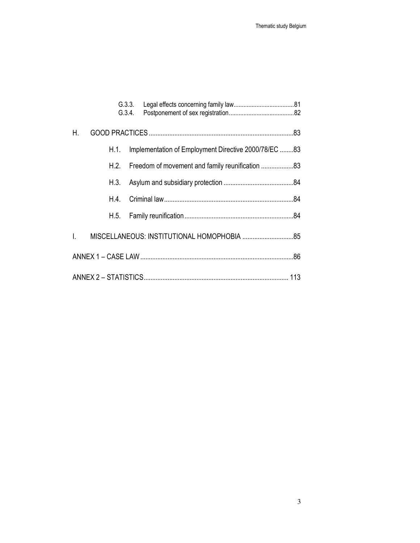|    |      | G.3.3.<br>G.3.4.                                     |  |  |  |
|----|------|------------------------------------------------------|--|--|--|
| Η. |      |                                                      |  |  |  |
|    | H.1. | Implementation of Employment Directive 2000/78/EC 83 |  |  |  |
|    | H.2. |                                                      |  |  |  |
|    | H.3. |                                                      |  |  |  |
|    | H 4  |                                                      |  |  |  |
|    | H.5. |                                                      |  |  |  |
| I. |      |                                                      |  |  |  |
|    |      |                                                      |  |  |  |
|    |      |                                                      |  |  |  |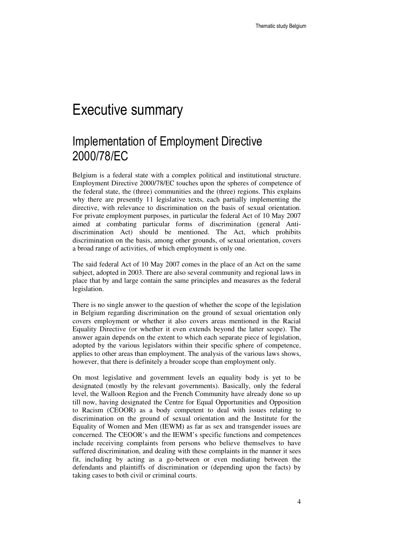# Executive summary

# Implementation of Employment Directive 2000/78/EC

Belgium is a federal state with a complex political and institutional structure. Employment Directive 2000/78/EC touches upon the spheres of competence of the federal state, the (three) communities and the (three) regions. This explains why there are presently 11 legislative texts, each partially implementing the directive, with relevance to discrimination on the basis of sexual orientation. For private employment purposes, in particular the federal Act of 10 May 2007 aimed at combating particular forms of discrimination (general Antidiscrimination Act) should be mentioned. The Act, which prohibits discrimination on the basis, among other grounds, of sexual orientation, covers a broad range of activities, of which employment is only one.

The said federal Act of 10 May 2007 comes in the place of an Act on the same subject, adopted in 2003. There are also several community and regional laws in place that by and large contain the same principles and measures as the federal legislation.

There is no single answer to the question of whether the scope of the legislation in Belgium regarding discrimination on the ground of sexual orientation only covers employment or whether it also covers areas mentioned in the Racial Equality Directive (or whether it even extends beyond the latter scope). The answer again depends on the extent to which each separate piece of legislation, adopted by the various legislators within their specific sphere of competence, applies to other areas than employment. The analysis of the various laws shows, however, that there is definitely a broader scope than employment only.

On most legislative and government levels an equality body is yet to be designated (mostly by the relevant governments). Basically, only the federal level, the Walloon Region and the French Community have already done so up till now, having designated the Centre for Equal Opportunities and Opposition to Racism (CEOOR) as a body competent to deal with issues relating to discrimination on the ground of sexual orientation and the Institute for the Equality of Women and Men (IEWM) as far as sex and transgender issues are concerned. The CEOOR's and the IEWM's specific functions and competences include receiving complaints from persons who believe themselves to have suffered discrimination, and dealing with these complaints in the manner it sees fit, including by acting as a go-between or even mediating between the defendants and plaintiffs of discrimination or (depending upon the facts) by taking cases to both civil or criminal courts.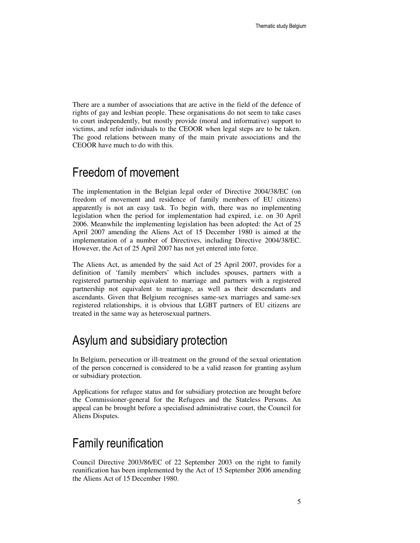There are a number of associations that are active in the field of the defence of rights of gay and lesbian people. These organisations do not seem to take cases to court independently, but mostly provide (moral and informative) support to victims, and refer individuals to the CEOOR when legal steps are to be taken. The good relations between many of the main private associations and the CEOOR have much to do with this.

# Freedom of movement

The implementation in the Belgian legal order of Directive 2004/38/EC (on freedom of movement and residence of family members of EU citizens) apparently is not an easy task. To begin with, there was no implementing legislation when the period for implementation had expired, i.e. on 30 April 2006. Meanwhile the implementing legislation has been adopted: the Act of 25 April 2007 amending the Aliens Act of 15 December 1980 is aimed at the implementation of a number of Directives, including Directive 2004/38/EC. However, the Act of 25 April 2007 has not yet entered into force.

The Aliens Act, as amended by the said Act of 25 April 2007, provides for a definition of 'family members' which includes spouses, partners with a registered partnership equivalent to marriage and partners with a registered partnership not equivalent to marriage, as well as their descendants and ascendants. Given that Belgium recognises same-sex marriages and same-sex registered relationships, it is obvious that LGBT partners of EU citizens are treated in the same way as heterosexual partners.

# Asylum and subsidiary protection

In Belgium, persecution or ill-treatment on the ground of the sexual orientation of the person concerned is considered to be a valid reason for granting asylum or subsidiary protection.

Applications for refugee status and for subsidiary protection are brought before the Commissioner-general for the Refugees and the Stateless Persons. An appeal can be brought before a specialised administrative court, the Council for Aliens Disputes.

# Family reunification

Council Directive 2003/86/EC of 22 September 2003 on the right to family reunification has been implemented by the Act of 15 September 2006 amending the Aliens Act of 15 December 1980.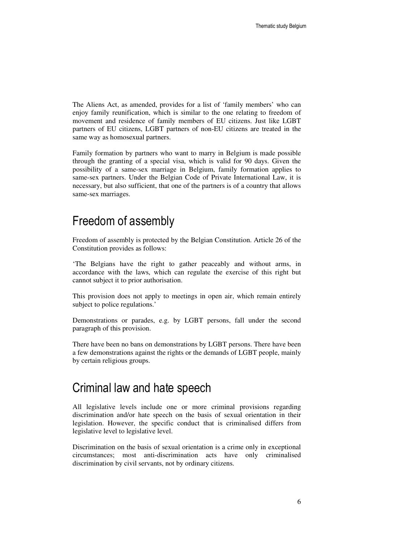The Aliens Act, as amended, provides for a list of 'family members' who can enjoy family reunification, which is similar to the one relating to freedom of movement and residence of family members of EU citizens. Just like LGBT partners of EU citizens, LGBT partners of non-EU citizens are treated in the same way as homosexual partners.

Family formation by partners who want to marry in Belgium is made possible through the granting of a special visa, which is valid for 90 days. Given the possibility of a same-sex marriage in Belgium, family formation applies to same-sex partners. Under the Belgian Code of Private International Law, it is necessary, but also sufficient, that one of the partners is of a country that allows same-sex marriages.

## Freedom of assembly

Freedom of assembly is protected by the Belgian Constitution. Article 26 of the Constitution provides as follows:

'The Belgians have the right to gather peaceably and without arms, in accordance with the laws, which can regulate the exercise of this right but cannot subject it to prior authorisation.

This provision does not apply to meetings in open air, which remain entirely subject to police regulations.'

Demonstrations or parades, e.g. by LGBT persons, fall under the second paragraph of this provision.

There have been no bans on demonstrations by LGBT persons. There have been a few demonstrations against the rights or the demands of LGBT people, mainly by certain religious groups.

## Criminal law and hate speech

All legislative levels include one or more criminal provisions regarding discrimination and/or hate speech on the basis of sexual orientation in their legislation. However, the specific conduct that is criminalised differs from legislative level to legislative level.

Discrimination on the basis of sexual orientation is a crime only in exceptional circumstances; most anti-discrimination acts have only criminalised discrimination by civil servants, not by ordinary citizens.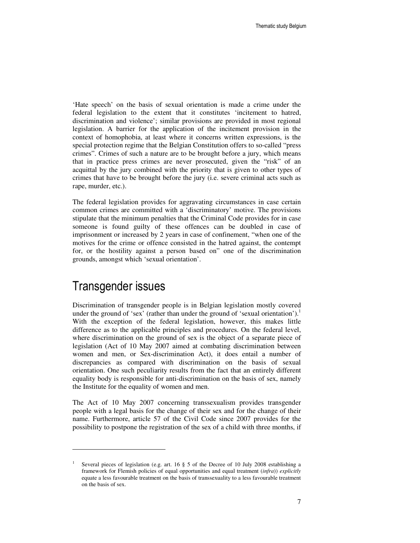'Hate speech' on the basis of sexual orientation is made a crime under the federal legislation to the extent that it constitutes 'incitement to hatred, discrimination and violence'; similar provisions are provided in most regional legislation. A barrier for the application of the incitement provision in the context of homophobia, at least where it concerns written expressions, is the special protection regime that the Belgian Constitution offers to so-called "press crimes". Crimes of such a nature are to be brought before a jury, which means that in practice press crimes are never prosecuted, given the "risk" of an acquittal by the jury combined with the priority that is given to other types of crimes that have to be brought before the jury (i.e. severe criminal acts such as rape, murder, etc.).

The federal legislation provides for aggravating circumstances in case certain common crimes are committed with a 'discriminatory' motive. The provisions stipulate that the minimum penalties that the Criminal Code provides for in case someone is found guilty of these offences can be doubled in case of imprisonment or increased by 2 years in case of confinement, "when one of the motives for the crime or offence consisted in the hatred against, the contempt for, or the hostility against a person based on" one of the discrimination grounds, amongst which 'sexual orientation'.

## Transgender issues

 $\ddot{ }$ 

Discrimination of transgender people is in Belgian legislation mostly covered under the ground of 'sex' (rather than under the ground of 'sexual orientation').<sup>1</sup> With the exception of the federal legislation, however, this makes little difference as to the applicable principles and procedures. On the federal level, where discrimination on the ground of sex is the object of a separate piece of legislation (Act of 10 May 2007 aimed at combating discrimination between women and men, or Sex-discrimination Act), it does entail a number of discrepancies as compared with discrimination on the basis of sexual orientation. One such peculiarity results from the fact that an entirely different equality body is responsible for anti-discrimination on the basis of sex, namely the Institute for the equality of women and men.

The Act of 10 May 2007 concerning transsexualism provides transgender people with a legal basis for the change of their sex and for the change of their name. Furthermore, article 57 of the Civil Code since 2007 provides for the possibility to postpone the registration of the sex of a child with three months, if

<sup>1</sup> Several pieces of legislation (e.g. art. 16 § 5 of the Decree of 10 July 2008 establishing a framework for Flemish policies of equal opportunities and equal treatment (*infra*)) *explicitly* equate a less favourable treatment on the basis of transsexuality to a less favourable treatment on the basis of sex.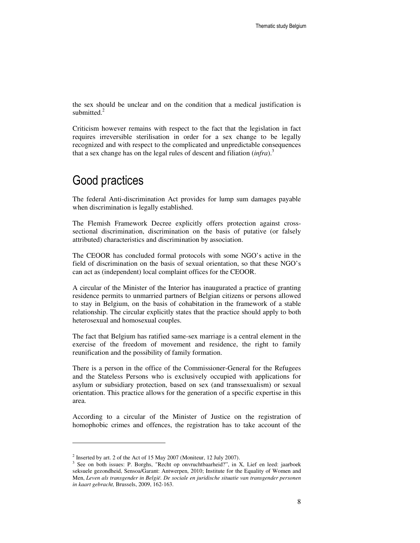the sex should be unclear and on the condition that a medical justification is submitted. $^{2}$ 

Criticism however remains with respect to the fact that the legislation in fact requires irreversible sterilisation in order for a sex change to be legally recognized and with respect to the complicated and unpredictable consequences that a sex change has on the legal rules of descent and filiation  $(infra).$ <sup>3</sup>

# Good practices

The federal Anti-discrimination Act provides for lump sum damages payable when discrimination is legally established.

The Flemish Framework Decree explicitly offers protection against crosssectional discrimination, discrimination on the basis of putative (or falsely attributed) characteristics and discrimination by association.

The CEOOR has concluded formal protocols with some NGO's active in the field of discrimination on the basis of sexual orientation, so that these NGO's can act as (independent) local complaint offices for the CEOOR.

A circular of the Minister of the Interior has inaugurated a practice of granting residence permits to unmarried partners of Belgian citizens or persons allowed to stay in Belgium, on the basis of cohabitation in the framework of a stable relationship. The circular explicitly states that the practice should apply to both heterosexual and homosexual couples.

The fact that Belgium has ratified same-sex marriage is a central element in the exercise of the freedom of movement and residence, the right to family reunification and the possibility of family formation.

There is a person in the office of the Commissioner-General for the Refugees and the Stateless Persons who is exclusively occupied with applications for asylum or subsidiary protection, based on sex (and transsexualism) or sexual orientation. This practice allows for the generation of a specific expertise in this area.

According to a circular of the Minister of Justice on the registration of homophobic crimes and offences, the registration has to take account of the

 $\overline{a}$ 

<sup>&</sup>lt;sup>2</sup> Inserted by art. 2 of the Act of 15 May 2007 (Moniteur, 12 July 2007).

<sup>&</sup>lt;sup>3</sup> See on both issues: P. Borghs, "Recht op onvruchtbaarheid?", in X, Lief en leed: jaarboek seksuele gezondheid, Sensoa/Garant: Antwerpen, 2010; Institute for the Equality of Women and Men, *Leven als transgender in België. De sociale en juridische situatie van transgender personen in kaart gebracht,* Brussels, 2009, 162-163.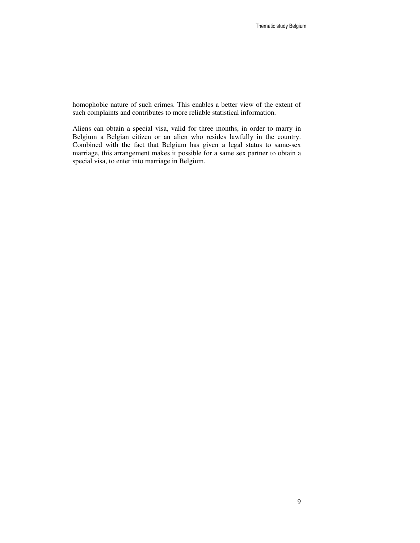homophobic nature of such crimes. This enables a better view of the extent of such complaints and contributes to more reliable statistical information.

Aliens can obtain a special visa, valid for three months, in order to marry in Belgium a Belgian citizen or an alien who resides lawfully in the country. Combined with the fact that Belgium has given a legal status to same-sex marriage, this arrangement makes it possible for a same sex partner to obtain a special visa, to enter into marriage in Belgium.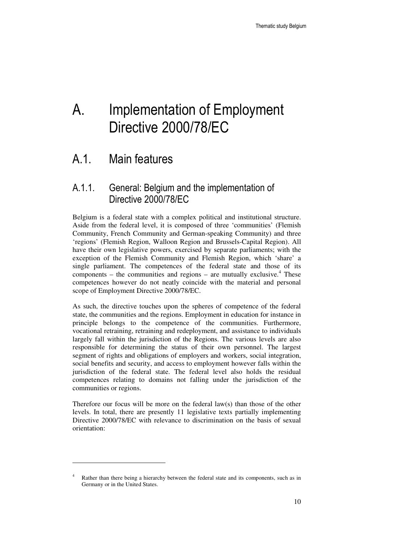# A. Implementation of Employment Directive 2000/78/EC

# A.1. Main features

 $\ddot{ }$ 

## A.1.1. General: Belgium and the implementation of Directive 2000/78/EC

Belgium is a federal state with a complex political and institutional structure. Aside from the federal level, it is composed of three 'communities' (Flemish Community, French Community and German-speaking Community) and three 'regions' (Flemish Region, Walloon Region and Brussels-Capital Region). All have their own legislative powers, exercised by separate parliaments; with the exception of the Flemish Community and Flemish Region, which 'share' a single parliament. The competences of the federal state and those of its components  $-$  the communities and regions  $-$  are mutually exclusive.<sup>4</sup> These competences however do not neatly coincide with the material and personal scope of Employment Directive 2000/78/EC.

As such, the directive touches upon the spheres of competence of the federal state, the communities and the regions. Employment in education for instance in principle belongs to the competence of the communities. Furthermore, vocational retraining, retraining and redeployment, and assistance to individuals largely fall within the jurisdiction of the Regions. The various levels are also responsible for determining the status of their own personnel. The largest segment of rights and obligations of employers and workers, social integration, social benefits and security, and access to employment however falls within the jurisdiction of the federal state. The federal level also holds the residual competences relating to domains not falling under the jurisdiction of the communities or regions.

Therefore our focus will be more on the federal law(s) than those of the other levels. In total, there are presently 11 legislative texts partially implementing Directive 2000/78/EC with relevance to discrimination on the basis of sexual orientation:

<sup>4</sup> Rather than there being a hierarchy between the federal state and its components, such as in Germany or in the United States.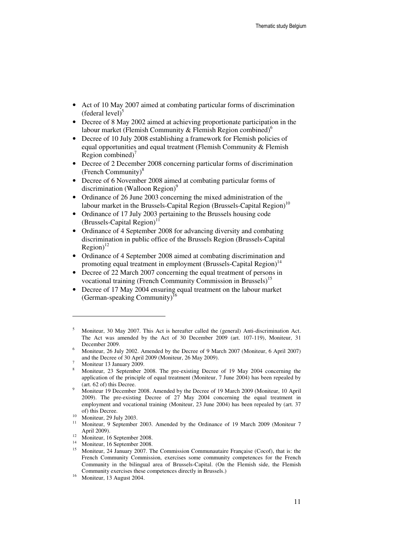- Act of 10 May 2007 aimed at combating particular forms of discrimination  $(federal level)^5$
- Decree of 8 May 2002 aimed at achieving proportionate participation in the labour market (Flemish Community & Flemish Region combined)<sup>o</sup>
- Decree of 10 July 2008 establishing a framework for Flemish policies of equal opportunities and equal treatment (Flemish Community & Flemish Region combined) $\prime$
- Decree of 2 December 2008 concerning particular forms of discrimination (French Community)<sup>8</sup>
- Decree of 6 November 2008 aimed at combating particular forms of discrimination (Walloon Region)<sup>9</sup>
- Ordinance of 26 June 2003 concerning the mixed administration of the labour market in the Brussels-Capital Region (Brussels-Capital Region)<sup>10</sup>
- Ordinance of 17 July 2003 pertaining to the Brussels housing code  $(Brussels-Capital Region)^{1}$
- Ordinance of 4 September 2008 for advancing diversity and combating discrimination in public office of the Brussels Region (Brussels-Capital  $Region)^{12}$
- Ordinance of 4 September 2008 aimed at combating discrimination and promoting equal treatment in employment (Brussels-Capital Region)<sup>14</sup>
- Decree of 22 March 2007 concerning the equal treatment of persons in vocational training (French Community Commission in Brussels)<sup>15</sup>
- Decree of 17 May 2004 ensuring equal treatment on the labour market (German-speaking Community)<sup>1</sup>

 $\overline{a}$ 

8 Moniteur, 23 September 2008. The pre-existing Decree of 19 May 2004 concerning the application of the principle of equal treatment (Moniteur, 7 June 2004) has been repealed by (art. 62 of) this Decree.

<sup>5</sup> Moniteur, 30 May 2007. This Act is hereafter called the (general) Anti-discrimination Act. The Act was amended by the Act of 30 December 2009 (art. 107-119), Moniteur, 31 December 2009.

<sup>6</sup> Moniteur, 26 July 2002. Amended by the Decree of 9 March 2007 (Moniteur, 6 April 2007) and the Decree of 30 April 2009 (Moniteur, 26 May 2009).

<sup>7</sup> Moniteur 13 January 2009.

<sup>9</sup> Moniteur 19 December 2008. Amended by the Decree of 19 March 2009 (Moniteur, 10 April 2009). The pre-existing Decree of 27 May 2004 concerning the equal treatment in employment and vocational training (Moniteur, 23 June 2004) has been repealed by (art. 37 of) this Decree.

 $\frac{10}{11}$  Moniteur, 29 July 2003.

<sup>11</sup> Moniteur, 9 September 2003. Amended by the Ordinance of 19 March 2009 (Moniteur 7 April 2009).

<sup>&</sup>lt;sup>12</sup> Moniteur, 16 September 2008.

<sup>14</sup> Moniteur, 16 September 2008.

<sup>&</sup>lt;sup>15</sup> Moniteur, 24 January 2007. The Commission Communautaire Française (Cocof), that is: the French Community Commission, exercises some community competences for the French Community in the bilingual area of Brussels-Capital. (On the Flemish side, the Flemish Community exercises these competences directly in Brussels.)

<sup>16</sup> Moniteur, 13 August 2004.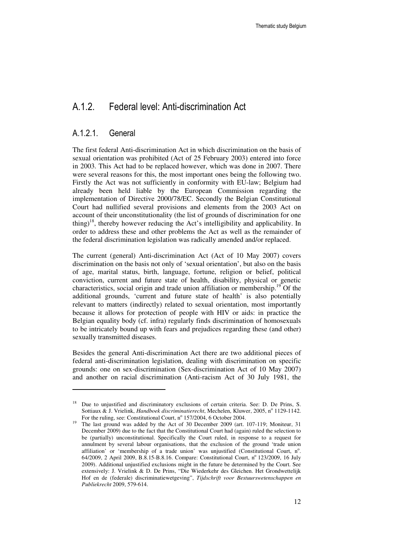## A.1.2. Federal level: Anti-discrimination Act

## A.1.2.1. General

 $\ddot{ }$ 

The first federal Anti-discrimination Act in which discrimination on the basis of sexual orientation was prohibited (Act of 25 February 2003) entered into force in 2003. This Act had to be replaced however, which was done in 2007. There were several reasons for this, the most important ones being the following two. Firstly the Act was not sufficiently in conformity with EU-law; Belgium had already been held liable by the European Commission regarding the implementation of Directive 2000/78/EC. Secondly the Belgian Constitutional Court had nullified several provisions and elements from the 2003 Act on account of their unconstitutionality (the list of grounds of discrimination for one thing)<sup>18</sup>, thereby however reducing the Act's intelligibility and applicability. In order to address these and other problems the Act as well as the remainder of the federal discrimination legislation was radically amended and/or replaced.

The current (general) Anti-discrimination Act (Act of 10 May 2007) covers discrimination on the basis not only of 'sexual orientation', but also on the basis of age, marital status, birth, language, fortune, religion or belief, political conviction, current and future state of health, disability, physical or genetic characteristics, social origin and trade union affiliation or membership.<sup>19</sup> Of the additional grounds, 'current and future state of health' is also potentially relevant to matters (indirectly) related to sexual orientation, most importantly because it allows for protection of people with HIV or aids: in practice the Belgian equality body (cf. infra) regularly finds discrimination of homosexuals to be intricately bound up with fears and prejudices regarding these (and other) sexually transmitted diseases.

Besides the general Anti-discrimination Act there are two additional pieces of federal anti-discrimination legislation, dealing with discrimination on specific grounds: one on sex-discrimination (Sex-discrimination Act of 10 May 2007) and another on racial discrimination (Anti-racism Act of 30 July 1981, the

<sup>&</sup>lt;sup>18</sup> Due to unjustified and discriminatory exclusions of certain criteria. See: D. De Prins, S. Sottiaux & J. Vrielink, *Handboek discriminatierecht*, Mechelen, Kluwer, 2005, nº 1129-1142. For the ruling, see: Constitutional Court, nº 157/2004, 6 October 2004.

<sup>19</sup> The last ground was added by the Act of 30 December 2009 (art. 107-119; Moniteur, 31 December 2009) due to the fact that the Constitutional Court had (again) ruled the selection to be (partially) unconstitutional. Specifically the Court ruled, in response to a request for annulment by several labour organisations, that the exclusion of the ground 'trade union affiliation' or 'membership of a trade union' was unjustified (Constitutional Court, nº. 64/2009, 2 April 2009, B.8.15-B.8.16. Compare: Constitutional Court, n° 123/2009, 16 July 2009). Additional unjustified exclusions might in the future be determined by the Court. See extensively: J. Vrielink & D. De Prins, "Die Wiederkehr des Gleichen. Het Grondwettelijk Hof en de (federale) discriminatiewetgeving", *Tijdschrift voor Bestuurswetenschappen en Publiekrecht* 2009, 579-614.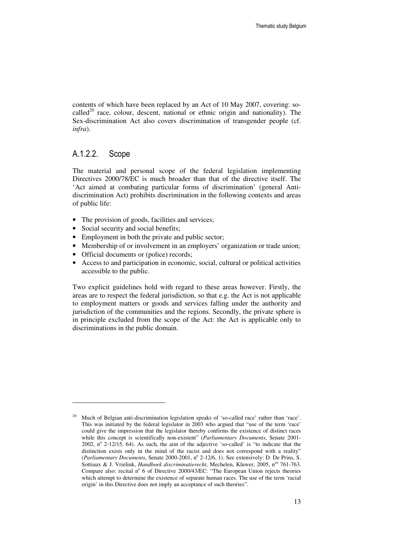contents of which have been replaced by an Act of 10 May 2007, covering: socalled<sup>20</sup> race, colour, descent, national or ethnic origin and nationality). The Sex-discrimination Act also covers discrimination of transgender people (cf. *infra*).

## A.1.2.2. Scope

-

The material and personal scope of the federal legislation implementing Directives 2000/78/EC is much broader than that of the directive itself. The 'Act aimed at combating particular forms of discrimination' (general Antidiscrimination Act) prohibits discrimination in the following contexts and areas of public life:

- The provision of goods, facilities and services;
- Social security and social benefits;
- Employment in both the private and public sector;
- Membership of or involvement in an employers' organization or trade union;
- Official documents or (police) records;
- Access to and participation in economic, social, cultural or political activities accessible to the public.

Two explicit guidelines hold with regard to these areas however. Firstly, the areas are to respect the federal jurisdiction, so that e.g. the Act is not applicable to employment matters or goods and services falling under the authority and jurisdiction of the communities and the regions. Secondly, the private sphere is in principle excluded from the scope of the Act: the Act is applicable only to discriminations in the public domain.

<sup>&</sup>lt;sup>20</sup> Much of Belgian anti-discrimination legislation speaks of 'so-called race' rather than 'race'. This was initiated by the federal legislator in 2003 who argued that "use of the term 'race' could give the impression that the legislator thereby confirms the existence of distinct races while this concept is scientifically non-existent" (*Parliamentary Documents*, Senate 2001- 2002,  $n^{\circ}$  2-12/15, 64). As such, the aim of the adjective 'so-called' is "to indicate that the distinction exists only in the mind of the racist and does not correspond with a reality" (Parliamentary Documents, Senate 2000-2001, nº 2-12/6, 1). See extensively: D. De Prins, S. Sottiaux & J. Vrielink, *Handboek discriminatierecht*, Mechelen, Kluwer, 2005, n<sup>os</sup> 761-763. Compare also: recital nº 6 of Directive 2000/43/EC: "The European Union rejects theories which attempt to determine the existence of separate human races. The use of the term 'racial origin' in this Directive does not imply an acceptance of such theories".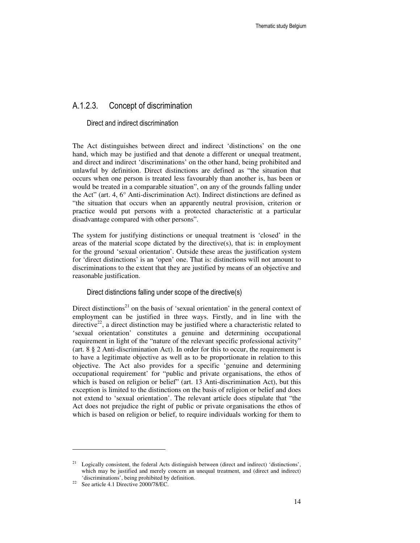## A.1.2.3. Concept of discrimination

#### Direct and indirect discrimination

The Act distinguishes between direct and indirect 'distinctions' on the one hand, which may be justified and that denote a different or unequal treatment, and direct and indirect 'discriminations' on the other hand, being prohibited and unlawful by definition. Direct distinctions are defined as "the situation that occurs when one person is treated less favourably than another is, has been or would be treated in a comparable situation", on any of the grounds falling under the Act" (art. 4, 6° Anti-discrimination Act). Indirect distinctions are defined as "the situation that occurs when an apparently neutral provision, criterion or practice would put persons with a protected characteristic at a particular disadvantage compared with other persons".

The system for justifying distinctions or unequal treatment is 'closed' in the areas of the material scope dictated by the directive $(s)$ , that is: in employment for the ground 'sexual orientation'. Outside these areas the justification system for 'direct distinctions' is an 'open' one. That is: distinctions will not amount to discriminations to the extent that they are justified by means of an objective and reasonable justification.

#### Direct distinctions falling under scope of the directive(s)

Direct distinctions<sup>21</sup> on the basis of 'sexual orientation' in the general context of employment can be justified in three ways. Firstly, and in line with the directive<sup>22</sup>, a direct distinction may be justified where a characteristic related to 'sexual orientation' constitutes a genuine and determining occupational requirement in light of the "nature of the relevant specific professional activity" (art. 8 § 2 Anti-discrimination Act). In order for this to occur, the requirement is to have a legitimate objective as well as to be proportionate in relation to this objective. The Act also provides for a specific 'genuine and determining occupational requirement' for "public and private organisations, the ethos of which is based on religion or belief" (art. 13 Anti-discrimination Act), but this exception is limited to the distinctions on the basis of religion or belief and does not extend to 'sexual orientation'. The relevant article does stipulate that "the Act does not prejudice the right of public or private organisations the ethos of which is based on religion or belief, to require individuals working for them to

 $21$  Logically consistent, the federal Acts distinguish between (direct and indirect) 'distinctions', which may be justified and merely concern an unequal treatment, and (direct and indirect) 'discriminations', being prohibited by definition.

<sup>22</sup> See article 4.1 Directive 2000/78/EC.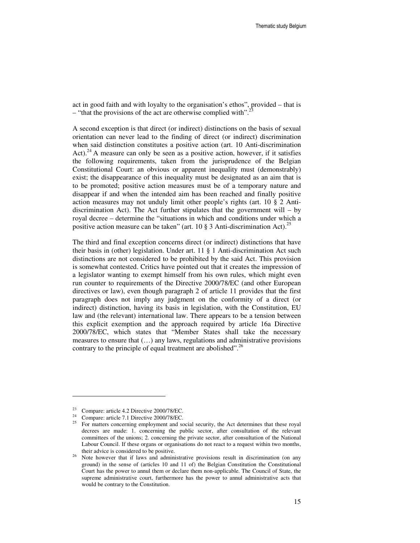act in good faith and with loyalty to the organisation's ethos", provided – that is – "that the provisions of the act are otherwise complied with".

A second exception is that direct (or indirect) distinctions on the basis of sexual orientation can never lead to the finding of direct (or indirect) discrimination when said distinction constitutes a positive action (art. 10 Anti-discrimination Act).<sup>24</sup> A measure can only be seen as a positive action, however, if it satisfies the following requirements, taken from the jurisprudence of the Belgian Constitutional Court: an obvious or apparent inequality must (demonstrably) exist; the disappearance of this inequality must be designated as an aim that is to be promoted; positive action measures must be of a temporary nature and disappear if and when the intended aim has been reached and finally positive action measures may not unduly limit other people's rights (art. 10 § 2 Antidiscrimination Act). The Act further stipulates that the government will  $-$  by royal decree – determine the "situations in which and conditions under which a positive action measure can be taken" (art. 10  $\S$  3 Anti-discrimination Act).<sup>25</sup>

The third and final exception concerns direct (or indirect) distinctions that have their basis in (other) legislation. Under art. 11 § 1 Anti-discrimination Act such distinctions are not considered to be prohibited by the said Act. This provision is somewhat contested. Critics have pointed out that it creates the impression of a legislator wanting to exempt himself from his own rules, which might even run counter to requirements of the Directive 2000/78/EC (and other European directives or law), even though paragraph 2 of article 11 provides that the first paragraph does not imply any judgment on the conformity of a direct (or indirect) distinction, having its basis in legislation, with the Constitution, EU law and (the relevant) international law. There appears to be a tension between this explicit exemption and the approach required by article 16a Directive 2000/78/EC, which states that "Member States shall take the necessary measures to ensure that (…) any laws, regulations and administrative provisions contrary to the principle of equal treatment are abolished".<sup>26</sup>

<sup>&</sup>lt;sup>23</sup> Compare: article 4.2 Directive 2000/78/EC.<br><sup>24</sup> Compare: article 7.1 Directive 2000/78/EC.

Compare: article 7.1 Directive 2000/78/EC.

<sup>25</sup> For matters concerning employment and social security, the Act determines that these royal decrees are made: 1. concerning the public sector, after consultation of the relevant committees of the unions; 2. concerning the private sector, after consultation of the National Labour Council. If these organs or organisations do not react to a request within two months, their advice is considered to be positive.

<sup>&</sup>lt;sup>26</sup> Note however that if laws and administrative provisions result in discrimination (on any ground) in the sense of (articles 10 and 11 of) the Belgian Constitution the Constitutional Court has the power to annul them or declare them non-applicable. The Council of State, the supreme administrative court, furthermore has the power to annul administrative acts that would be contrary to the Constitution.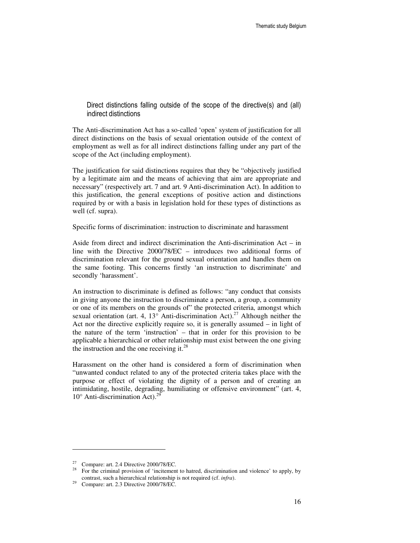Direct distinctions falling outside of the scope of the directive(s) and (all) indirect distinctions

The Anti-discrimination Act has a so-called 'open' system of justification for all direct distinctions on the basis of sexual orientation outside of the context of employment as well as for all indirect distinctions falling under any part of the scope of the Act (including employment).

The justification for said distinctions requires that they be "objectively justified by a legitimate aim and the means of achieving that aim are appropriate and necessary" (respectively art. 7 and art. 9 Anti-discrimination Act). In addition to this justification, the general exceptions of positive action and distinctions required by or with a basis in legislation hold for these types of distinctions as well (cf. supra).

Specific forms of discrimination: instruction to discriminate and harassment

Aside from direct and indirect discrimination the Anti-discrimination Act – in line with the Directive 2000/78/EC – introduces two additional forms of discrimination relevant for the ground sexual orientation and handles them on the same footing. This concerns firstly 'an instruction to discriminate' and secondly 'harassment'.

An instruction to discriminate is defined as follows: "any conduct that consists in giving anyone the instruction to discriminate a person, a group, a community or one of its members on the grounds of" the protected criteria, amongst which sexual orientation (art. 4, 13 $^{\circ}$  Anti-discrimination Act).<sup>27</sup> Although neither the Act nor the directive explicitly require so, it is generally assumed – in light of the nature of the term 'instruction' – that in order for this provision to be applicable a hierarchical or other relationship must exist between the one giving the instruction and the one receiving it. $^{28}$ 

Harassment on the other hand is considered a form of discrimination when "unwanted conduct related to any of the protected criteria takes place with the purpose or effect of violating the dignity of a person and of creating an intimidating, hostile, degrading, humiliating or offensive environment" (art. 4,  $10^{\circ}$  Anti-discrimination Act).<sup>29</sup>

<sup>&</sup>lt;sup>27</sup> Compare: art. 2.4 Directive 2000/78/EC.<br><sup>28</sup> For the griminal provision of insitement

For the criminal provision of 'incitement to hatred, discrimination and violence' to apply, by contrast, such a hierarchical relationship is not required (cf. *infra*).

<sup>29</sup> Compare: art. 2.3 Directive 2000/78/EC.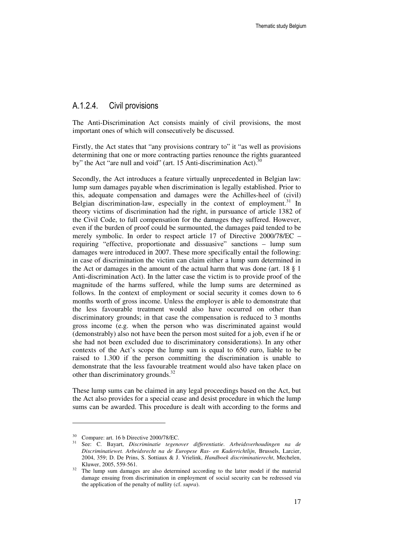## A.1.2.4. Civil provisions

The Anti-Discrimination Act consists mainly of civil provisions, the most important ones of which will consecutively be discussed.

Firstly, the Act states that "any provisions contrary to" it "as well as provisions determining that one or more contracting parties renounce the rights guaranteed by" the Act "are null and void" (art. 15 Anti-discrimination Act). $3<sup>3</sup>$ 

Secondly, the Act introduces a feature virtually unprecedented in Belgian law: lump sum damages payable when discrimination is legally established. Prior to this, adequate compensation and damages were the Achilles-heel of (civil) Belgian discrimination-law, especially in the context of employment.<sup>31</sup> In theory victims of discrimination had the right, in pursuance of article 1382 of the Civil Code, to full compensation for the damages they suffered. However, even if the burden of proof could be surmounted, the damages paid tended to be merely symbolic. In order to respect article 17 of Directive 2000/78/EC – requiring "effective, proportionate and dissuasive" sanctions – lump sum damages were introduced in 2007. These more specifically entail the following: in case of discrimination the victim can claim either a lump sum determined in the Act or damages in the amount of the actual harm that was done (art. 18 § 1 Anti-discrimination Act). In the latter case the victim is to provide proof of the magnitude of the harms suffered, while the lump sums are determined as follows. In the context of employment or social security it comes down to 6 months worth of gross income. Unless the employer is able to demonstrate that the less favourable treatment would also have occurred on other than discriminatory grounds; in that case the compensation is reduced to 3 months gross income (e.g. when the person who was discriminated against would (demonstrably) also not have been the person most suited for a job, even if he or she had not been excluded due to discriminatory considerations). In any other contexts of the Act's scope the lump sum is equal to 650 euro, liable to be raised to 1.300 if the person committing the discrimination is unable to demonstrate that the less favourable treatment would also have taken place on other than discriminatory grounds. $32$ 

These lump sums can be claimed in any legal proceedings based on the Act, but the Act also provides for a special cease and desist procedure in which the lump sums can be awarded. This procedure is dealt with according to the forms and

<sup>30</sup> Compare: art. 16 b Directive 2000/78/EC.

<sup>31</sup> See: C. Bayart, *Discriminatie tegenover differentiatie. Arbeidsverhoudingen na de Discriminatiewet. Arbeidsrecht na de Europese Ras- en Kaderrichtlijn*, Brussels, Larcier, 2004, 359; D. De Prins, S. Sottiaux & J. Vrielink, *Handboek discriminatierecht*, Mechelen, Kluwer, 2005, 559-561.

 $32$  The lump sum damages are also determined according to the latter model if the material damage ensuing from discrimination in employment of social security can be redressed via the application of the penalty of nullity (cf. *supra*).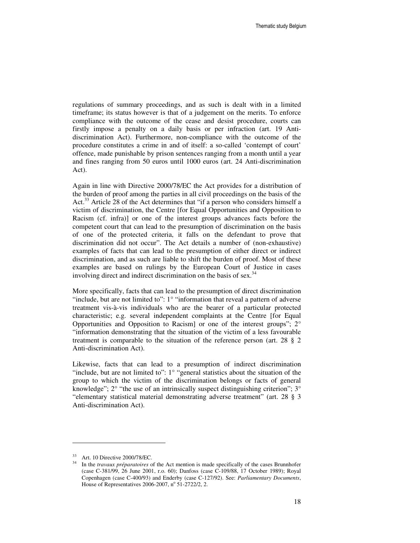regulations of summary proceedings, and as such is dealt with in a limited timeframe; its status however is that of a judgement on the merits. To enforce compliance with the outcome of the cease and desist procedure, courts can firstly impose a penalty on a daily basis or per infraction (art. 19 Antidiscrimination Act). Furthermore, non-compliance with the outcome of the procedure constitutes a crime in and of itself: a so-called 'contempt of court' offence, made punishable by prison sentences ranging from a month until a year and fines ranging from 50 euros until 1000 euros (art. 24 Anti-discrimination Act).

Again in line with Directive 2000/78/EC the Act provides for a distribution of the burden of proof among the parties in all civil proceedings on the basis of the Act.<sup>33</sup> Article 28 of the Act determines that "if a person who considers himself a victim of discrimination, the Centre [for Equal Opportunities and Opposition to Racism (cf. infra)] or one of the interest groups advances facts before the competent court that can lead to the presumption of discrimination on the basis of one of the protected criteria, it falls on the defendant to prove that discrimination did not occur". The Act details a number of (non-exhaustive) examples of facts that can lead to the presumption of either direct or indirect discrimination, and as such are liable to shift the burden of proof. Most of these examples are based on rulings by the European Court of Justice in cases involving direct and indirect discrimination on the basis of sex. $34$ 

More specifically, facts that can lead to the presumption of direct discrimination "include, but are not limited to": 1° "information that reveal a pattern of adverse treatment vis-à-vis individuals who are the bearer of a particular protected characteristic; e.g. several independent complaints at the Centre [for Equal Opportunities and Opposition to Racism] or one of the interest groups"; 2° "information demonstrating that the situation of the victim of a less favourable treatment is comparable to the situation of the reference person (art. 28 § 2 Anti-discrimination Act).

Likewise, facts that can lead to a presumption of indirect discrimination "include, but are not limited to":  $1^\circ$  "general statistics about the situation of the group to which the victim of the discrimination belongs or facts of general knowledge";  $2^{\circ}$  "the use of an intrinsically suspect distinguishing criterion";  $3^{\circ}$ "elementary statistical material demonstrating adverse treatment" (art. 28 § 3 Anti-discrimination Act).

 $\overline{a}$ 

<sup>33</sup> Art. 10 Directive 2000/78/EC.

<sup>34</sup> In the *travaux préparatoires* of the Act mention is made specifically of the cases Brunnhofer (case C-381/99, 26 June 2001, r.o. 60); Danfoss (case C-109/88, 17 October 1989); Royal Copenhagen (case C-400/93) and Enderby (case C-127/92). See: *Parliamentary Documents*, House of Representatives 2006-2007, nº 51-2722/2, 2.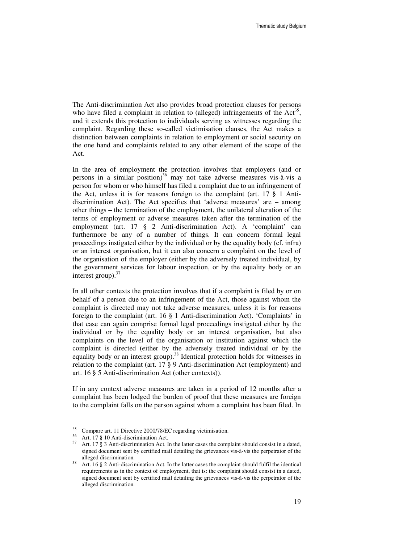The Anti-discrimination Act also provides broad protection clauses for persons who have filed a complaint in relation to (alleged) infringements of the  $Act^{35}$ , and it extends this protection to individuals serving as witnesses regarding the complaint. Regarding these so-called victimisation clauses, the Act makes a distinction between complaints in relation to employment or social security on the one hand and complaints related to any other element of the scope of the Act.

In the area of employment the protection involves that employers (and or persons in a similar position)<sup>36</sup> may not take adverse measures vis-à-vis a person for whom or who himself has filed a complaint due to an infringement of the Act, unless it is for reasons foreign to the complaint (art. 17 § 1 Antidiscrimination Act). The Act specifies that 'adverse measures' are – among other things – the termination of the employment, the unilateral alteration of the terms of employment or adverse measures taken after the termination of the employment (art. 17 § 2 Anti-discrimination Act). A 'complaint' can furthermore be any of a number of things. It can concern formal legal proceedings instigated either by the individual or by the equality body (cf. infra) or an interest organisation, but it can also concern a complaint on the level of the organisation of the employer (either by the adversely treated individual, by the government services for labour inspection, or by the equality body or an interest group). $37$ 

In all other contexts the protection involves that if a complaint is filed by or on behalf of a person due to an infringement of the Act, those against whom the complaint is directed may not take adverse measures, unless it is for reasons foreign to the complaint (art. 16 § 1 Anti-discrimination Act). 'Complaints' in that case can again comprise formal legal proceedings instigated either by the individual or by the equality body or an interest organisation, but also complaints on the level of the organisation or institution against which the complaint is directed (either by the adversely treated individual or by the equality body or an interest group).<sup>38</sup> Identical protection holds for witnesses in relation to the complaint (art. 17 § 9 Anti-discrimination Act (employment) and art. 16 § 5 Anti-discrimination Act (other contexts)).

If in any context adverse measures are taken in a period of 12 months after a complaint has been lodged the burden of proof that these measures are foreign to the complaint falls on the person against whom a complaint has been filed. In

Compare art. 11 Directive 2000/78/EC regarding victimisation.

<sup>36</sup> Art. 17 § 10 Anti-discrimination Act.

 $37$  Art. 17 § 3 Anti-discrimination Act. In the latter cases the complaint should consist in a dated, signed document sent by certified mail detailing the grievances vis-à-vis the perpetrator of the alleged discrimination.

Art. 16 § 2 Anti-discrimination Act. In the latter cases the complaint should fulfil the identical requirements as in the context of employment, that is: the complaint should consist in a dated, signed document sent by certified mail detailing the grievances vis-à-vis the perpetrator of the alleged discrimination.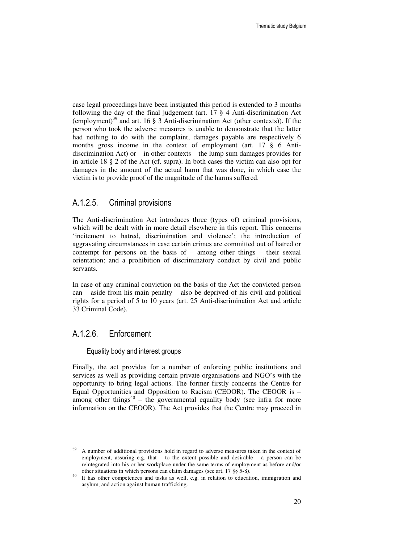case legal proceedings have been instigated this period is extended to 3 months following the day of the final judgement (art. 17 § 4 Anti-discrimination Act (employment)<sup>39</sup> and art. 16  $\S$  3 Anti-discrimination Act (other contexts)). If the person who took the adverse measures is unable to demonstrate that the latter had nothing to do with the complaint, damages payable are respectively 6 months gross income in the context of employment (art. 17 § 6 Antidiscrimination Act) or – in other contexts – the lump sum damages provides for in article 18 § 2 of the Act (cf. supra). In both cases the victim can also opt for damages in the amount of the actual harm that was done, in which case the victim is to provide proof of the magnitude of the harms suffered.

## A.1.2.5. Criminal provisions

The Anti-discrimination Act introduces three (types of) criminal provisions, which will be dealt with in more detail elsewhere in this report. This concerns 'incitement to hatred, discrimination and violence'; the introduction of aggravating circumstances in case certain crimes are committed out of hatred or contempt for persons on the basis of – among other things – their sexual orientation; and a prohibition of discriminatory conduct by civil and public servants.

In case of any criminal conviction on the basis of the Act the convicted person can – aside from his main penalty – also be deprived of his civil and political rights for a period of 5 to 10 years (art. 25 Anti-discrimination Act and article 33 Criminal Code).

## A.1.2.6. Enforcement

 $\ddot{ }$ 

Equality body and interest groups

Finally, the act provides for a number of enforcing public institutions and services as well as providing certain private organisations and NGO's with the opportunity to bring legal actions. The former firstly concerns the Centre for Equal Opportunities and Opposition to Racism (CEOOR). The CEOOR is – among other things<sup>40</sup> – the governmental equality body (see infra for more information on the CEOOR). The Act provides that the Centre may proceed in

 $39$  A number of additional provisions hold in regard to adverse measures taken in the context of employment, assuring e.g. that  $-$  to the extent possible and desirable  $-$  a person can be reintegrated into his or her workplace under the same terms of employment as before and/or other situations in which persons can claim damages (see art. 17 §§ 5-8).

It has other competences and tasks as well, e.g. in relation to education, immigration and asylum, and action against human trafficking.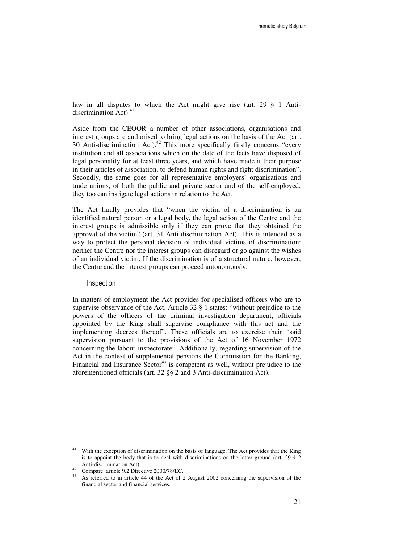law in all disputes to which the Act might give rise (art. 29 § 1 Antidiscrimination Act). $4$ 

Aside from the CEOOR a number of other associations, organisations and interest groups are authorised to bring legal actions on the basis of the Act (art. 30 Anti-discrimination Act).<sup>42</sup> This more specifically firstly concerns "every institution and all associations which on the date of the facts have disposed of legal personality for at least three years, and which have made it their purpose in their articles of association, to defend human rights and fight discrimination". Secondly, the same goes for all representative employers' organisations and trade unions, of both the public and private sector and of the self-employed; they too can instigate legal actions in relation to the Act.

The Act finally provides that "when the victim of a discrimination is an identified natural person or a legal body, the legal action of the Centre and the interest groups is admissible only if they can prove that they obtained the approval of the victim" (art. 31 Anti-discrimination Act). This is intended as a way to protect the personal decision of individual victims of discrimination: neither the Centre nor the interest groups can disregard or go against the wishes of an individual victim. If the discrimination is of a structural nature, however, the Centre and the interest groups can proceed autonomously.

#### Inspection

 $\ddot{ }$ 

In matters of employment the Act provides for specialised officers who are to supervise observance of the Act. Article 32 § 1 states: "without prejudice to the powers of the officers of the criminal investigation department, officials appointed by the King shall supervise compliance with this act and the implementing decrees thereof". These officials are to exercise their "said supervision pursuant to the provisions of the Act of 16 November 1972 concerning the labour inspectorate". Additionally, regarding supervision of the Act in the context of supplemental pensions the Commission for the Banking, Financial and Insurance Sector<sup>43</sup> is competent as well, without prejudice to the aforementioned officials (art. 32 §§ 2 and 3 Anti-discrimination Act).

<sup>&</sup>lt;sup>41</sup> With the exception of discrimination on the basis of language. The Act provides that the King is to appoint the body that is to deal with discriminations on the latter ground (art. 29  $\S$  2 Anti-discrimination Act).

<sup>&</sup>lt;sup>42</sup> Compare: article 9.2 Directive 2000/78/EC.

As referred to in article 44 of the Act of 2 August 2002 concerning the supervision of the financial sector and financial services.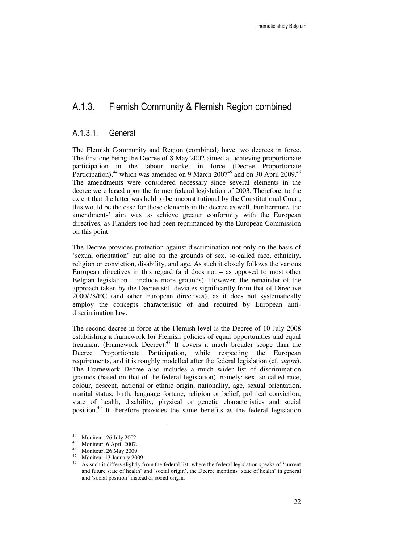## A.1.3. Flemish Community & Flemish Region combined

## A.1.3.1. General

The Flemish Community and Region (combined) have two decrees in force. The first one being the Decree of 8 May 2002 aimed at achieving proportionate participation in the labour market in force (Decree Proportionate Participation), $44$  which was amended on 9 March 2007 $45$  and on 30 April 2009. $46$ The amendments were considered necessary since several elements in the decree were based upon the former federal legislation of 2003. Therefore, to the extent that the latter was held to be unconstitutional by the Constitutional Court, this would be the case for those elements in the decree as well. Furthermore, the amendments' aim was to achieve greater conformity with the European directives, as Flanders too had been reprimanded by the European Commission on this point.

The Decree provides protection against discrimination not only on the basis of 'sexual orientation' but also on the grounds of sex, so-called race, ethnicity, religion or conviction, disability, and age. As such it closely follows the various European directives in this regard (and does not  $-$  as opposed to most other Belgian legislation – include more grounds). However, the remainder of the approach taken by the Decree still deviates significantly from that of Directive 2000/78/EC (and other European directives), as it does not systematically employ the concepts characteristic of and required by European antidiscrimination law.

The second decree in force at the Flemish level is the Decree of 10 July 2008 establishing a framework for Flemish policies of equal opportunities and equal treatment (Framework Decree).<sup>47</sup> It covers a much broader scope than the Decree Proportionate Participation, while respecting the European requirements, and it is roughly modelled after the federal legislation (cf. *supra*). The Framework Decree also includes a much wider list of discrimination grounds (based on that of the federal legislation), namely: sex, so-called race, colour, descent, national or ethnic origin, nationality, age, sexual orientation, marital status, birth, language fortune, religion or belief, political conviction, state of health, disability, physical or genetic characteristics and social position.<sup>49</sup> It therefore provides the same benefits as the federal legislation

 $^{44}$  Moniteur, 26 July 2002.

Moniteur, 6 April 2007.

 $^{46}$  Moniteur, 26 May 2009.

<sup>&</sup>lt;sup>47</sup> Moniteur 13 January 2009.

<sup>49</sup> As such it differs slightly from the federal list: where the federal legislation speaks of 'current and future state of health' and 'social origin', the Decree mentions 'state of health' in general and 'social position' instead of social origin.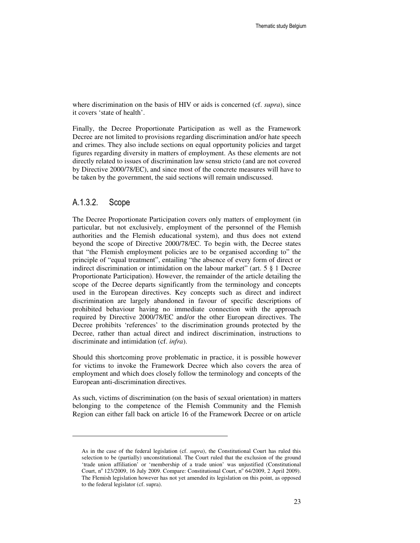where discrimination on the basis of HIV or aids is concerned (cf. *supra*), since it covers 'state of health'.

Finally, the Decree Proportionate Participation as well as the Framework Decree are not limited to provisions regarding discrimination and/or hate speech and crimes. They also include sections on equal opportunity policies and target figures regarding diversity in matters of employment. As these elements are not directly related to issues of discrimination law sensu stricto (and are not covered by Directive 2000/78/EC), and since most of the concrete measures will have to be taken by the government, the said sections will remain undiscussed.

## A.1.3.2. Scope

 $\ddot{ }$ 

The Decree Proportionate Participation covers only matters of employment (in particular, but not exclusively, employment of the personnel of the Flemish authorities and the Flemish educational system), and thus does not extend beyond the scope of Directive 2000/78/EC. To begin with, the Decree states that "the Flemish employment policies are to be organised according to" the principle of "equal treatment", entailing "the absence of every form of direct or indirect discrimination or intimidation on the labour market" (art. 5 § 1 Decree Proportionate Participation). However, the remainder of the article detailing the scope of the Decree departs significantly from the terminology and concepts used in the European directives. Key concepts such as direct and indirect discrimination are largely abandoned in favour of specific descriptions of prohibited behaviour having no immediate connection with the approach required by Directive 2000/78/EC and/or the other European directives. The Decree prohibits 'references' to the discrimination grounds protected by the Decree, rather than actual direct and indirect discrimination, instructions to discriminate and intimidation (cf. *infra*).

Should this shortcoming prove problematic in practice, it is possible however for victims to invoke the Framework Decree which also covers the area of employment and which does closely follow the terminology and concepts of the European anti-discrimination directives.

As such, victims of discrimination (on the basis of sexual orientation) in matters belonging to the competence of the Flemish Community and the Flemish Region can either fall back on article 16 of the Framework Decree or on article

As in the case of the federal legislation (cf. *supra*), the Constitutional Court has ruled this selection to be (partially) unconstitutional. The Court ruled that the exclusion of the ground 'trade union affiliation' or 'membership of a trade union' was unjustified (Constitutional Court, nº 123/2009, 16 July 2009. Compare: Constitutional Court, nº 64/2009, 2 April 2009). The Flemish legislation however has not yet amended its legislation on this point, as opposed to the federal legislator (cf. supra).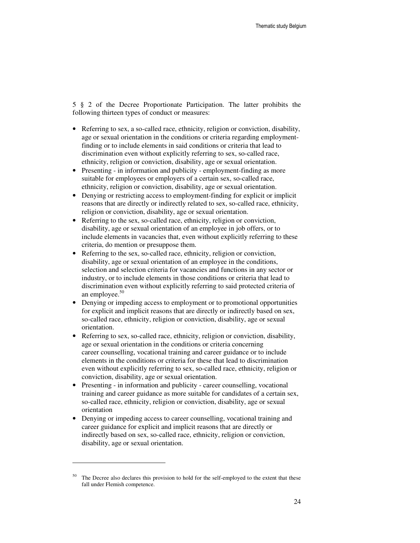5 § 2 of the Decree Proportionate Participation. The latter prohibits the following thirteen types of conduct or measures:

- Referring to sex, a so-called race, ethnicity, religion or conviction, disability, age or sexual orientation in the conditions or criteria regarding employmentfinding or to include elements in said conditions or criteria that lead to discrimination even without explicitly referring to sex, so-called race, ethnicity, religion or conviction, disability, age or sexual orientation.
- Presenting in information and publicity employment-finding as more suitable for employees or employers of a certain sex, so-called race, ethnicity, religion or conviction, disability, age or sexual orientation.
- Denying or restricting access to employment-finding for explicit or implicit reasons that are directly or indirectly related to sex, so-called race, ethnicity, religion or conviction, disability, age or sexual orientation.
- Referring to the sex, so-called race, ethnicity, religion or conviction, disability, age or sexual orientation of an employee in job offers, or to include elements in vacancies that, even without explicitly referring to these criteria, do mention or presuppose them.
- Referring to the sex, so-called race, ethnicity, religion or conviction, disability, age or sexual orientation of an employee in the conditions, selection and selection criteria for vacancies and functions in any sector or industry, or to include elements in those conditions or criteria that lead to discrimination even without explicitly referring to said protected criteria of an employee.<sup>50</sup>
- Denying or impeding access to employment or to promotional opportunities for explicit and implicit reasons that are directly or indirectly based on sex, so-called race, ethnicity, religion or conviction, disability, age or sexual orientation.
- Referring to sex, so-called race, ethnicity, religion or conviction, disability, age or sexual orientation in the conditions or criteria concerning career counselling, vocational training and career guidance or to include elements in the conditions or criteria for these that lead to discrimination even without explicitly referring to sex, so-called race, ethnicity, religion or conviction, disability, age or sexual orientation.
- Presenting in information and publicity career counselling, vocational training and career guidance as more suitable for candidates of a certain sex, so-called race, ethnicity, religion or conviction, disability, age or sexual orientation
- Denying or impeding access to career counselling, vocational training and career guidance for explicit and implicit reasons that are directly or indirectly based on sex, so-called race, ethnicity, religion or conviction, disability, age or sexual orientation.

The Decree also declares this provision to hold for the self-employed to the extent that these fall under Flemish competence.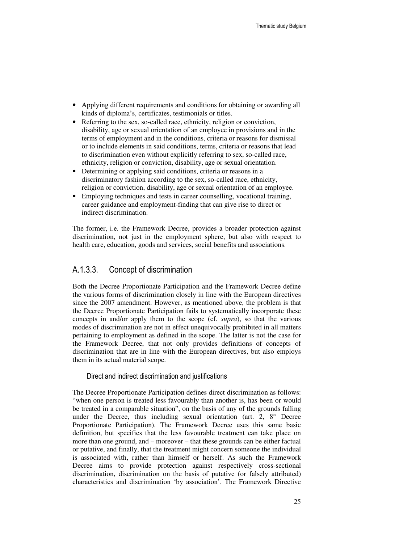- Applying different requirements and conditions for obtaining or awarding all kinds of diploma's, certificates, testimonials or titles.
- Referring to the sex, so-called race, ethnicity, religion or conviction, disability, age or sexual orientation of an employee in provisions and in the terms of employment and in the conditions, criteria or reasons for dismissal or to include elements in said conditions, terms, criteria or reasons that lead to discrimination even without explicitly referring to sex, so-called race, ethnicity, religion or conviction, disability, age or sexual orientation.
- Determining or applying said conditions, criteria or reasons in a discriminatory fashion according to the sex, so-called race, ethnicity, religion or conviction, disability, age or sexual orientation of an employee.
- Employing techniques and tests in career counselling, vocational training, career guidance and employment-finding that can give rise to direct or indirect discrimination.

The former, i.e. the Framework Decree, provides a broader protection against discrimination, not just in the employment sphere, but also with respect to health care, education, goods and services, social benefits and associations.

## A.1.3.3. Concept of discrimination

Both the Decree Proportionate Participation and the Framework Decree define the various forms of discrimination closely in line with the European directives since the 2007 amendment. However, as mentioned above, the problem is that the Decree Proportionate Participation fails to systematically incorporate these concepts in and/or apply them to the scope (cf. *supra*), so that the various modes of discrimination are not in effect unequivocally prohibited in all matters pertaining to employment as defined in the scope. The latter is not the case for the Framework Decree, that not only provides definitions of concepts of discrimination that are in line with the European directives, but also employs them in its actual material scope.

#### Direct and indirect discrimination and justifications

The Decree Proportionate Participation defines direct discrimination as follows: "when one person is treated less favourably than another is, has been or would be treated in a comparable situation", on the basis of any of the grounds falling under the Decree, thus including sexual orientation (art. 2, 8° Decree Proportionate Participation). The Framework Decree uses this same basic definition, but specifies that the less favourable treatment can take place on more than one ground, and – moreover – that these grounds can be either factual or putative, and finally, that the treatment might concern someone the individual is associated with, rather than himself or herself. As such the Framework Decree aims to provide protection against respectively cross-sectional discrimination, discrimination on the basis of putative (or falsely attributed) characteristics and discrimination 'by association'. The Framework Directive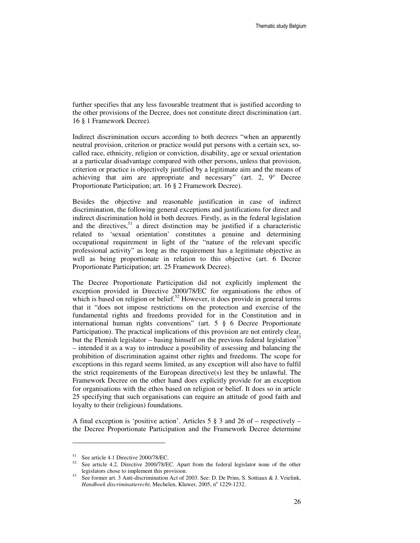further specifies that any less favourable treatment that is justified according to the other provisions of the Decree, does not constitute direct discrimination (art. 16 § 1 Framework Decree).

Indirect discrimination occurs according to both decrees "when an apparently neutral provision, criterion or practice would put persons with a certain sex, socalled race, ethnicity, religion or conviction, disability, age or sexual orientation at a particular disadvantage compared with other persons, unless that provision, criterion or practice is objectively justified by a legitimate aim and the means of achieving that aim are appropriate and necessary" (art. 2, 9° Decree Proportionate Participation; art. 16 § 2 Framework Decree).

Besides the objective and reasonable justification in case of indirect discrimination, the following general exceptions and justifications for direct and indirect discrimination hold in both decrees. Firstly, as in the federal legislation and the directives,  $51$  a direct distinction may be justified if a characteristic related to 'sexual orientation' constitutes a genuine and determining occupational requirement in light of the "nature of the relevant specific professional activity" as long as the requirement has a legitimate objective as well as being proportionate in relation to this objective (art. 6 Decree Proportionate Participation; art. 25 Framework Decree).

The Decree Proportionate Participation did not explicitly implement the exception provided in Directive 2000/78/EC for organisations the ethos of which is based on religion or belief.<sup>52</sup> However, it does provide in general terms that it "does not impose restrictions on the protection and exercise of the fundamental rights and freedoms provided for in the Constitution and in international human rights conventions" (art. 5 § 6 Decree Proportionate Participation). The practical implications of this provision are not entirely clear, but the Flemish legislator – basing himself on the previous federal legislation<sup>53</sup> – intended it as a way to introduce a possibility of assessing and balancing the prohibition of discrimination against other rights and freedoms. The scope for exceptions in this regard seems limited, as any exception will also have to fulfil the strict requirements of the European directive(s) lest they be unlawful. The Framework Decree on the other hand does explicitly provide for an exception for organisations with the ethos based on religion or belief. It does so in article 25 specifying that such organisations can require an attitude of good faith and loyalty to their (religious) foundations.

A final exception is 'positive action'. Articles 5 § 3 and 26 of – respectively – the Decree Proportionate Participation and the Framework Decree determine

 $\overline{a}$ 

<sup>51</sup> See article 4.1 Directive 2000/78/EC.

<sup>52</sup> See article 4.2. Directive 2000/78/EC. Apart from the federal legislator none of the other legislators chose to implement this provision.

<sup>53</sup> See former art. 3 Anti-discrimination Act of 2003. See: D. De Prins, S. Sottiaux & J. Vrielink, Handboek discriminatierecht, Mechelen, Kluwer, 2005, nº 1229-1232.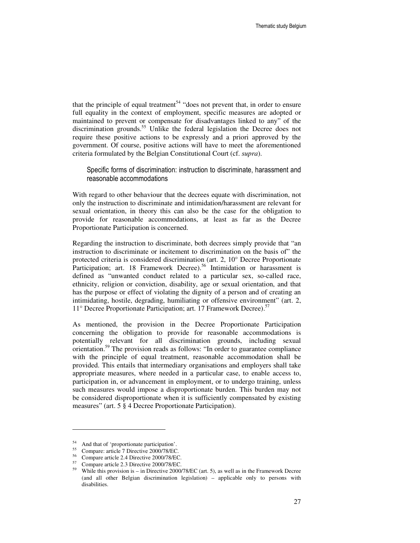that the principle of equal treatment<sup>54</sup> "does not prevent that, in order to ensure full equality in the context of employment, specific measures are adopted or maintained to prevent or compensate for disadvantages linked to any" of the discrimination grounds.<sup>55</sup> Unlike the federal legislation the Decree does not require these positive actions to be expressly and a priori approved by the government. Of course, positive actions will have to meet the aforementioned criteria formulated by the Belgian Constitutional Court (cf. *supra*).

Specific forms of discrimination: instruction to discriminate, harassment and reasonable accommodations

With regard to other behaviour that the decrees equate with discrimination, not only the instruction to discriminate and intimidation/harassment are relevant for sexual orientation, in theory this can also be the case for the obligation to provide for reasonable accommodations, at least as far as the Decree Proportionate Participation is concerned.

Regarding the instruction to discriminate, both decrees simply provide that "an instruction to discriminate or incitement to discrimination on the basis of" the protected criteria is considered discrimination (art. 2, 10° Decree Proportionate Participation; art. 18 Framework Decree).<sup>56</sup> Intimidation or harassment is defined as "unwanted conduct related to a particular sex, so-called race, ethnicity, religion or conviction, disability, age or sexual orientation, and that has the purpose or effect of violating the dignity of a person and of creating an intimidating, hostile, degrading, humiliating or offensive environment" (art. 2, 11° Decree Proportionate Participation; art. 17 Framework Decree).<sup>57</sup>

As mentioned, the provision in the Decree Proportionate Participation concerning the obligation to provide for reasonable accommodations is potentially relevant for all discrimination grounds, including sexual orientation.<sup>59</sup> The provision reads as follows: "In order to guarantee compliance with the principle of equal treatment, reasonable accommodation shall be provided. This entails that intermediary organisations and employers shall take appropriate measures, where needed in a particular case, to enable access to, participation in, or advancement in employment, or to undergo training, unless such measures would impose a disproportionate burden. This burden may not be considered disproportionate when it is sufficiently compensated by existing measures" (art. 5 § 4 Decree Proportionate Participation).

<sup>54</sup> And that of 'proportionate participation'.

<sup>55</sup> Compare: article 7 Directive 2000/78/EC.

<sup>56</sup> Compare article 2.4 Directive 2000/78/EC.

 $^{57}$  Compare article 2.3 Directive 2000/78/EC.

While this provision is – in Directive 2000/78/EC (art. 5), as well as in the Framework Decree (and all other Belgian discrimination legislation) – applicable only to persons with disabilities.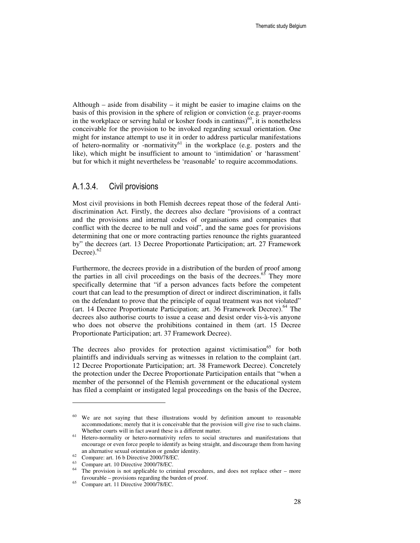Although – aside from disability – it might be easier to imagine claims on the basis of this provision in the sphere of religion or conviction (e.g. prayer-rooms in the workplace or serving halal or kosher foods in cantinas) $^{60}$ , it is nonetheless conceivable for the provision to be invoked regarding sexual orientation. One might for instance attempt to use it in order to address particular manifestations of hetero-normality or -normativity<sup>61</sup> in the workplace (e.g. posters and the like), which might be insufficient to amount to 'intimidation' or 'harassment' but for which it might nevertheless be 'reasonable' to require accommodations.

## A.1.3.4. Civil provisions

Most civil provisions in both Flemish decrees repeat those of the federal Antidiscrimination Act. Firstly, the decrees also declare "provisions of a contract and the provisions and internal codes of organisations and companies that conflict with the decree to be null and void", and the same goes for provisions determining that one or more contracting parties renounce the rights guaranteed by" the decrees (art. 13 Decree Proportionate Participation; art. 27 Framework Decree). $62$ 

Furthermore, the decrees provide in a distribution of the burden of proof among the parties in all civil proceedings on the basis of the decrees.<sup>63</sup> They more specifically determine that "if a person advances facts before the competent court that can lead to the presumption of direct or indirect discrimination, it falls on the defendant to prove that the principle of equal treatment was not violated" (art. 14 Decree Proportionate Participation; art. 36 Framework Decree). $<sup>64</sup>$  The</sup> decrees also authorise courts to issue a cease and desist order vis-à-vis anyone who does not observe the prohibitions contained in them (art. 15 Decree Proportionate Participation; art. 37 Framework Decree).

The decrees also provides for protection against victimisation<sup>65</sup> for both plaintiffs and individuals serving as witnesses in relation to the complaint (art. 12 Decree Proportionate Participation; art. 38 Framework Decree). Concretely the protection under the Decree Proportionate Participation entails that "when a member of the personnel of the Flemish government or the educational system has filed a complaint or instigated legal proceedings on the basis of the Decree,

We are not saying that these illustrations would by definition amount to reasonable accommodations; merely that it is conceivable that the provision will give rise to such claims. Whether courts will in fact award these is a different matter.

<sup>&</sup>lt;sup>61</sup> Hetero-normality or hetero-normativity refers to social structures and manifestations that encourage or even force people to identify as being straight, and discourage them from having an alternative sexual orientation or gender identity.

 $62$  Compare: art. 16 b Directive 2000/78/EC.

 $^{63}$  Compare art. 10 Directive 2000/78/EC.

The provision is not applicable to criminal procedures, and does not replace other – more favourable – provisions regarding the burden of proof.

<sup>65</sup> Compare art. 11 Directive 2000/78/EC.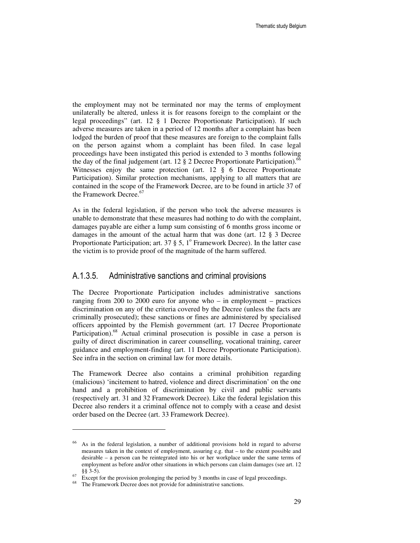the employment may not be terminated nor may the terms of employment unilaterally be altered, unless it is for reasons foreign to the complaint or the legal proceedings" (art. 12 § 1 Decree Proportionate Participation). If such adverse measures are taken in a period of 12 months after a complaint has been lodged the burden of proof that these measures are foreign to the complaint falls on the person against whom a complaint has been filed. In case legal proceedings have been instigated this period is extended to 3 months following the day of the final judgement (art. 12  $\S$  2 Decree Proportionate Participation).<sup>66</sup> Witnesses enjoy the same protection (art. 12 § 6 Decree Proportionate Participation). Similar protection mechanisms, applying to all matters that are contained in the scope of the Framework Decree, are to be found in article 37 of the Framework Decree.<sup>67</sup>

As in the federal legislation, if the person who took the adverse measures is unable to demonstrate that these measures had nothing to do with the complaint, damages payable are either a lump sum consisting of 6 months gross income or damages in the amount of the actual harm that was done (art. 12 § 3 Decree Proportionate Participation; art. 37 § 5, 1° Framework Decree). In the latter case the victim is to provide proof of the magnitude of the harm suffered.

### A.1.3.5. Administrative sanctions and criminal provisions

The Decree Proportionate Participation includes administrative sanctions ranging from 200 to 2000 euro for anyone who – in employment – practices discrimination on any of the criteria covered by the Decree (unless the facts are criminally prosecuted); these sanctions or fines are administered by specialised officers appointed by the Flemish government (art. 17 Decree Proportionate Participation).<sup>68</sup> Actual criminal prosecution is possible in case a person is guilty of direct discrimination in career counselling, vocational training, career guidance and employment-finding (art. 11 Decree Proportionate Participation). See infra in the section on criminal law for more details.

The Framework Decree also contains a criminal prohibition regarding (malicious) 'incitement to hatred, violence and direct discrimination' on the one hand and a prohibition of discrimination by civil and public servants (respectively art. 31 and 32 Framework Decree). Like the federal legislation this Decree also renders it a criminal offence not to comply with a cease and desist order based on the Decree (art. 33 Framework Decree).

<sup>66</sup> As in the federal legislation, a number of additional provisions hold in regard to adverse measures taken in the context of employment, assuring e.g. that – to the extent possible and desirable – a person can be reintegrated into his or her workplace under the same terms of employment as before and/or other situations in which persons can claim damages (see art. 12 §§ 3-5).

Except for the provision prolonging the period by 3 months in case of legal proceedings.

<sup>&</sup>lt;sup>68</sup> The Framework Decree does not provide for administrative sanctions.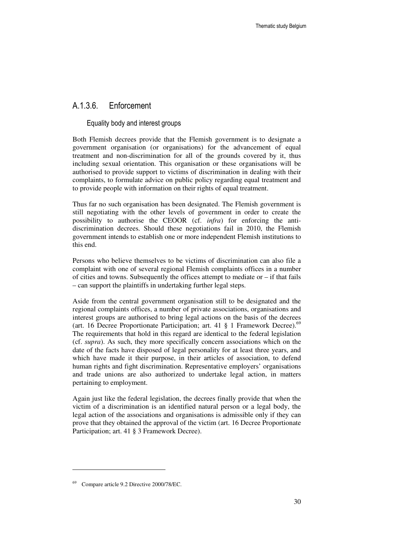## A.1.3.6. Enforcement

### Equality body and interest groups

Both Flemish decrees provide that the Flemish government is to designate a government organisation (or organisations) for the advancement of equal treatment and non-discrimination for all of the grounds covered by it, thus including sexual orientation. This organisation or these organisations will be authorised to provide support to victims of discrimination in dealing with their complaints, to formulate advice on public policy regarding equal treatment and to provide people with information on their rights of equal treatment.

Thus far no such organisation has been designated. The Flemish government is still negotiating with the other levels of government in order to create the possibility to authorise the CEOOR (cf. *infra*) for enforcing the antidiscrimination decrees. Should these negotiations fail in 2010, the Flemish government intends to establish one or more independent Flemish institutions to this end.

Persons who believe themselves to be victims of discrimination can also file a complaint with one of several regional Flemish complaints offices in a number of cities and towns. Subsequently the offices attempt to mediate or – if that fails – can support the plaintiffs in undertaking further legal steps.

Aside from the central government organisation still to be designated and the regional complaints offices, a number of private associations, organisations and interest groups are authorised to bring legal actions on the basis of the decrees (art. 16 Decree Proportionate Participation; art. 41  $\S$  1 Framework Decree).<sup>69</sup> The requirements that hold in this regard are identical to the federal legislation (cf. *supra*). As such, they more specifically concern associations which on the date of the facts have disposed of legal personality for at least three years, and which have made it their purpose, in their articles of association, to defend human rights and fight discrimination. Representative employers' organisations and trade unions are also authorized to undertake legal action, in matters pertaining to employment.

Again just like the federal legislation, the decrees finally provide that when the victim of a discrimination is an identified natural person or a legal body, the legal action of the associations and organisations is admissible only if they can prove that they obtained the approval of the victim (art. 16 Decree Proportionate Participation; art. 41 § 3 Framework Decree).

<sup>69</sup> Compare article 9.2 Directive 2000/78/EC.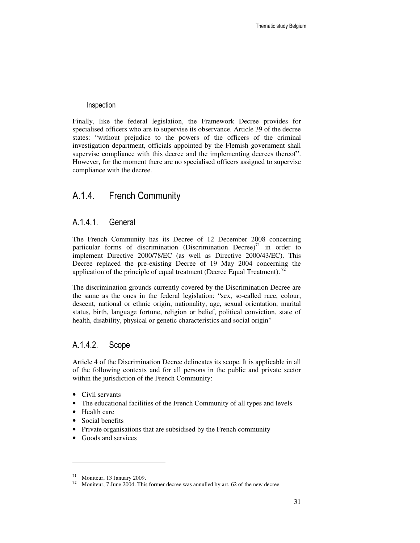#### Inspection

Finally, like the federal legislation, the Framework Decree provides for specialised officers who are to supervise its observance. Article 39 of the decree states: "without prejudice to the powers of the officers of the criminal investigation department, officials appointed by the Flemish government shall supervise compliance with this decree and the implementing decrees thereof". However, for the moment there are no specialised officers assigned to supervise compliance with the decree.

## A.1.4. French Community

## A.1.4.1. General

The French Community has its Decree of 12 December 2008 concerning particular forms of discrimination (Discrimination Decree)<sup>71</sup> in order to implement Directive 2000/78/EC (as well as Directive 2000/43/EC). This Decree replaced the pre-existing Decree of 19 May 2004 concerning the application of the principle of equal treatment (Decree Equal Treatment).<sup>72</sup>

The discrimination grounds currently covered by the Discrimination Decree are the same as the ones in the federal legislation: "sex, so-called race, colour, descent, national or ethnic origin, nationality, age, sexual orientation, marital status, birth, language fortune, religion or belief, political conviction, state of health, disability, physical or genetic characteristics and social origin"

## A.1.4.2. Scope

Article 4 of the Discrimination Decree delineates its scope. It is applicable in all of the following contexts and for all persons in the public and private sector within the jurisdiction of the French Community:

- Civil servants
- The educational facilities of the French Community of all types and levels
- Health care

- Social benefits
- Private organisations that are subsidised by the French community
- Goods and services

<sup>71</sup> Moniteur, 13 January 2009.

 $72$  Moniteur, 7 June 2004. This former decree was annulled by art. 62 of the new decree.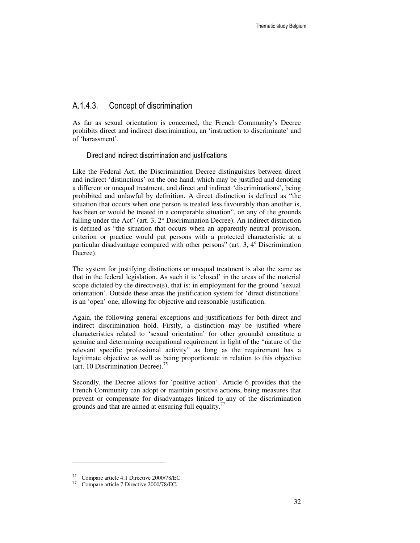## A.1.4.3. Concept of discrimination

As far as sexual orientation is concerned, the French Community's Decree prohibits direct and indirect discrimination, an 'instruction to discriminate' and of 'harassment'.

Direct and indirect discrimination and justifications

Like the Federal Act, the Discrimination Decree distinguishes between direct and indirect 'distinctions' on the one hand, which may be justified and denoting a different or unequal treatment, and direct and indirect 'discriminations', being prohibited and unlawful by definition. A direct distinction is defined as "the situation that occurs when one person is treated less favourably than another is, has been or would be treated in a comparable situation", on any of the grounds falling under the Act" (art. 3, 2° Discrimination Decree). An indirect distinction is defined as "the situation that occurs when an apparently neutral provision, criterion or practice would put persons with a protected characteristic at a particular disadvantage compared with other persons" (art. 3, 4° Discrimination Decree).

The system for justifying distinctions or unequal treatment is also the same as that in the federal legislation. As such it is 'closed' in the areas of the material scope dictated by the directive(s), that is: in employment for the ground 'sexual orientation'. Outside these areas the justification system for 'direct distinctions' is an 'open' one, allowing for objective and reasonable justification.

Again, the following general exceptions and justifications for both direct and indirect discrimination hold. Firstly, a distinction may be justified where characteristics related to 'sexual orientation' (or other grounds) constitute a genuine and determining occupational requirement in light of the "nature of the relevant specific professional activity" as long as the requirement has a legitimate objective as well as being proportionate in relation to this objective (art. 10 Discrimination Decree).<sup>75</sup>

Secondly, the Decree allows for 'positive action'. Article 6 provides that the French Community can adopt or maintain positive actions, being measures that prevent or compensate for disadvantages linked to any of the discrimination grounds and that are aimed at ensuring full equality.<sup>77</sup>

<sup>75</sup> Compare article 4.1 Directive 2000/78/EC.

<sup>77</sup> Compare article 7 Directive 2000/78/EC.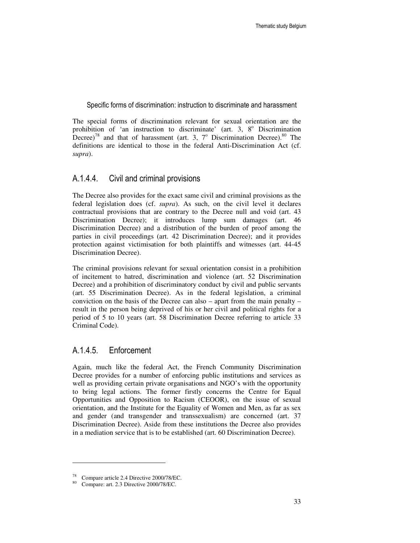Specific forms of discrimination: instruction to discriminate and harassment

The special forms of discrimination relevant for sexual orientation are the prohibition of 'an instruction to discriminate' (art. 3, 8° Discrimination Decree)<sup>78</sup> and that of harassment (art. 3,  $7^\circ$  Discrimination Decree).<sup>80</sup> The definitions are identical to those in the federal Anti-Discrimination Act (cf. *supra*).

### A.1.4.4. Civil and criminal provisions

The Decree also provides for the exact same civil and criminal provisions as the federal legislation does (cf. *supra*). As such, on the civil level it declares contractual provisions that are contrary to the Decree null and void (art. 43 Discrimination Decree); it introduces lump sum damages (art. 46 Discrimination Decree) and a distribution of the burden of proof among the parties in civil proceedings (art. 42 Discrimination Decree); and it provides protection against victimisation for both plaintiffs and witnesses (art. 44-45 Discrimination Decree).

The criminal provisions relevant for sexual orientation consist in a prohibition of incitement to hatred, discrimination and violence (art. 52 Discrimination Decree) and a prohibition of discriminatory conduct by civil and public servants (art. 55 Discrimination Decree). As in the federal legislation, a criminal conviction on the basis of the Decree can also – apart from the main penalty – result in the person being deprived of his or her civil and political rights for a period of 5 to 10 years (art. 58 Discrimination Decree referring to article 33 Criminal Code).

## A.1.4.5. Enforcement

Again, much like the federal Act, the French Community Discrimination Decree provides for a number of enforcing public institutions and services as well as providing certain private organisations and NGO's with the opportunity to bring legal actions. The former firstly concerns the Centre for Equal Opportunities and Opposition to Racism (CEOOR), on the issue of sexual orientation, and the Institute for the Equality of Women and Men, as far as sex and gender (and transgender and transsexualism) are concerned (art. 37 Discrimination Decree). Aside from these institutions the Decree also provides in a mediation service that is to be established (art. 60 Discrimination Decree).

<sup>78</sup> Compare article 2.4 Directive 2000/78/EC.

<sup>80</sup> Compare: art. 2.3 Directive 2000/78/EC.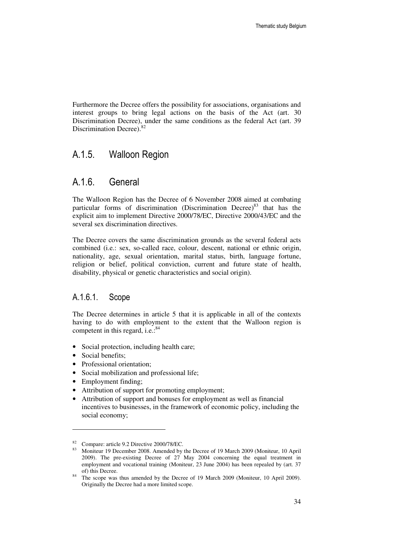Furthermore the Decree offers the possibility for associations, organisations and interest groups to bring legal actions on the basis of the Act (art. 30 Discrimination Decree), under the same conditions as the federal Act (art. 39 Discrimination Decree).<sup>8</sup>

## A.1.5. Walloon Region

## A.1.6. General

The Walloon Region has the Decree of 6 November 2008 aimed at combating particular forms of discrimination (Discrimination Decree) $83$  that has the explicit aim to implement Directive 2000/78/EC, Directive 2000/43/EC and the several sex discrimination directives.

The Decree covers the same discrimination grounds as the several federal acts combined (i.e.: sex, so-called race, colour, descent, national or ethnic origin, nationality, age, sexual orientation, marital status, birth, language fortune, religion or belief, political conviction, current and future state of health, disability, physical or genetic characteristics and social origin).

## A.1.6.1. Scope

The Decree determines in article 5 that it is applicable in all of the contexts having to do with employment to the extent that the Walloon region is competent in this regard, i.e.: $84$ 

- Social protection, including health care;
- Social benefits:

- Professional orientation:
- Social mobilization and professional life;
- Employment finding;
- Attribution of support for promoting employment;
- Attribution of support and bonuses for employment as well as financial incentives to businesses, in the framework of economic policy, including the social economy;

 $\frac{82}{100}$  Compare: article 9.2 Directive 2000/78/EC.

<sup>83</sup> Moniteur 19 December 2008. Amended by the Decree of 19 March 2009 (Moniteur, 10 April 2009). The pre-existing Decree of 27 May 2004 concerning the equal treatment in employment and vocational training (Moniteur, 23 June 2004) has been repealed by (art. 37 of) this Decree.

The scope was thus amended by the Decree of 19 March 2009 (Moniteur, 10 April 2009). Originally the Decree had a more limited scope.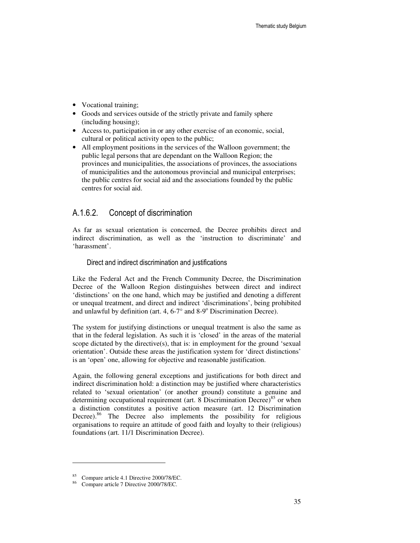- Vocational training;
- Goods and services outside of the strictly private and family sphere (including housing);
- Access to, participation in or any other exercise of an economic, social, cultural or political activity open to the public;
- All employment positions in the services of the Walloon government; the public legal persons that are dependant on the Walloon Region; the provinces and municipalities, the associations of provinces, the associations of municipalities and the autonomous provincial and municipal enterprises; the public centres for social aid and the associations founded by the public centres for social aid.

## A.1.6.2. Concept of discrimination

As far as sexual orientation is concerned, the Decree prohibits direct and indirect discrimination, as well as the 'instruction to discriminate' and 'harassment'.

#### Direct and indirect discrimination and justifications

Like the Federal Act and the French Community Decree, the Discrimination Decree of the Walloon Region distinguishes between direct and indirect 'distinctions' on the one hand, which may be justified and denoting a different or unequal treatment, and direct and indirect 'discriminations', being prohibited and unlawful by definition (art. 4,  $6-7^\circ$  and  $8-9^\circ$  Discrimination Decree).

The system for justifying distinctions or unequal treatment is also the same as that in the federal legislation. As such it is 'closed' in the areas of the material scope dictated by the directive(s), that is: in employment for the ground 'sexual orientation'. Outside these areas the justification system for 'direct distinctions' is an 'open' one, allowing for objective and reasonable justification.

Again, the following general exceptions and justifications for both direct and indirect discrimination hold: a distinction may be justified where characteristics related to 'sexual orientation' (or another ground) constitute a genuine and determining occupational requirement (art. 8 Discrimination Decree)<sup>85</sup> or when a distinction constitutes a positive action measure (art. 12 Discrimination Decree).<sup>86</sup> The Decree also implements the possibility for religious organisations to require an attitude of good faith and loyalty to their (religious) foundations (art. 11/1 Discrimination Decree).

<sup>85</sup> Compare article 4.1 Directive 2000/78/EC.

<sup>86</sup> Compare article 7 Directive 2000/78/EC.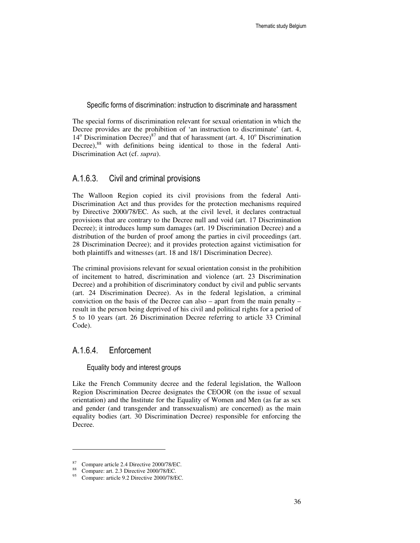Specific forms of discrimination: instruction to discriminate and harassment

The special forms of discrimination relevant for sexual orientation in which the Decree provides are the prohibition of 'an instruction to discriminate' (art. 4,  $14^{\circ}$  Discrimination Decree)<sup>87</sup> and that of harassment (art. 4,  $10^{\circ}$  Discrimination Decree),<sup>88</sup> with definitions being identical to those in the federal Anti-Discrimination Act (cf. *supra*).

### A.1.6.3. Civil and criminal provisions

The Walloon Region copied its civil provisions from the federal Anti-Discrimination Act and thus provides for the protection mechanisms required by Directive 2000/78/EC. As such, at the civil level, it declares contractual provisions that are contrary to the Decree null and void (art. 17 Discrimination Decree); it introduces lump sum damages (art. 19 Discrimination Decree) and a distribution of the burden of proof among the parties in civil proceedings (art. 28 Discrimination Decree); and it provides protection against victimisation for both plaintiffs and witnesses (art. 18 and 18/1 Discrimination Decree).

The criminal provisions relevant for sexual orientation consist in the prohibition of incitement to hatred, discrimination and violence (art. 23 Discrimination Decree) and a prohibition of discriminatory conduct by civil and public servants (art. 24 Discrimination Decree). As in the federal legislation, a criminal conviction on the basis of the Decree can also – apart from the main penalty – result in the person being deprived of his civil and political rights for a period of 5 to 10 years (art. 26 Discrimination Decree referring to article 33 Criminal Code).

### A.1.6.4. Enforcement

#### Equality body and interest groups

Like the French Community decree and the federal legislation, the Walloon Region Discrimination Decree designates the CEOOR (on the issue of sexual orientation) and the Institute for the Equality of Women and Men (as far as sex and gender (and transgender and transsexualism) are concerned) as the main equality bodies (art. 30 Discrimination Decree) responsible for enforcing the Decree.

 $^{87}$  Compare article 2.4 Directive 2000/78/EC.

<sup>&</sup>lt;sup>88</sup> Compare: art. 2.3 Directive 2000/78/EC.<br><sup>95</sup> Compare: article 9.2 Directive 2000/78/E

<sup>95</sup> Compare: article 9.2 Directive 2000/78/EC.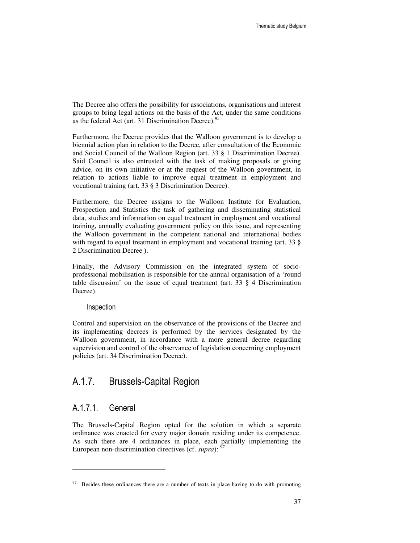The Decree also offers the possibility for associations, organisations and interest groups to bring legal actions on the basis of the Act, under the same conditions as the federal Act (art. 31 Discrimination Decree).<sup>95</sup>

Furthermore, the Decree provides that the Walloon government is to develop a biennial action plan in relation to the Decree, after consultation of the Economic and Social Council of the Walloon Region (art. 33 § 1 Discrimination Decree). Said Council is also entrusted with the task of making proposals or giving advice, on its own initiative or at the request of the Walloon government, in relation to actions liable to improve equal treatment in employment and vocational training (art. 33 § 3 Discrimination Decree).

Furthermore, the Decree assigns to the Walloon Institute for Evaluation, Prospection and Statistics the task of gathering and disseminating statistical data, studies and information on equal treatment in employment and vocational training, annually evaluating government policy on this issue, and representing the Walloon government in the competent national and international bodies with regard to equal treatment in employment and vocational training (art. 33 § 2 Discrimination Decree ).

Finally, the Advisory Commission on the integrated system of socioprofessional mobilisation is responsible for the annual organisation of a 'round table discussion' on the issue of equal treatment (art.  $33 \S 4$  Discrimination Decree).

#### Inspection

Control and supervision on the observance of the provisions of the Decree and its implementing decrees is performed by the services designated by the Walloon government, in accordance with a more general decree regarding supervision and control of the observance of legislation concerning employment policies (art. 34 Discrimination Decree).

## A.1.7. Brussels-Capital Region

### A.1.7.1. General

 $\ddot{ }$ 

The Brussels-Capital Region opted for the solution in which a separate ordinance was enacted for every major domain residing under its competence. As such there are 4 ordinances in place, each partially implementing the European non-discrimination directives (cf. *supra*):

 $97$  Besides these ordinances there are a number of texts in place having to do with promoting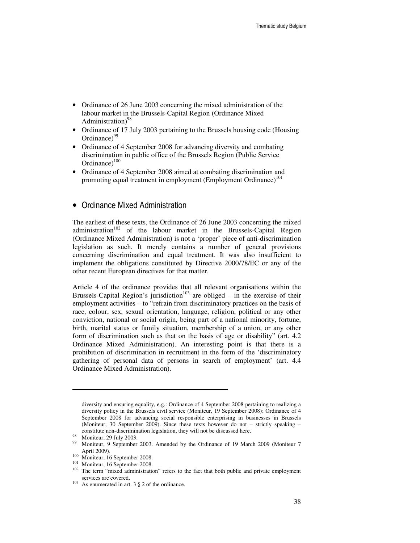- Ordinance of 26 June 2003 concerning the mixed administration of the labour market in the Brussels-Capital Region (Ordinance Mixed Administration)<sup>98</sup>
- Ordinance of 17 July 2003 pertaining to the Brussels housing code (Housing Ordinance $999$
- Ordinance of 4 September 2008 for advancing diversity and combating discrimination in public office of the Brussels Region (Public Service Ordinance $)^{100}$
- Ordinance of 4 September 2008 aimed at combating discrimination and promoting equal treatment in employment (Employment Ordinance)<sup>101</sup>

#### • Ordinance Mixed Administration

The earliest of these texts, the Ordinance of 26 June 2003 concerning the mixed administration<sup>102</sup> of the labour market in the Brussels-Capital Region (Ordinance Mixed Administration) is not a 'proper' piece of anti-discrimination legislation as such. It merely contains a number of general provisions concerning discrimination and equal treatment. It was also insufficient to implement the obligations constituted by Directive 2000/78/EC or any of the other recent European directives for that matter.

Article 4 of the ordinance provides that all relevant organisations within the Brussels-Capital Region's jurisdiction<sup>103</sup> are obliged – in the exercise of their employment activities – to "refrain from discriminatory practices on the basis of race, colour, sex, sexual orientation, language, religion, political or any other conviction, national or social origin, being part of a national minority, fortune, birth, marital status or family situation, membership of a union, or any other form of discrimination such as that on the basis of age or disability" (art. 4.2 Ordinance Mixed Administration). An interesting point is that there is a prohibition of discrimination in recruitment in the form of the 'discriminatory gathering of personal data of persons in search of employment' (art. 4.4 Ordinance Mixed Administration).

 $\ddot{ }$ 

<sup>101</sup> Moniteur, 16 September 2008.

diversity and ensuring equality, e.g.: Ordinance of 4 September 2008 pertaining to realizing a diversity policy in the Brussels civil service (Moniteur, 19 September 2008); Ordinance of 4 September 2008 for advancing social responsible enterprising in businesses in Brussels (Moniteur, 30 September 2009). Since these texts however do not – strictly speaking – constitute non-discrimination legislation, they will not be discussed here.

<sup>98</sup> Moniteur, 29 July 2003.

<sup>99</sup> Moniteur, 9 September 2003. Amended by the Ordinance of 19 March 2009 (Moniteur 7 April 2009).

<sup>&</sup>lt;sup>100</sup> Moniteur, 16 September 2008.

<sup>&</sup>lt;sup>102</sup> The term "mixed administration" refers to the fact that both public and private employment services are covered.

<sup>&</sup>lt;sup>103</sup> As enumerated in art.  $3 \tS 2$  of the ordinance.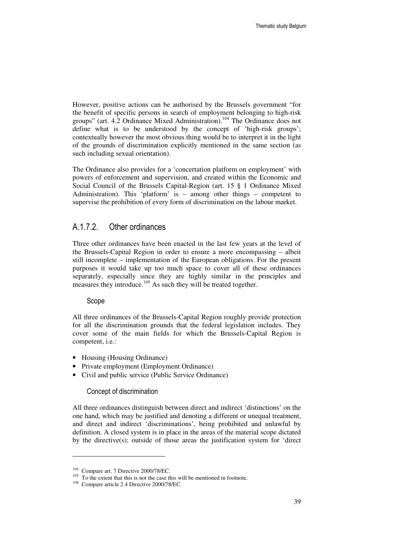However, positive actions can be authorised by the Brussels government "for the benefit of specific persons in search of employment belonging to high-risk groups" (art. 4.2 Ordinance Mixed Administration).<sup>104</sup> The Ordinance does not define what is to be understood by the concept of 'high-risk groups'; contextually however the most obvious thing would be to interpret it in the light of the grounds of discrimination explicitly mentioned in the same section (as such including sexual orientation).

The Ordinance also provides for a 'concertation platform on employment' with powers of enforcement and supervision, and created within the Economic and Social Council of the Brussels Capital-Region (art. 15 § 1 Ordinance Mixed Administration). This 'platform' is – among other things – competent to supervise the prohibition of every form of discrimination on the labour market.

#### A.1.7.2. Other ordinances

Three other ordinances have been enacted in the last few years at the level of the Brussels-Capital Region in order to ensure a more encompassing – albeit still incomplete – implementation of the European obligations. For the present purposes it would take up too much space to cover all of these ordinances separately, especially since they are highly similar in the principles and measures they introduce.<sup>105</sup> As such they will be treated together.

#### Scope

All three ordinances of the Brussels-Capital Region roughly provide protection for all the discrimination grounds that the federal legislation includes. They cover some of the main fields for which the Brussels-Capital Region is competent, i.e.:

- Housing (Housing Ordinance)
- Private employment (Employment Ordinance)
- Civil and public service (Public Service Ordinance)

#### Concept of discrimination

All three ordinances distinguish between direct and indirect 'distinctions' on the one hand, which may be justified and denoting a different or unequal treatment, and direct and indirect 'discriminations', being prohibited and unlawful by definition. A closed system is in place in the areas of the material scope dictated by the directive(s); outside of those areas the justification system for 'direct

<sup>104</sup> Compare art. 7 Directive 2000/78/EC.

<sup>&</sup>lt;sup>105</sup> To the extent that this is not the case this will be mentioned in footnote.

<sup>108</sup> Compare article 2.4 Directive 2000/78/EC.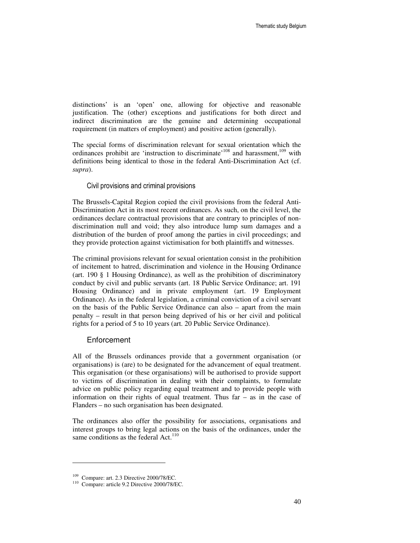distinctions' is an 'open' one, allowing for objective and reasonable justification. The (other) exceptions and justifications for both direct and indirect discrimination are the genuine and determining occupational requirement (in matters of employment) and positive action (generally).

The special forms of discrimination relevant for sexual orientation which the ordinances prohibit are 'instruction to discriminate'<sup>108</sup> and harassment,<sup>109</sup> with definitions being identical to those in the federal Anti-Discrimination Act (cf. *supra*).

#### Civil provisions and criminal provisions

The Brussels-Capital Region copied the civil provisions from the federal Anti-Discrimination Act in its most recent ordinances. As such, on the civil level, the ordinances declare contractual provisions that are contrary to principles of nondiscrimination null and void; they also introduce lump sum damages and a distribution of the burden of proof among the parties in civil proceedings; and they provide protection against victimisation for both plaintiffs and witnesses.

The criminal provisions relevant for sexual orientation consist in the prohibition of incitement to hatred, discrimination and violence in the Housing Ordinance (art. 190 § 1 Housing Ordinance), as well as the prohibition of discriminatory conduct by civil and public servants (art. 18 Public Service Ordinance; art. 191 Housing Ordinance) and in private employment (art. 19 Employment Ordinance). As in the federal legislation, a criminal conviction of a civil servant on the basis of the Public Service Ordinance can also – apart from the main penalty – result in that person being deprived of his or her civil and political rights for a period of 5 to 10 years (art. 20 Public Service Ordinance).

#### **Enforcement**

All of the Brussels ordinances provide that a government organisation (or organisations) is (are) to be designated for the advancement of equal treatment. This organisation (or these organisations) will be authorised to provide support to victims of discrimination in dealing with their complaints, to formulate advice on public policy regarding equal treatment and to provide people with information on their rights of equal treatment. Thus far – as in the case of Flanders – no such organisation has been designated.

The ordinances also offer the possibility for associations, organisations and interest groups to bring legal actions on the basis of the ordinances, under the same conditions as the federal Act. $110$ 

<sup>109</sup> Compare: art. 2.3 Directive 2000/78/EC.

<sup>110</sup> Compare: article 9.2 Directive 2000/78/EC.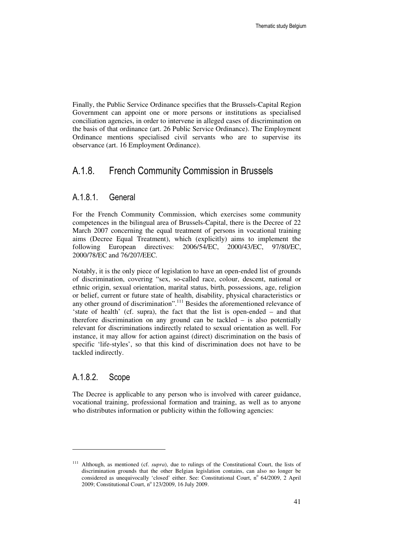Finally, the Public Service Ordinance specifies that the Brussels-Capital Region Government can appoint one or more persons or institutions as specialised conciliation agencies, in order to intervene in alleged cases of discrimination on the basis of that ordinance (art. 26 Public Service Ordinance). The Employment Ordinance mentions specialised civil servants who are to supervise its observance (art. 16 Employment Ordinance).

## A.1.8. French Community Commission in Brussels

#### A.1.8.1. General

For the French Community Commission, which exercises some community competences in the bilingual area of Brussels-Capital, there is the Decree of 22 March 2007 concerning the equal treatment of persons in vocational training aims (Decree Equal Treatment), which (explicitly) aims to implement the following European directives: 2006/54/EC, 2000/43/EC, 97/80/EC, 2000/78/EC and 76/207/EEC.

Notably, it is the only piece of legislation to have an open-ended list of grounds of discrimination, covering "sex, so-called race, colour, descent, national or ethnic origin, sexual orientation, marital status, birth, possessions, age, religion or belief, current or future state of health, disability, physical characteristics or any other ground of discrimination".<sup>111</sup> Besides the aforementioned relevance of 'state of health' (cf. supra), the fact that the list is open-ended – and that therefore discrimination on any ground can be tackled – is also potentially relevant for discriminations indirectly related to sexual orientation as well. For instance, it may allow for action against (direct) discrimination on the basis of specific 'life-styles', so that this kind of discrimination does not have to be tackled indirectly.

### A.1.8.2. Scope

 $\ddot{ }$ 

The Decree is applicable to any person who is involved with career guidance, vocational training, professional formation and training, as well as to anyone who distributes information or publicity within the following agencies:

<sup>111</sup> Although, as mentioned (cf. *supra*), due to rulings of the Constitutional Court, the lists of discrimination grounds that the other Belgian legislation contains, can also no longer be considered as unequivocally 'closed' either. See: Constitutional Court, nº 64/2009, 2 April 2009; Constitutional Court, nº 123/2009, 16 July 2009.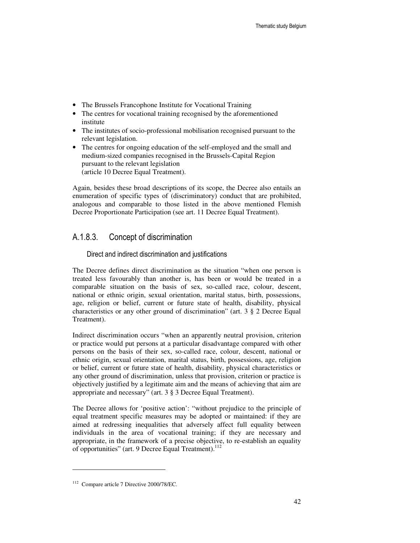- The Brussels Francophone Institute for Vocational Training
- The centres for vocational training recognised by the aforementioned institute
- The institutes of socio-professional mobilisation recognised pursuant to the relevant legislation.
- The centres for ongoing education of the self-employed and the small and medium-sized companies recognised in the Brussels-Capital Region pursuant to the relevant legislation (article 10 Decree Equal Treatment).

Again, besides these broad descriptions of its scope, the Decree also entails an enumeration of specific types of (discriminatory) conduct that are prohibited, analogous and comparable to those listed in the above mentioned Flemish Decree Proportionate Participation (see art. 11 Decree Equal Treatment).

### A.1.8.3. Concept of discrimination

#### Direct and indirect discrimination and justifications

The Decree defines direct discrimination as the situation "when one person is treated less favourably than another is, has been or would be treated in a comparable situation on the basis of sex, so-called race, colour, descent, national or ethnic origin, sexual orientation, marital status, birth, possessions, age, religion or belief, current or future state of health, disability, physical characteristics or any other ground of discrimination" (art. 3 § 2 Decree Equal Treatment).

Indirect discrimination occurs "when an apparently neutral provision, criterion or practice would put persons at a particular disadvantage compared with other persons on the basis of their sex, so-called race, colour, descent, national or ethnic origin, sexual orientation, marital status, birth, possessions, age, religion or belief, current or future state of health, disability, physical characteristics or any other ground of discrimination, unless that provision, criterion or practice is objectively justified by a legitimate aim and the means of achieving that aim are appropriate and necessary" (art. 3 § 3 Decree Equal Treatment).

The Decree allows for 'positive action': "without prejudice to the principle of equal treatment specific measures may be adopted or maintained: if they are aimed at redressing inequalities that adversely affect full equality between individuals in the area of vocational training; if they are necessary and appropriate, in the framework of a precise objective, to re-establish an equality of opportunities" (art. 9 Decree Equal Treatment).<sup>112</sup>

<sup>112</sup> Compare article 7 Directive 2000/78/EC.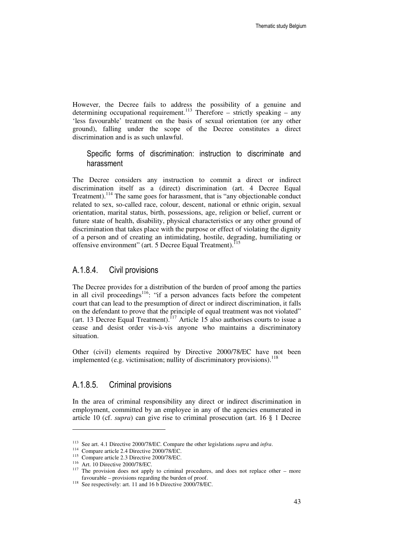However, the Decree fails to address the possibility of a genuine and determining occupational requirement.<sup>113</sup> Therefore – strictly speaking – any 'less favourable' treatment on the basis of sexual orientation (or any other ground), falling under the scope of the Decree constitutes a direct discrimination and is as such unlawful.

Specific forms of discrimination: instruction to discriminate and harassment

The Decree considers any instruction to commit a direct or indirect discrimination itself as a (direct) discrimination (art. 4 Decree Equal Treatment).<sup>114</sup> The same goes for harassment, that is "any objectionable conduct related to sex, so-called race, colour, descent, national or ethnic origin, sexual orientation, marital status, birth, possessions, age, religion or belief, current or future state of health, disability, physical characteristics or any other ground of discrimination that takes place with the purpose or effect of violating the dignity of a person and of creating an intimidating, hostile, degrading, humiliating or offensive environment" (art. 5 Decree Equal Treatment).<sup>115</sup>

#### A.1.8.4. Civil provisions

The Decree provides for a distribution of the burden of proof among the parties in all civil proceedings<sup>116</sup>: "if a person advances facts before the competent court that can lead to the presumption of direct or indirect discrimination, it falls on the defendant to prove that the principle of equal treatment was not violated" (art. 13 Decree Equal Treatment).<sup>117</sup> Article 15 also authorises courts to issue a cease and desist order vis-à-vis anyone who maintains a discriminatory situation.

Other (civil) elements required by Directive 2000/78/EC have not been implemented (e.g. victimisation; nullity of discriminatory provisions).  $118$ 

### A.1.8.5. Criminal provisions

In the area of criminal responsibility any direct or indirect discrimination in employment, committed by an employee in any of the agencies enumerated in article 10 (cf. *supra*) can give rise to criminal prosecution (art. 16 § 1 Decree

-

<sup>113</sup> See art. 4.1 Directive 2000/78/EC. Compare the other legislations *supra* and *infra*.

<sup>114</sup> Compare article 2.4 Directive 2000/78/EC.

<sup>&</sup>lt;sup>115</sup> Compare article 2.3 Directive 2000/78/EC.

<sup>116</sup> Art. 10 Directive 2000/78/EC.

<sup>&</sup>lt;sup>117</sup> The provision does not apply to criminal procedures, and does not replace other – more favourable – provisions regarding the burden of proof.

<sup>&</sup>lt;sup>118</sup> See respectively: art. 11 and 16 b Directive 2000/78/EC.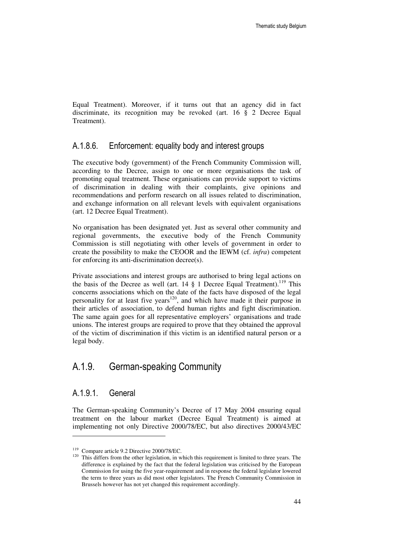Equal Treatment). Moreover, if it turns out that an agency did in fact discriminate, its recognition may be revoked (art. 16 § 2 Decree Equal Treatment).

### A.1.8.6. Enforcement: equality body and interest groups

The executive body (government) of the French Community Commission will, according to the Decree, assign to one or more organisations the task of promoting equal treatment. These organisations can provide support to victims of discrimination in dealing with their complaints, give opinions and recommendations and perform research on all issues related to discrimination, and exchange information on all relevant levels with equivalent organisations (art. 12 Decree Equal Treatment).

No organisation has been designated yet. Just as several other community and regional governments, the executive body of the French Community Commission is still negotiating with other levels of government in order to create the possibility to make the CEOOR and the IEWM (cf. *infra*) competent for enforcing its anti-discrimination decree(s).

Private associations and interest groups are authorised to bring legal actions on the basis of the Decree as well (art.  $14 \tS$  1 Decree Equal Treatment).<sup>119</sup> This concerns associations which on the date of the facts have disposed of the legal personality for at least five years<sup>120</sup>, and which have made it their purpose in their articles of association, to defend human rights and fight discrimination. The same again goes for all representative employers' organisations and trade unions. The interest groups are required to prove that they obtained the approval of the victim of discrimination if this victim is an identified natural person or a legal body.

## A.1.9. German-speaking Community

### A.1.9.1. General

 $\ddot{ }$ 

The German-speaking Community's Decree of 17 May 2004 ensuring equal treatment on the labour market (Decree Equal Treatment) is aimed at implementing not only Directive 2000/78/EC, but also directives 2000/43/EC

<sup>119</sup> Compare article 9.2 Directive 2000/78/EC.

<sup>&</sup>lt;sup>120</sup> This differs from the other legislation, in which this requirement is limited to three years. The difference is explained by the fact that the federal legislation was criticised by the European Commission for using the five year-requirement and in response the federal legislator lowered the term to three years as did most other legislators. The French Community Commission in Brussels however has not yet changed this requirement accordingly.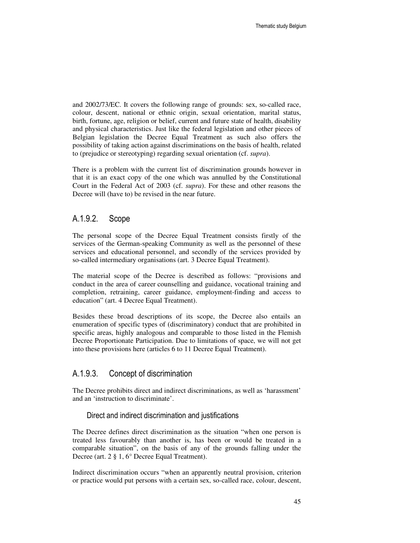and 2002/73/EC. It covers the following range of grounds: sex, so-called race, colour, descent, national or ethnic origin, sexual orientation, marital status, birth, fortune, age, religion or belief, current and future state of health, disability and physical characteristics. Just like the federal legislation and other pieces of Belgian legislation the Decree Equal Treatment as such also offers the possibility of taking action against discriminations on the basis of health, related to (prejudice or stereotyping) regarding sexual orientation (cf. *supra*).

There is a problem with the current list of discrimination grounds however in that it is an exact copy of the one which was annulled by the Constitutional Court in the Federal Act of 2003 (cf. *supra*). For these and other reasons the Decree will (have to) be revised in the near future.

#### A.1.9.2. Scope

The personal scope of the Decree Equal Treatment consists firstly of the services of the German-speaking Community as well as the personnel of these services and educational personnel, and secondly of the services provided by so-called intermediary organisations (art. 3 Decree Equal Treatment).

The material scope of the Decree is described as follows: "provisions and conduct in the area of career counselling and guidance, vocational training and completion, retraining, career guidance, employment-finding and access to education" (art. 4 Decree Equal Treatment).

Besides these broad descriptions of its scope, the Decree also entails an enumeration of specific types of (discriminatory) conduct that are prohibited in specific areas, highly analogous and comparable to those listed in the Flemish Decree Proportionate Participation. Due to limitations of space, we will not get into these provisions here (articles 6 to 11 Decree Equal Treatment).

#### A.1.9.3. Concept of discrimination

The Decree prohibits direct and indirect discriminations, as well as 'harassment' and an 'instruction to discriminate'.

#### Direct and indirect discrimination and justifications

The Decree defines direct discrimination as the situation "when one person is treated less favourably than another is, has been or would be treated in a comparable situation", on the basis of any of the grounds falling under the Decree (art. 2 § 1, 6° Decree Equal Treatment).

Indirect discrimination occurs "when an apparently neutral provision, criterion or practice would put persons with a certain sex, so-called race, colour, descent,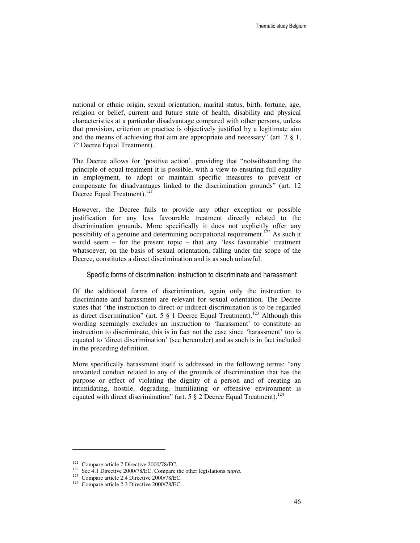national or ethnic origin, sexual orientation, marital status, birth, fortune, age, religion or belief, current and future state of health, disability and physical characteristics at a particular disadvantage compared with other persons, unless that provision, criterion or practice is objectively justified by a legitimate aim and the means of achieving that aim are appropriate and necessary" (art.  $2 \xi$  1, 7° Decree Equal Treatment).

The Decree allows for 'positive action', providing that "notwithstanding the principle of equal treatment it is possible, with a view to ensuring full equality in employment, to adopt or maintain specific measures to prevent or compensate for disadvantages linked to the discrimination grounds" (art. 12 Decree Equal Treatment).<sup>121</sup>

However, the Decree fails to provide any other exception or possible justification for any less favourable treatment directly related to the discrimination grounds. More specifically it does not explicitly offer any possibility of a genuine and determining occupational requirement.<sup>122</sup> As such it would seem – for the present topic – that any 'less favourable' treatment whatsoever, on the basis of sexual orientation, falling under the scope of the Decree, constitutes a direct discrimination and is as such unlawful.

#### Specific forms of discrimination: instruction to discriminate and harassment

Of the additional forms of discrimination, again only the instruction to discriminate and harassment are relevant for sexual orientation. The Decree states that "the instruction to direct or indirect discrimination is to be regarded as direct discrimination" (art. 5  $\S$  1 Decree Equal Treatment).<sup>123</sup> Although this wording seemingly excludes an instruction to 'harassment' to constitute an instruction to discriminate, this is in fact not the case since 'harassment' too is equated to 'direct discrimination' (see hereunder) and as such is in fact included in the preceding definition.

More specifically harassment itself is addressed in the following terms: "any unwanted conduct related to any of the grounds of discrimination that has the purpose or effect of violating the dignity of a person and of creating an intimidating, hostile, degrading, humiliating or offensive environment is equated with direct discrimination" (art. 5  $\S$  2 Decree Equal Treatment).<sup>124</sup>

<sup>&</sup>lt;sup>121</sup> Compare article 7 Directive 2000/78/EC.

<sup>122</sup> See 4.1 Directive 2000/78/EC. Compare the other legislations *supra*.

<sup>123</sup> Compare article 2.4 Directive 2000/78/EC.

<sup>124</sup> Compare article 2.3 Directive 2000/78/EC.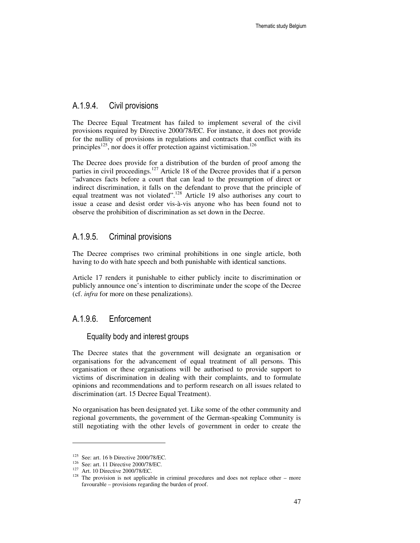### A.1.9.4. Civil provisions

The Decree Equal Treatment has failed to implement several of the civil provisions required by Directive 2000/78/EC. For instance, it does not provide for the nullity of provisions in regulations and contracts that conflict with its principles<sup>125</sup>, nor does it offer protection against victimisation.<sup>126</sup>

The Decree does provide for a distribution of the burden of proof among the parties in civil proceedings.<sup>127</sup> Article 18 of the Decree provides that if a person "advances facts before a court that can lead to the presumption of direct or indirect discrimination, it falls on the defendant to prove that the principle of equal treatment was not violated".<sup>128</sup> Article 19 also authorises any court to issue a cease and desist order vis-à-vis anyone who has been found not to observe the prohibition of discrimination as set down in the Decree.

#### A.1.9.5. Criminal provisions

The Decree comprises two criminal prohibitions in one single article, both having to do with hate speech and both punishable with identical sanctions.

Article 17 renders it punishable to either publicly incite to discrimination or publicly announce one's intention to discriminate under the scope of the Decree (cf. *infra* for more on these penalizations).

### A.1.9.6. Enforcement

#### Equality body and interest groups

The Decree states that the government will designate an organisation or organisations for the advancement of equal treatment of all persons. This organisation or these organisations will be authorised to provide support to victims of discrimination in dealing with their complaints, and to formulate opinions and recommendations and to perform research on all issues related to discrimination (art. 15 Decree Equal Treatment).

No organisation has been designated yet. Like some of the other community and regional governments, the government of the German-speaking Community is still negotiating with the other levels of government in order to create the

 $\overline{a}$ 

 $125$  See: art. 16 b Directive 2000/78/EC.

<sup>126</sup> See: art. 11 Directive 2000/78/EC.

<sup>127</sup> Art. 10 Directive 2000/78/EC.

 $128$  The provision is not applicable in criminal procedures and does not replace other – more favourable – provisions regarding the burden of proof.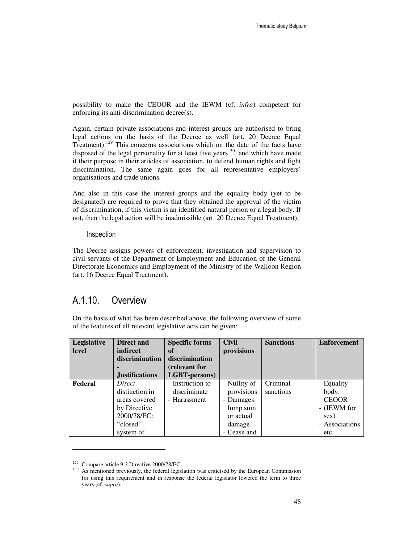possibility to make the CEOOR and the IEWM (cf. *infra*) competent for enforcing its anti-discrimination decree(s).

Again, certain private associations and interest groups are authorised to bring legal actions on the basis of the Decree as well (art. 20 Decree Equal Treatment).<sup>129</sup> This concerns associations which on the date of the facts have disposed of the legal personality for at least five years<sup>130</sup>, and which have made it their purpose in their articles of association, to defend human rights and fight discrimination. The same again goes for all representative employers' organisations and trade unions.

And also in this case the interest groups and the equality body (yet to be designated) are required to prove that they obtained the approval of the victim of discrimination, if this victim is an identified natural person or a legal body. If not, then the legal action will be inadmissible (art. 20 Decree Equal Treatment).

#### Inspection

The Decree assigns powers of enforcement, investigation and supervision to civil servants of the Department of Employment and Education of the General Directorate Economics and Employment of the Ministry of the Walloon Region (art. 16 Decree Equal Treatment).

### A.1.10. Overview

On the basis of what has been described above, the following overview of some of the features of all relevant legislative acts can be given:

| Legislative | <b>Direct and</b>     | <b>Specific forms</b> | <b>Civil</b> | <b>Sanctions</b> | <b>Enforcement</b> |
|-------------|-----------------------|-----------------------|--------------|------------------|--------------------|
| level       | indirect              | of                    | provisions   |                  |                    |
|             | discrimination        | discrimination        |              |                  |                    |
|             |                       | (relevant for         |              |                  |                    |
|             | <b>Justifications</b> | LGBT-persons)         |              |                  |                    |
| Federal     | Direct                | - Instruction to      | - Nullity of | Criminal         | - Equality         |
|             | distinction in        | discriminate          | provisions   | sanctions        | body:              |
|             | areas covered         | - Harassment          | - Damages:   |                  | <b>CEOOR</b>       |
|             | by Directive          |                       | lump sum     |                  | - (IEWM for        |
|             | 2000/78/EC:           |                       | or actual    |                  | sex)               |
|             | "closed"              |                       | damage       |                  | - Associations     |
|             | system of             |                       | - Cease and  |                  | etc.               |

<sup>129</sup> Compare article 9.2 Directive 2000/78/EC.

<sup>&</sup>lt;sup>130</sup> As mentioned previously, the federal legislation was criticised by the European Commission for using this requirement and in response the federal legislator lowered the term to three years (cf. *supra*).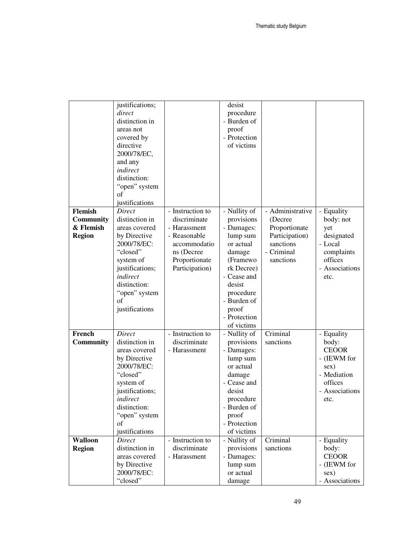|                               | justifications;                 |                                  | desist                 |                                 |                       |
|-------------------------------|---------------------------------|----------------------------------|------------------------|---------------------------------|-----------------------|
|                               | direct                          |                                  | procedure              |                                 |                       |
|                               | distinction in                  |                                  | - Burden of            |                                 |                       |
|                               | areas not                       |                                  | proof                  |                                 |                       |
|                               | covered by                      |                                  | - Protection           |                                 |                       |
|                               | directive                       |                                  | of victims             |                                 |                       |
|                               | 2000/78/EC,                     |                                  |                        |                                 |                       |
|                               | and any                         |                                  |                        |                                 |                       |
|                               | indirect                        |                                  |                        |                                 |                       |
|                               | distinction:                    |                                  |                        |                                 |                       |
|                               | "open" system                   |                                  |                        |                                 |                       |
|                               | of                              |                                  |                        |                                 |                       |
|                               | justifications                  |                                  |                        |                                 |                       |
| <b>Flemish</b>                | Direct                          | - Instruction to                 | - Nullity of           | - Administrative                | - Equality            |
| <b>Community</b><br>& Flemish | distinction in<br>areas covered | discriminate<br>- Harassment     | provisions             | (Decree)                        | body: not             |
|                               | by Directive                    | - Reasonable                     | - Damages:<br>lump sum | Proportionate<br>Participation) | yet<br>designated     |
| <b>Region</b>                 | 2000/78/EC:                     | accommodatio                     | or actual              | sanctions                       | - Local               |
|                               | "closed"                        | ns (Decree                       | damage                 | - Criminal                      | complaints            |
|                               | system of                       | Proportionate                    | (Framewo               | sanctions                       | offices               |
|                               | justifications;                 | Participation)                   | rk Decree)             |                                 | - Associations        |
|                               | indirect                        |                                  | - Cease and            |                                 | etc.                  |
|                               | distinction:                    |                                  | desist                 |                                 |                       |
|                               | "open" system                   |                                  | procedure              |                                 |                       |
|                               | of                              |                                  | - Burden of            |                                 |                       |
|                               | justifications                  |                                  | proof                  |                                 |                       |
|                               |                                 |                                  | - Protection           |                                 |                       |
|                               |                                 |                                  | of victims             |                                 |                       |
| French                        | Direct                          | - Instruction to                 | - Nullity of           | Criminal                        | - Equality            |
| Community                     | distinction in                  | discriminate                     | provisions             | sanctions                       | body:                 |
|                               | areas covered                   | - Harassment                     | - Damages:             |                                 | <b>CEOOR</b>          |
|                               | by Directive                    |                                  | lump sum               |                                 | - (IEWM for           |
|                               | 2000/78/EC:                     |                                  | or actual              |                                 | sex)                  |
|                               | "closed"                        |                                  | damage                 |                                 | - Mediation           |
|                               | system of                       |                                  | - Cease and            |                                 | offices               |
|                               | justifications;                 |                                  | desist                 |                                 | - Associations        |
|                               | indirect                        |                                  | procedure              |                                 | etc.                  |
|                               | distinction:                    |                                  | - Burden of            |                                 |                       |
|                               | "open" system                   |                                  | proof                  |                                 |                       |
|                               | οf                              |                                  | - Protection           |                                 |                       |
|                               | justifications                  |                                  | of victims             |                                 |                       |
| <b>Walloon</b>                | Direct<br>distinction in        | - Instruction to<br>discriminate | - Nullity of           | Criminal<br>sanctions           | - Equality            |
| <b>Region</b>                 | areas covered                   | - Harassment                     | provisions             |                                 | body:<br><b>CEOOR</b> |
|                               | by Directive                    |                                  | - Damages:             |                                 | - (IEWM for           |
|                               | 2000/78/EC:                     |                                  | lump sum<br>or actual  |                                 | sex)                  |
|                               | "closed"                        |                                  | damage                 |                                 | - Associations        |
|                               |                                 |                                  |                        |                                 |                       |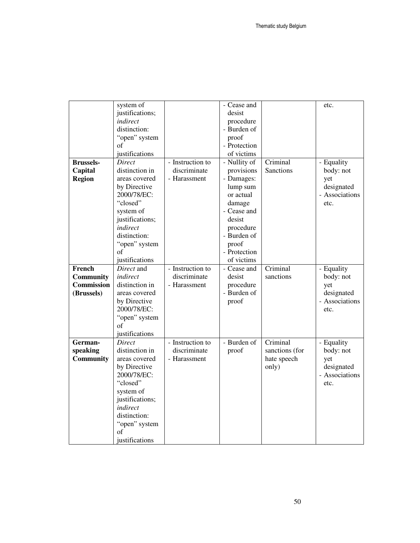|                   | system of       |                  | - Cease and  |                | etc.           |
|-------------------|-----------------|------------------|--------------|----------------|----------------|
|                   | justifications; |                  | desist       |                |                |
|                   | indirect        |                  | procedure    |                |                |
|                   | distinction:    |                  | - Burden of  |                |                |
|                   | "open" system   |                  | proof        |                |                |
|                   | of              |                  | - Protection |                |                |
|                   | justifications  |                  | of victims   |                |                |
| <b>Brussels-</b>  | Direct          | - Instruction to | - Nullity of | Criminal       | - Equality     |
| Capital           | distinction in  | discriminate     | provisions   | Sanctions      | body: not      |
| <b>Region</b>     | areas covered   | - Harassment     | - Damages:   |                | yet            |
|                   | by Directive    |                  | lump sum     |                | designated     |
|                   | 2000/78/EC:     |                  | or actual    |                | - Associations |
|                   | "closed"        |                  | damage       |                | etc.           |
|                   | system of       |                  | - Cease and  |                |                |
|                   | justifications; |                  | desist       |                |                |
|                   | indirect        |                  | procedure    |                |                |
|                   | distinction:    |                  | - Burden of  |                |                |
|                   | "open" system   |                  | proof        |                |                |
|                   | of              |                  | - Protection |                |                |
|                   | justifications  |                  | of victims   |                |                |
| French            | Direct and      | - Instruction to | - Cease and  | Criminal       | - Equality     |
| Community         | indirect        | discriminate     | desist       | sanctions      | body: not      |
| <b>Commission</b> | distinction in  | - Harassment     | procedure    |                | yet            |
| (Brussels)        | areas covered   |                  | - Burden of  |                | designated     |
|                   | by Directive    |                  | proof        |                | - Associations |
|                   | 2000/78/EC:     |                  |              |                | etc.           |
|                   | "open" system   |                  |              |                |                |
|                   | of              |                  |              |                |                |
|                   | justifications  |                  |              |                |                |
| German-           | Direct          | - Instruction to | - Burden of  | Criminal       | - Equality     |
| speaking          | distinction in  | discriminate     | proof        | sanctions (for | body: not      |
| <b>Community</b>  | areas covered   | - Harassment     |              | hate speech    | yet            |
|                   | by Directive    |                  |              | only)          | designated     |
|                   | 2000/78/EC:     |                  |              |                | - Associations |
|                   | "closed"        |                  |              |                | etc.           |
|                   | system of       |                  |              |                |                |
|                   | justifications; |                  |              |                |                |
|                   | indirect        |                  |              |                |                |
|                   | distinction:    |                  |              |                |                |
|                   | "open" system   |                  |              |                |                |
|                   | οf              |                  |              |                |                |
|                   | justifications  |                  |              |                |                |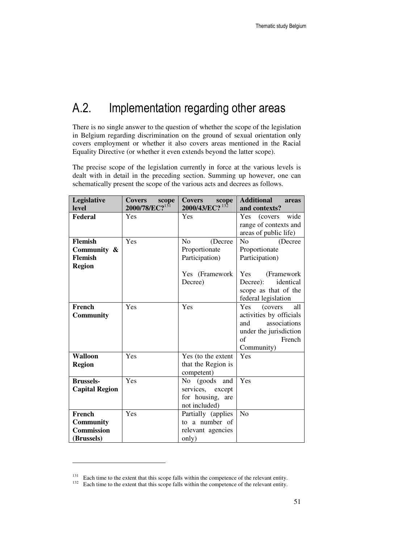## A.2. Implementation regarding other areas

There is no single answer to the question of whether the scope of the legislation in Belgium regarding discrimination on the ground of sexual orientation only covers employment or whether it also covers areas mentioned in the Racial Equality Directive (or whether it even extends beyond the latter scope).

The precise scope of the legislation currently in force at the various levels is dealt with in detail in the preceding section. Summing up however, one can schematically present the scope of the various acts and decrees as follows.

| Legislative<br>level  | <b>Covers</b><br>scope<br>2000/78/EC? <sup>131</sup> | <b>Covers</b><br>scope<br>$13\overline{2}$<br>2000/43/EC? | <b>Additional</b><br>areas<br>and contexts? |
|-----------------------|------------------------------------------------------|-----------------------------------------------------------|---------------------------------------------|
| Federal               | Yes                                                  | Yes                                                       | <b>Yes</b><br>(covers)<br>wide              |
|                       |                                                      |                                                           | range of contexts and                       |
|                       |                                                      |                                                           | areas of public life)                       |
| <b>Flemish</b>        | Yes                                                  | No<br>(Decree                                             | N <sub>o</sub><br>(Decree)                  |
| Community &           |                                                      | Proportionate                                             | Proportionate                               |
| Flemish               |                                                      | Participation)                                            | Participation)                              |
| <b>Region</b>         |                                                      |                                                           |                                             |
|                       |                                                      | Yes (Framework                                            | Yes<br>(Framework)                          |
|                       |                                                      | Decree)                                                   | identical<br>Decree:                        |
|                       |                                                      |                                                           | scope as that of the                        |
|                       |                                                      |                                                           | federal legislation                         |
| French                | Yes                                                  | Yes                                                       | <b>Yes</b><br>all<br>(covers)               |
| <b>Community</b>      |                                                      |                                                           | activities by officials                     |
|                       |                                                      |                                                           | associations<br>and                         |
|                       |                                                      |                                                           | under the jurisdiction                      |
|                       |                                                      |                                                           | of<br>French                                |
|                       | Yes                                                  |                                                           | Community)<br>Yes                           |
| <b>Walloon</b>        |                                                      | Yes (to the extent                                        |                                             |
| <b>Region</b>         |                                                      | that the Region is                                        |                                             |
| <b>Brussels-</b>      | Yes                                                  | competent)<br>No (goods and                               | Yes                                         |
| <b>Capital Region</b> |                                                      | services, except                                          |                                             |
|                       |                                                      | for housing,<br>are                                       |                                             |
|                       |                                                      | not included)                                             |                                             |
| French                | Yes                                                  | Partially (applies                                        | N <sub>o</sub>                              |
| <b>Community</b>      |                                                      | to a number of                                            |                                             |
| <b>Commission</b>     |                                                      | relevant agencies                                         |                                             |
| (Brussels)            |                                                      | only)                                                     |                                             |

<sup>&</sup>lt;sup>131</sup> Each time to the extent that this scope falls within the competence of the relevant entity.

<sup>&</sup>lt;sup>132</sup> Each time to the extent that this scope falls within the competence of the relevant entity.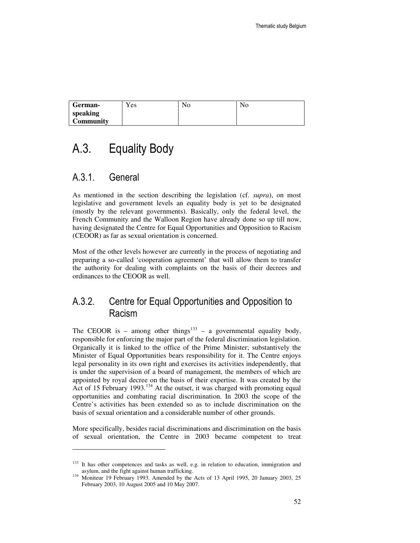| German-          | Yes | No | No |
|------------------|-----|----|----|
| speaking         |     |    |    |
| <b>Community</b> |     |    |    |

## A.3. Equality Body

### A.3.1. General

 $\ddot{ }$ 

As mentioned in the section describing the legislation (cf. *supra*), on most legislative and government levels an equality body is yet to be designated (mostly by the relevant governments). Basically, only the federal level, the French Community and the Walloon Region have already done so up till now, having designated the Centre for Equal Opportunities and Opposition to Racism (CEOOR) as far as sexual orientation is concerned.

Most of the other levels however are currently in the process of negotiating and preparing a so-called 'cooperation agreement' that will allow them to transfer the authority for dealing with complaints on the basis of their decrees and ordinances to the CEOOR as well.

## A.3.2. Centre for Equal Opportunities and Opposition to Racism

The CEOOR is – among other things<sup>133</sup> – a governmental equality body, responsible for enforcing the major part of the federal discrimination legislation. Organically it is linked to the office of the Prime Minister; substantively the Minister of Equal Opportunities bears responsibility for it. The Centre enjoys legal personality in its own right and exercises its activities independently, that is under the supervision of a board of management, the members of which are appointed by royal decree on the basis of their expertise. It was created by the Act of 15 February 1993.<sup>134</sup> At the outset, it was charged with promoting equal opportunities and combating racial discrimination. In 2003 the scope of the Centre's activities has been extended so as to include discrimination on the basis of sexual orientation and a considerable number of other grounds.

More specifically, besides racial discriminations and discrimination on the basis of sexual orientation, the Centre in 2003 became competent to treat

<sup>&</sup>lt;sup>133</sup> It has other competences and tasks as well, e.g. in relation to education, immigration and asylum, and the fight against human trafficking.

<sup>&</sup>lt;sup>134</sup> Moniteur 19 February 1993. Amended by the Acts of 13 April 1995, 20 January 2003, 25 February 2003, 10 August 2005 and 10 May 2007.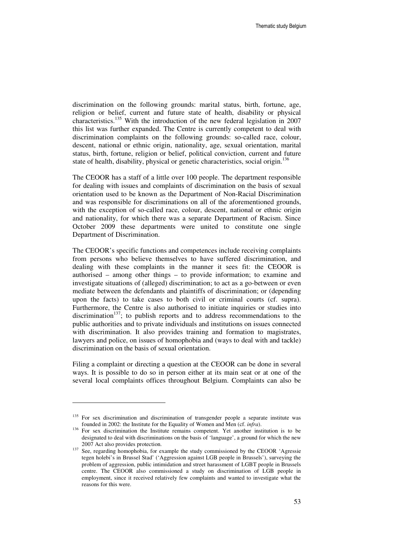discrimination on the following grounds: marital status, birth, fortune, age, religion or belief, current and future state of health, disability or physical characteristics.<sup>135</sup> With the introduction of the new federal legislation in 2007 this list was further expanded. The Centre is currently competent to deal with discrimination complaints on the following grounds: so-called race, colour, descent, national or ethnic origin, nationality, age, sexual orientation, marital status, birth, fortune, religion or belief, political conviction, current and future state of health, disability, physical or genetic characteristics, social origin.<sup>136</sup>

The CEOOR has a staff of a little over 100 people. The department responsible for dealing with issues and complaints of discrimination on the basis of sexual orientation used to be known as the Department of Non-Racial Discrimination and was responsible for discriminations on all of the aforementioned grounds, with the exception of so-called race, colour, descent, national or ethnic origin and nationality, for which there was a separate Department of Racism. Since October 2009 these departments were united to constitute one single Department of Discrimination.

The CEOOR's specific functions and competences include receiving complaints from persons who believe themselves to have suffered discrimination, and dealing with these complaints in the manner it sees fit: the CEOOR is authorised – among other things – to provide information; to examine and investigate situations of (alleged) discrimination; to act as a go-between or even mediate between the defendants and plaintiffs of discrimination; or (depending upon the facts) to take cases to both civil or criminal courts (cf. supra). Furthermore, the Centre is also authorised to initiate inquiries or studies into discrimination<sup>137</sup>; to publish reports and to address recommendations to the public authorities and to private individuals and institutions on issues connected with discrimination. It also provides training and formation to magistrates, lawyers and police, on issues of homophobia and (ways to deal with and tackle) discrimination on the basis of sexual orientation.

Filing a complaint or directing a question at the CEOOR can be done in several ways. It is possible to do so in person either at its main seat or at one of the several local complaints offices throughout Belgium. Complaints can also be

-

<sup>&</sup>lt;sup>135</sup> For sex discrimination and discrimination of transgender people a separate institute was founded in 2002: the Institute for the Equality of Women and Men (cf. *infra*).

<sup>&</sup>lt;sup>136</sup> For sex discrimination the Institute remains competent. Yet another institution is to be designated to deal with discriminations on the basis of 'language', a ground for which the new 2007 Act also provides protection.

<sup>&</sup>lt;sup>137</sup> See, regarding homophobia, for example the study commissioned by the CEOOR 'Agressie tegen holebi's in Brussel Stad' ('Aggression against LGB people in Brussels'), surveying the problem of aggression, public intimidation and street harassment of LGBT people in Brussels centre. The CEOOR also commissioned a study on discrimination of LGB people in employment, since it received relatively few complaints and wanted to investigate what the reasons for this were.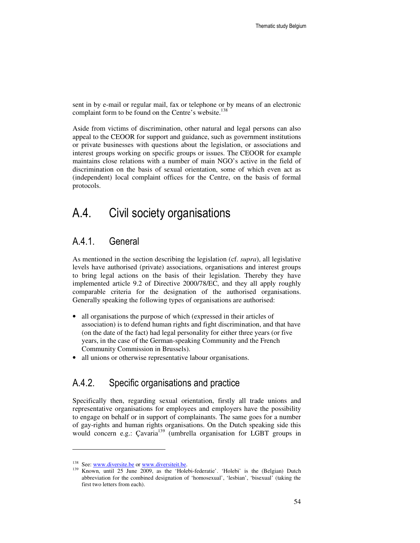sent in by e-mail or regular mail, fax or telephone or by means of an electronic complaint form to be found on the Centre's website.<sup>138</sup>

Aside from victims of discrimination, other natural and legal persons can also appeal to the CEOOR for support and guidance, such as government institutions or private businesses with questions about the legislation, or associations and interest groups working on specific groups or issues. The CEOOR for example maintains close relations with a number of main NGO's active in the field of discrimination on the basis of sexual orientation, some of which even act as (independent) local complaint offices for the Centre, on the basis of formal protocols.

## A.4. Civil society organisations

## A.4.1. General

As mentioned in the section describing the legislation (cf. *supra*), all legislative levels have authorised (private) associations, organisations and interest groups to bring legal actions on the basis of their legislation. Thereby they have implemented article 9.2 of Directive 2000/78/EC, and they all apply roughly comparable criteria for the designation of the authorised organisations. Generally speaking the following types of organisations are authorised:

- all organisations the purpose of which (expressed in their articles of association) is to defend human rights and fight discrimination, and that have (on the date of the fact) had legal personality for either three years (or five years, in the case of the German-speaking Community and the French Community Commission in Brussels).
- all unions or otherwise representative labour organisations.

## A.4.2. Specific organisations and practice

Specifically then, regarding sexual orientation, firstly all trade unions and representative organisations for employees and employers have the possibility to engage on behalf or in support of complainants. The same goes for a number of gay-rights and human rights organisations. On the Dutch speaking side this would concern e.g.: Cavaria<sup>139</sup> (umbrella organisation for LGBT groups in

<sup>&</sup>lt;sup>138</sup> See: www.diversite.be or www.diversiteit.be.<br> $139$  Known until 25 June 2000, eq. the 'Holo

Known, until 25 June 2009, as the 'Holebi-federatie'. 'Holebi' is the (Belgian) Dutch abbreviation for the combined designation of 'homosexual', 'lesbian', 'bisexual' (taking the first two letters from each).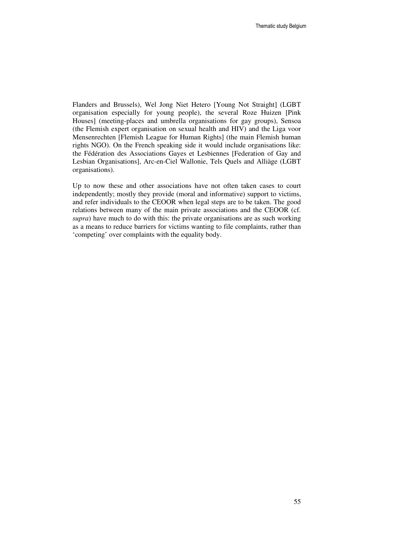Flanders and Brussels), Wel Jong Niet Hetero [Young Not Straight] (LGBT organisation especially for young people), the several Roze Huizen [Pink Houses] (meeting-places and umbrella organisations for gay groups), Sensoa (the Flemish expert organisation on sexual health and HIV) and the Liga voor Mensenrechten [Flemish League for Human Rights] (the main Flemish human rights NGO). On the French speaking side it would include organisations like: the Fédération des Associations Gayes et Lesbiennes [Federation of Gay and Lesbian Organisations], Arc-en-Ciel Wallonie, Tels Quels and Alliàge (LGBT organisations).

Up to now these and other associations have not often taken cases to court independently; mostly they provide (moral and informative) support to victims, and refer individuals to the CEOOR when legal steps are to be taken. The good relations between many of the main private associations and the CEOOR (cf. *supra*) have much to do with this: the private organisations are as such working as a means to reduce barriers for victims wanting to file complaints, rather than 'competing' over complaints with the equality body.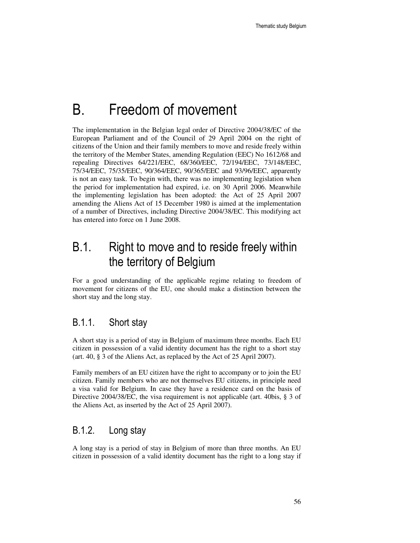# B. Freedom of movement

The implementation in the Belgian legal order of Directive 2004/38/EC of the European Parliament and of the Council of 29 April 2004 on the right of citizens of the Union and their family members to move and reside freely within the territory of the Member States, amending Regulation (EEC) No 1612/68 and repealing Directives 64/221/EEC, 68/360/EEC, 72/194/EEC, 73/148/EEC, 75/34/EEC, 75/35/EEC, 90/364/EEC, 90/365/EEC and 93/96/EEC, apparently is not an easy task. To begin with, there was no implementing legislation when the period for implementation had expired, i.e. on 30 April 2006. Meanwhile the implementing legislation has been adopted: the Act of 25 April 2007 amending the Aliens Act of 15 December 1980 is aimed at the implementation of a number of Directives, including Directive 2004/38/EC. This modifying act has entered into force on 1 June 2008.

## B.1. Right to move and to reside freely within the territory of Belgium

For a good understanding of the applicable regime relating to freedom of movement for citizens of the EU, one should make a distinction between the short stay and the long stay.

## B.1.1. Short stay

A short stay is a period of stay in Belgium of maximum three months. Each EU citizen in possession of a valid identity document has the right to a short stay (art. 40, § 3 of the Aliens Act, as replaced by the Act of 25 April 2007).

Family members of an EU citizen have the right to accompany or to join the EU citizen. Family members who are not themselves EU citizens, in principle need a visa valid for Belgium. In case they have a residence card on the basis of Directive 2004/38/EC, the visa requirement is not applicable (art. 40bis, § 3 of the Aliens Act, as inserted by the Act of 25 April 2007).

## B.1.2. Long stay

A long stay is a period of stay in Belgium of more than three months. An EU citizen in possession of a valid identity document has the right to a long stay if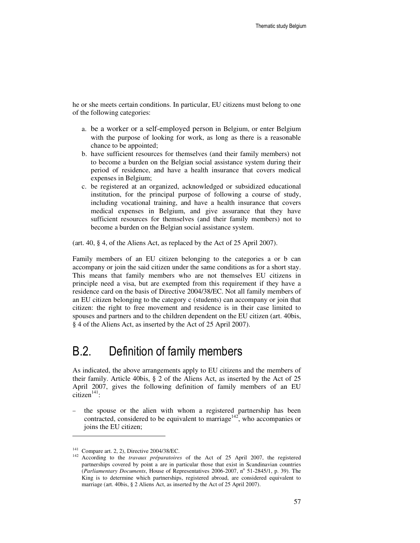he or she meets certain conditions. In particular, EU citizens must belong to one of the following categories:

- a. be a worker or a self-employed person in Belgium, or enter Belgium with the purpose of looking for work, as long as there is a reasonable chance to be appointed;
- b. have sufficient resources for themselves (and their family members) not to become a burden on the Belgian social assistance system during their period of residence, and have a health insurance that covers medical expenses in Belgium;
- c. be registered at an organized, acknowledged or subsidized educational institution, for the principal purpose of following a course of study, including vocational training, and have a health insurance that covers medical expenses in Belgium, and give assurance that they have sufficient resources for themselves (and their family members) not to become a burden on the Belgian social assistance system.

(art. 40, § 4, of the Aliens Act, as replaced by the Act of 25 April 2007).

Family members of an EU citizen belonging to the categories a or b can accompany or join the said citizen under the same conditions as for a short stay. This means that family members who are not themselves EU citizens in principle need a visa, but are exempted from this requirement if they have a residence card on the basis of Directive 2004/38/EC. Not all family members of an EU citizen belonging to the category c (students) can accompany or join that citizen: the right to free movement and residence is in their case limited to spouses and partners and to the children dependent on the EU citizen (art. 40bis, § 4 of the Aliens Act, as inserted by the Act of 25 April 2007).

## B.2. Definition of family members

As indicated, the above arrangements apply to EU citizens and the members of their family. Article 40bis, § 2 of the Aliens Act, as inserted by the Act of 25 April 2007, gives the following definition of family members of an EU  $citizen<sup>141</sup>$ :

the spouse or the alien with whom a registered partnership has been contracted, considered to be equivalent to marriage<sup>142</sup>, who accompanies or joins the EU citizen;

 $141$  Compare art. 2, 2), Directive 2004/38/EC.

<sup>142</sup> According to the *travaux préparatoires* of the Act of 25 April 2007, the registered partnerships covered by point a are in particular those that exist in Scandinavian countries (Parliamentary Documents, House of Representatives 2006-2007, nº 51-2845/1, p. 39). The King is to determine which partnerships, registered abroad, are considered equivalent to marriage (art. 40bis, § 2 Aliens Act, as inserted by the Act of 25 April 2007).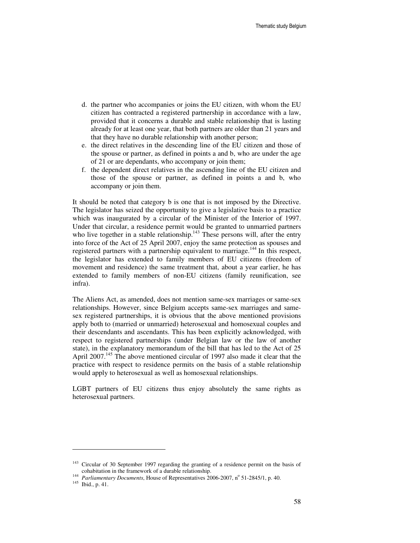- d. the partner who accompanies or joins the EU citizen, with whom the EU citizen has contracted a registered partnership in accordance with a law, provided that it concerns a durable and stable relationship that is lasting already for at least one year, that both partners are older than 21 years and that they have no durable relationship with another person;
- e. the direct relatives in the descending line of the EU citizen and those of the spouse or partner, as defined in points a and b, who are under the age of 21 or are dependants, who accompany or join them;
- f. the dependent direct relatives in the ascending line of the EU citizen and those of the spouse or partner, as defined in points a and b, who accompany or join them.

It should be noted that category b is one that is not imposed by the Directive. The legislator has seized the opportunity to give a legislative basis to a practice which was inaugurated by a circular of the Minister of the Interior of 1997. Under that circular, a residence permit would be granted to unmarried partners who live together in a stable relationship.<sup>143</sup> These persons will, after the entry into force of the Act of 25 April 2007, enjoy the same protection as spouses and registered partners with a partnership equivalent to marriage.<sup>144</sup> In this respect, the legislator has extended to family members of EU citizens (freedom of movement and residence) the same treatment that, about a year earlier, he has extended to family members of non-EU citizens (family reunification, see infra).

The Aliens Act, as amended, does not mention same-sex marriages or same-sex relationships. However, since Belgium accepts same-sex marriages and samesex registered partnerships, it is obvious that the above mentioned provisions apply both to (married or unmarried) heterosexual and homosexual couples and their descendants and ascendants. This has been explicitly acknowledged, with respect to registered partnerships (under Belgian law or the law of another state), in the explanatory memorandum of the bill that has led to the Act of 25 April 2007.<sup>145</sup> The above mentioned circular of 1997 also made it clear that the practice with respect to residence permits on the basis of a stable relationship would apply to heterosexual as well as homosexual relationships.

LGBT partners of EU citizens thus enjoy absolutely the same rights as heterosexual partners.

<sup>&</sup>lt;sup>143</sup> Circular of 30 September 1997 regarding the granting of a residence permit on the basis of cohabitation in the framework of a durable relationship.

<sup>&</sup>lt;sup>144</sup> Parliamentary Documents, House of Representatives 2006-2007, n<sup>o</sup> 51-2845/1, p. 40.

<sup>145</sup> Ibid., p. 41.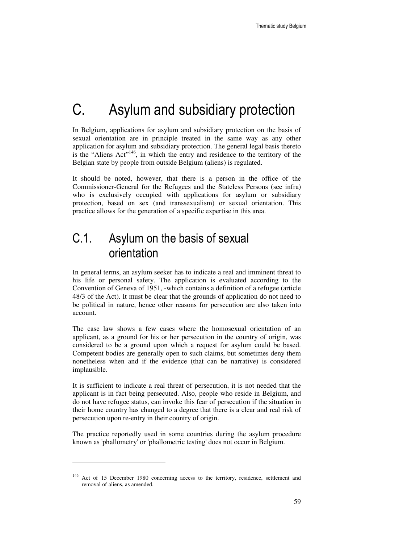# C. Asylum and subsidiary protection

In Belgium, applications for asylum and subsidiary protection on the basis of sexual orientation are in principle treated in the same way as any other application for asylum and subsidiary protection. The general legal basis thereto is the "Aliens  $Act$ "<sup>146</sup>, in which the entry and residence to the territory of the Belgian state by people from outside Belgium (aliens) is regulated.

It should be noted, however, that there is a person in the office of the Commissioner-General for the Refugees and the Stateless Persons (see infra) who is exclusively occupied with applications for asylum or subsidiary protection, based on sex (and transsexualism) or sexual orientation. This practice allows for the generation of a specific expertise in this area.

## C.1. Asylum on the basis of sexual orientation

In general terms, an asylum seeker has to indicate a real and imminent threat to his life or personal safety. The application is evaluated according to the Convention of Geneva of 1951, -which contains a definition of a refugee (article 48/3 of the Act). It must be clear that the grounds of application do not need to be political in nature, hence other reasons for persecution are also taken into account.

The case law shows a few cases where the homosexual orientation of an applicant, as a ground for his or her persecution in the country of origin, was considered to be a ground upon which a request for asylum could be based. Competent bodies are generally open to such claims, but sometimes deny them nonetheless when and if the evidence (that can be narrative) is considered implausible.

It is sufficient to indicate a real threat of persecution, it is not needed that the applicant is in fact being persecuted. Also, people who reside in Belgium, and do not have refugee status, can invoke this fear of persecution if the situation in their home country has changed to a degree that there is a clear and real risk of persecution upon re-entry in their country of origin.

The practice reportedly used in some countries during the asylum procedure known as 'phallometry' or 'phallometric testing' does not occur in Belgium.

<sup>&</sup>lt;sup>146</sup> Act of 15 December 1980 concerning access to the territory, residence, settlement and removal of aliens, as amended.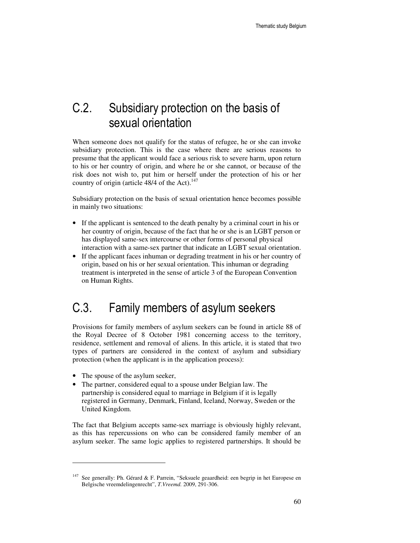## C.2. Subsidiary protection on the basis of sexual orientation

When someone does not qualify for the status of refugee, he or she can invoke subsidiary protection. This is the case where there are serious reasons to presume that the applicant would face a serious risk to severe harm, upon return to his or her country of origin, and where he or she cannot, or because of the risk does not wish to, put him or herself under the protection of his or her country of origin (article  $48/4$  of the Act).<sup>147</sup>

Subsidiary protection on the basis of sexual orientation hence becomes possible in mainly two situations:

- If the applicant is sentenced to the death penalty by a criminal court in his or her country of origin, because of the fact that he or she is an LGBT person or has displayed same-sex intercourse or other forms of personal physical interaction with a same-sex partner that indicate an LGBT sexual orientation.
- If the applicant faces inhuman or degrading treatment in his or her country of origin, based on his or her sexual orientation. This inhuman or degrading treatment is interpreted in the sense of article 3 of the European Convention on Human Rights.

## C.3. Family members of asylum seekers

Provisions for family members of asylum seekers can be found in article 88 of the Royal Decree of 8 October 1981 concerning access to the territory, residence, settlement and removal of aliens. In this article, it is stated that two types of partners are considered in the context of asylum and subsidiary protection (when the applicant is in the application process):

• The spouse of the asylum seeker,

 $\ddot{ }$ 

• The partner, considered equal to a spouse under Belgian law. The partnership is considered equal to marriage in Belgium if it is legally registered in Germany, Denmark, Finland, Iceland, Norway, Sweden or the United Kingdom.

The fact that Belgium accepts same-sex marriage is obviously highly relevant, as this has repercussions on who can be considered family member of an asylum seeker. The same logic applies to registered partnerships. It should be

<sup>&</sup>lt;sup>147</sup> See generally: Ph. Gérard & F. Parrein, "Seksuele geaardheid: een begrip in het Europese en Belgische vreemdelingenrecht", *T.Vreemd.* 2009, 291-306.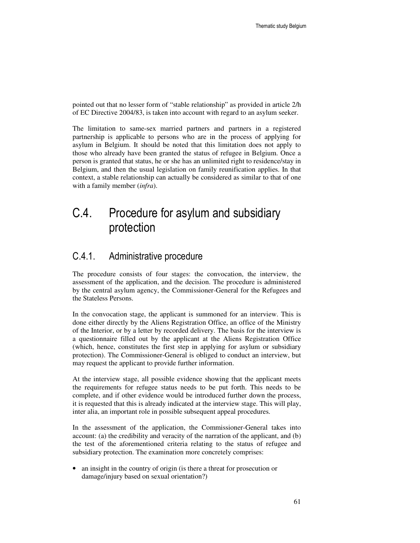pointed out that no lesser form of "stable relationship" as provided in article 2/h of EC Directive 2004/83, is taken into account with regard to an asylum seeker.

The limitation to same-sex married partners and partners in a registered partnership is applicable to persons who are in the process of applying for asylum in Belgium. It should be noted that this limitation does not apply to those who already have been granted the status of refugee in Belgium. Once a person is granted that status, he or she has an unlimited right to residence/stay in Belgium, and then the usual legislation on family reunification applies. In that context, a stable relationship can actually be considered as similar to that of one with a family member (*infra*).

## C.4. Procedure for asylum and subsidiary protection

### C.4.1. Administrative procedure

The procedure consists of four stages: the convocation, the interview, the assessment of the application, and the decision. The procedure is administered by the central asylum agency, the Commissioner-General for the Refugees and the Stateless Persons.

In the convocation stage, the applicant is summoned for an interview. This is done either directly by the Aliens Registration Office, an office of the Ministry of the Interior, or by a letter by recorded delivery. The basis for the interview is a questionnaire filled out by the applicant at the Aliens Registration Office (which, hence, constitutes the first step in applying for asylum or subsidiary protection). The Commissioner-General is obliged to conduct an interview, but may request the applicant to provide further information.

At the interview stage, all possible evidence showing that the applicant meets the requirements for refugee status needs to be put forth. This needs to be complete, and if other evidence would be introduced further down the process, it is requested that this is already indicated at the interview stage. This will play, inter alia, an important role in possible subsequent appeal procedures.

In the assessment of the application, the Commissioner-General takes into account: (a) the credibility and veracity of the narration of the applicant, and (b) the test of the aforementioned criteria relating to the status of refugee and subsidiary protection. The examination more concretely comprises:

• an insight in the country of origin (is there a threat for prosecution or damage/injury based on sexual orientation?)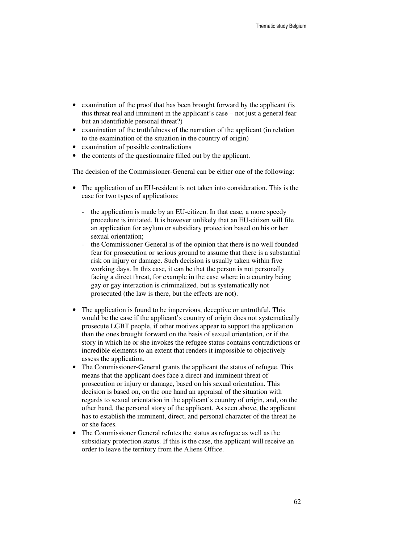- examination of the proof that has been brought forward by the applicant (is this threat real and imminent in the applicant's case – not just a general fear but an identifiable personal threat?)
- examination of the truthfulness of the narration of the applicant (in relation to the examination of the situation in the country of origin)
- examination of possible contradictions
- the contents of the questionnaire filled out by the applicant.

The decision of the Commissioner-General can be either one of the following:

- The application of an EU-resident is not taken into consideration. This is the case for two types of applications:
	- the application is made by an EU-citizen. In that case, a more speedy procedure is initiated. It is however unlikely that an EU-citizen will file an application for asylum or subsidiary protection based on his or her sexual orientation;
	- the Commissioner-General is of the opinion that there is no well founded fear for prosecution or serious ground to assume that there is a substantial risk on injury or damage. Such decision is usually taken within five working days. In this case, it can be that the person is not personally facing a direct threat, for example in the case where in a country being gay or gay interaction is criminalized, but is systematically not prosecuted (the law is there, but the effects are not).
- The application is found to be impervious, deceptive or untruthful. This would be the case if the applicant's country of origin does not systematically prosecute LGBT people, if other motives appear to support the application than the ones brought forward on the basis of sexual orientation, or if the story in which he or she invokes the refugee status contains contradictions or incredible elements to an extent that renders it impossible to objectively assess the application.
- The Commissioner-General grants the applicant the status of refugee. This means that the applicant does face a direct and imminent threat of prosecution or injury or damage, based on his sexual orientation. This decision is based on, on the one hand an appraisal of the situation with regards to sexual orientation in the applicant's country of origin, and, on the other hand, the personal story of the applicant. As seen above, the applicant has to establish the imminent, direct, and personal character of the threat he or she faces.
- The Commissioner General refutes the status as refugee as well as the subsidiary protection status. If this is the case, the applicant will receive an order to leave the territory from the Aliens Office.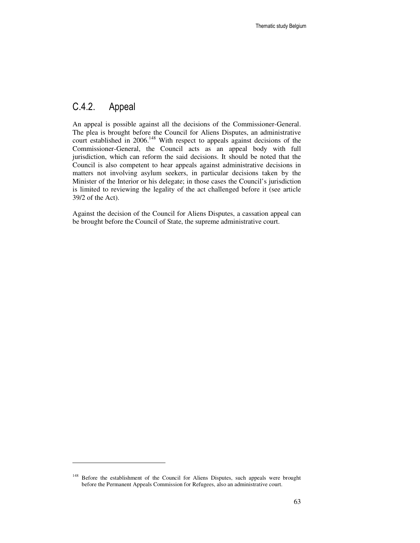## C.4.2. Appeal

 $\ddot{ }$ 

An appeal is possible against all the decisions of the Commissioner-General. The plea is brought before the Council for Aliens Disputes, an administrative court established in 2006.<sup>148</sup> With respect to appeals against decisions of the Commissioner-General, the Council acts as an appeal body with full jurisdiction, which can reform the said decisions. It should be noted that the Council is also competent to hear appeals against administrative decisions in matters not involving asylum seekers, in particular decisions taken by the Minister of the Interior or his delegate; in those cases the Council's jurisdiction is limited to reviewing the legality of the act challenged before it (see article 39/2 of the Act).

Against the decision of the Council for Aliens Disputes, a cassation appeal can be brought before the Council of State, the supreme administrative court.

<sup>&</sup>lt;sup>148</sup> Before the establishment of the Council for Aliens Disputes, such appeals were brought before the Permanent Appeals Commission for Refugees, also an administrative court.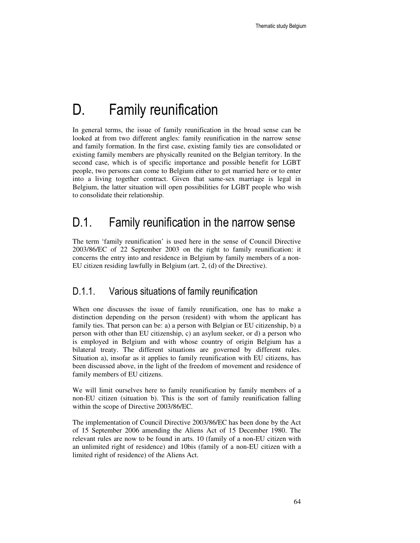# D. Family reunification

In general terms, the issue of family reunification in the broad sense can be looked at from two different angles: family reunification in the narrow sense and family formation. In the first case, existing family ties are consolidated or existing family members are physically reunited on the Belgian territory. In the second case, which is of specific importance and possible benefit for LGBT people, two persons can come to Belgium either to get married here or to enter into a living together contract. Given that same-sex marriage is legal in Belgium, the latter situation will open possibilities for LGBT people who wish to consolidate their relationship.

## D.1. Family reunification in the narrow sense

The term 'family reunification' is used here in the sense of Council Directive 2003/86/EC of 22 September 2003 on the right to family reunification: it concerns the entry into and residence in Belgium by family members of a non-EU citizen residing lawfully in Belgium (art. 2, (d) of the Directive).

## D.1.1. Various situations of family reunification

When one discusses the issue of family reunification, one has to make a distinction depending on the person (resident) with whom the applicant has family ties. That person can be: a) a person with Belgian or EU citizenship, b) a person with other than EU citizenship, c) an asylum seeker, or d) a person who is employed in Belgium and with whose country of origin Belgium has a bilateral treaty. The different situations are governed by different rules. Situation a), insofar as it applies to family reunification with EU citizens, has been discussed above, in the light of the freedom of movement and residence of family members of EU citizens.

We will limit ourselves here to family reunification by family members of a non-EU citizen (situation b). This is the sort of family reunification falling within the scope of Directive 2003/86/EC.

The implementation of Council Directive 2003/86/EC has been done by the Act of 15 September 2006 amending the Aliens Act of 15 December 1980. The relevant rules are now to be found in arts. 10 (family of a non-EU citizen with an unlimited right of residence) and 10bis (family of a non-EU citizen with a limited right of residence) of the Aliens Act.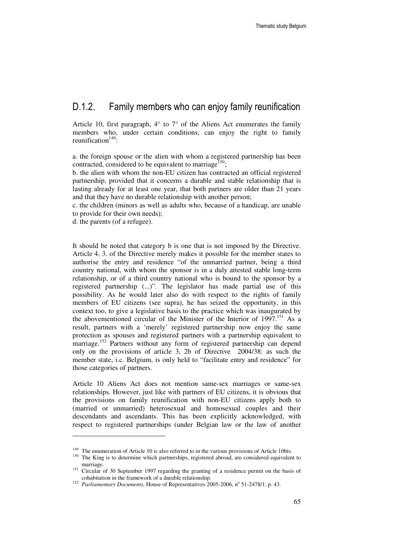## D.1.2. Family members who can enjoy family reunification

Article 10, first paragraph,  $4^{\circ}$  to  $7^{\circ}$  of the Aliens Act enumerates the family members who, under certain conditions, can enjoy the right to family reunification $149$ :

a. the foreign spouse or the alien with whom a registered partnership has been contracted, considered to be equivalent to marriage<sup>150</sup>;

b. the alien with whom the non-EU citizen has contracted an official registered partnership, provided that it concerns a durable and stable relationship that is lasting already for at least one year, that both partners are older than 21 years and that they have no durable relationship with another person;

c. the children (minors as well as adults who, because of a handicap, are unable to provide for their own needs);

d. the parents (of a refugee).

 $\ddot{ }$ 

It should be noted that category b is one that is not imposed by the Directive. Article 4, 3. of the Directive merely makes it possible for the member states to authorise the entry and residence "of the unmarried partner, being a third country national, with whom the sponsor is in a duly attested stable long-term relationship, or of a third country national who is bound to the sponsor by a registered partnership (...)". The legislator has made partial use of this possibility. As he would later also do with respect to the rights of family members of EU citizens (see supra), he has seized the opportunity, in this context too, to give a legislative basis to the practice which was inaugurated by the abovementioned circular of the Minister of the Interior of 1997.<sup>151</sup> As a result, partners with a 'merely' registered partnership now enjoy the same protection as spouses and registered partners with a partnership equivalent to marriage.<sup>152</sup> Partners without any form of registered partnership can depend only on the provisions of article 3, 2b of Directive 2004/38: as such the member state, i.c. Belgium, is only held to "facilitate entry and residence" for those categories of partners.

Article 10 Aliens Act does not mention same-sex marriages or same-sex relationships. However, just like with partners of EU citizens, it is obvious that the provisions on family reunification with non-EU citizens apply both to (married or unmarried) heterosexual and homosexual couples and their descendants and ascendants. This has been explicitly acknowledged, with respect to registered partnerships (under Belgian law or the law of another

<sup>&</sup>lt;sup>149</sup> The enumeration of Article 10 is also referred to in the various provisions of Article 10bis.

<sup>&</sup>lt;sup>150</sup> The King is to determine which partnerships, registered abroad, are considered equivalent to marriage.

<sup>&</sup>lt;sup>151</sup> Circular of 30 September 1997 regarding the granting of a residence permit on the basis of cohabitation in the framework of a durable relationship.

<sup>&</sup>lt;sup>152</sup> Parliamentary Documents, House of Representatives 2005-2006, n<sup>o</sup> 51-2478/1, p. 43.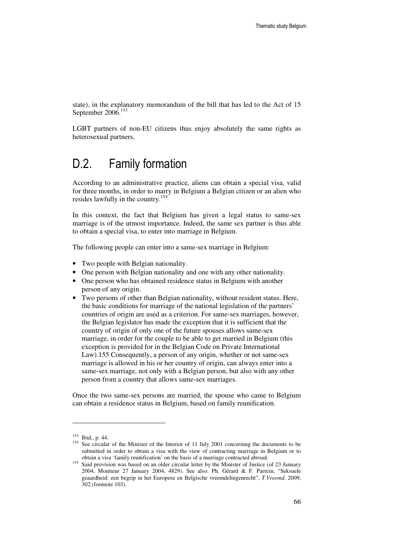state), in the explanatory memorandum of the bill that has led to the Act of 15 September 2006.<sup>153</sup>

LGBT partners of non-EU citizens thus enjoy absolutely the same rights as heterosexual partners.

## D.2. Family formation

According to an administrative practice, aliens can obtain a special visa, valid for three months, in order to marry in Belgium a Belgian citizen or an alien who resides lawfully in the country.<sup>154</sup>

In this context, the fact that Belgium has given a legal status to same-sex marriage is of the utmost importance. Indeed, the same sex partner is thus able to obtain a special visa, to enter into marriage in Belgium.

The following people can enter into a same-sex marriage in Belgium:

- Two people with Belgian nationality.
- One person with Belgian nationality and one with any other nationality.
- One person who has obtained residence status in Belgium with another person of any origin.
- Two persons of other than Belgian nationality, without resident status. Here, the basic conditions for marriage of the national legislation of the partners' countries of origin are used as a criterion. For same-sex marriages, however, the Belgian legislator has made the exception that it is sufficient that the country of origin of only one of the future spouses allows same-sex marriage, in order for the couple to be able to get married in Belgium (this exception is provided for in the Belgian Code on Private International Law).155 Consequently, a person of any origin, whether or not same-sex marriage is allowed in his or her country of origin, can always enter into a same-sex marriage, not only with a Belgian person, but also with any other person from a country that allows same-sex marriages.

Once the two same-sex persons are married, the spouse who came to Belgium can obtain a residence status in Belgium, based on family reunification.

-

<sup>153</sup> Ibid., p. 44.

<sup>&</sup>lt;sup>154</sup> See circular of the Minister of the Interior of 11 July 2001 concerning the documents to be submitted in order to obtain a visa with the view of contracting marriage in Belgium or to obtain a visa 'family reunification' on the basis of a marriage contracted abroad.

<sup>&</sup>lt;sup>155</sup> Said provision was based on an older circular letter by the Minister of Justice (of 23 January 2004, Moniteur 27 January 2004, 4829). See also: Ph. Gérard & F. Parrein, "Seksuele geaardheid: een begrip in het Europese en Belgische vreemdelingenrecht", *T.Vreemd.* 2009, 302 (footnote 103).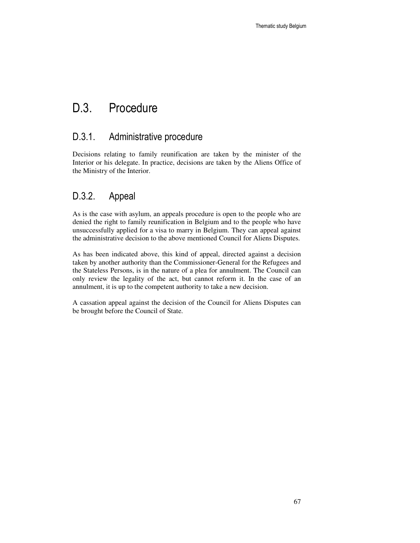## D.3. Procedure

## D.3.1. Administrative procedure

Decisions relating to family reunification are taken by the minister of the Interior or his delegate. In practice, decisions are taken by the Aliens Office of the Ministry of the Interior.

## D.3.2. Appeal

As is the case with asylum, an appeals procedure is open to the people who are denied the right to family reunification in Belgium and to the people who have unsuccessfully applied for a visa to marry in Belgium. They can appeal against the administrative decision to the above mentioned Council for Aliens Disputes.

As has been indicated above, this kind of appeal, directed against a decision taken by another authority than the Commissioner-General for the Refugees and the Stateless Persons, is in the nature of a plea for annulment. The Council can only review the legality of the act, but cannot reform it. In the case of an annulment, it is up to the competent authority to take a new decision.

A cassation appeal against the decision of the Council for Aliens Disputes can be brought before the Council of State.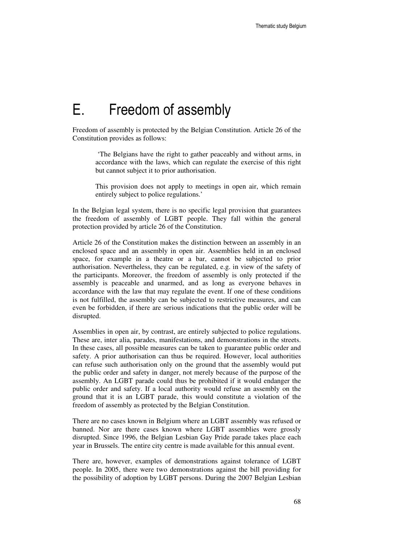# E. Freedom of assembly

Freedom of assembly is protected by the Belgian Constitution. Article 26 of the Constitution provides as follows:

'The Belgians have the right to gather peaceably and without arms, in accordance with the laws, which can regulate the exercise of this right but cannot subject it to prior authorisation.

This provision does not apply to meetings in open air, which remain entirely subject to police regulations.'

In the Belgian legal system, there is no specific legal provision that guarantees the freedom of assembly of LGBT people. They fall within the general protection provided by article 26 of the Constitution.

Article 26 of the Constitution makes the distinction between an assembly in an enclosed space and an assembly in open air. Assemblies held in an enclosed space, for example in a theatre or a bar, cannot be subjected to prior authorisation. Nevertheless, they can be regulated, e.g. in view of the safety of the participants. Moreover, the freedom of assembly is only protected if the assembly is peaceable and unarmed, and as long as everyone behaves in accordance with the law that may regulate the event. If one of these conditions is not fulfilled, the assembly can be subjected to restrictive measures, and can even be forbidden, if there are serious indications that the public order will be disrupted.

Assemblies in open air, by contrast, are entirely subjected to police regulations. These are, inter alia, parades, manifestations, and demonstrations in the streets. In these cases, all possible measures can be taken to guarantee public order and safety. A prior authorisation can thus be required. However, local authorities can refuse such authorisation only on the ground that the assembly would put the public order and safety in danger, not merely because of the purpose of the assembly. An LGBT parade could thus be prohibited if it would endanger the public order and safety. If a local authority would refuse an assembly on the ground that it is an LGBT parade, this would constitute a violation of the freedom of assembly as protected by the Belgian Constitution.

There are no cases known in Belgium where an LGBT assembly was refused or banned. Nor are there cases known where LGBT assemblies were grossly disrupted. Since 1996, the Belgian Lesbian Gay Pride parade takes place each year in Brussels. The entire city centre is made available for this annual event.

There are, however, examples of demonstrations against tolerance of LGBT people. In 2005, there were two demonstrations against the bill providing for the possibility of adoption by LGBT persons. During the 2007 Belgian Lesbian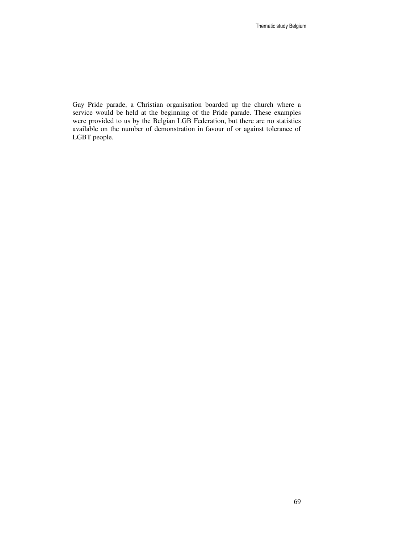Gay Pride parade, a Christian organisation boarded up the church where a service would be held at the beginning of the Pride parade. These examples were provided to us by the Belgian LGB Federation, but there are no statistics available on the number of demonstration in favour of or against tolerance of LGBT people.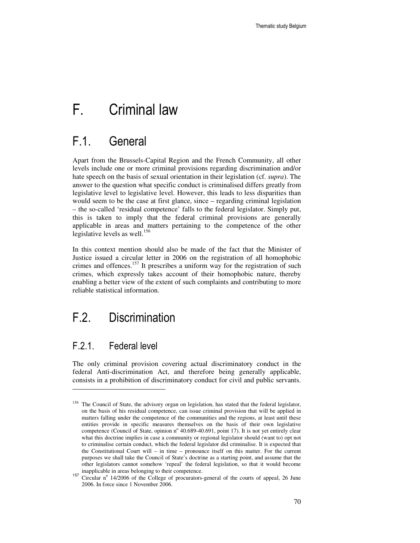# F. Criminal law

## F.1. General

Apart from the Brussels-Capital Region and the French Community, all other levels include one or more criminal provisions regarding discrimination and/or hate speech on the basis of sexual orientation in their legislation (cf. *supra*). The answer to the question what specific conduct is criminalised differs greatly from legislative level to legislative level. However, this leads to less disparities than would seem to be the case at first glance, since – regarding criminal legislation – the so-called 'residual competence' falls to the federal legislator. Simply put, this is taken to imply that the federal criminal provisions are generally applicable in areas and matters pertaining to the competence of the other legislative levels as well.<sup>156</sup>

In this context mention should also be made of the fact that the Minister of Justice issued a circular letter in 2006 on the registration of all homophobic crimes and offences.<sup>157</sup> It prescribes a uniform way for the registration of such crimes, which expressly takes account of their homophobic nature, thereby enabling a better view of the extent of such complaints and contributing to more reliable statistical information.

## F.2. Discrimination

## F.2.1. Federal level

-

The only criminal provision covering actual discriminatory conduct in the federal Anti-discrimination Act, and therefore being generally applicable, consists in a prohibition of discriminatory conduct for civil and public servants.

<sup>&</sup>lt;sup>156</sup> The Council of State, the advisory organ on legislation, has stated that the federal legislator, on the basis of his residual competence, can issue criminal provision that will be applied in matters falling under the competence of the communities and the regions, at least until these entities provide in specific measures themselves on the basis of their own legislative competence (Council of State, opinion nº 40.689-40.691, point 17). It is not yet entirely clear what this doctrine implies in case a community or regional legislator should (want to) opt not to criminalise certain conduct, which the federal legislator did criminalise. It is expected that the Constitutional Court will – in time – pronounce itself on this matter. For the current purposes we shall take the Council of State's doctrine as a starting point, and assume that the other legislators cannot somehow 'repeal' the federal legislation, so that it would become inapplicable in areas belonging to their competence.

<sup>&</sup>lt;sup>157</sup> Circular n<sup>o</sup> 14/2006 of the College of procurators-general of the courts of appeal, 26 June 2006. In force since 1 November 2006.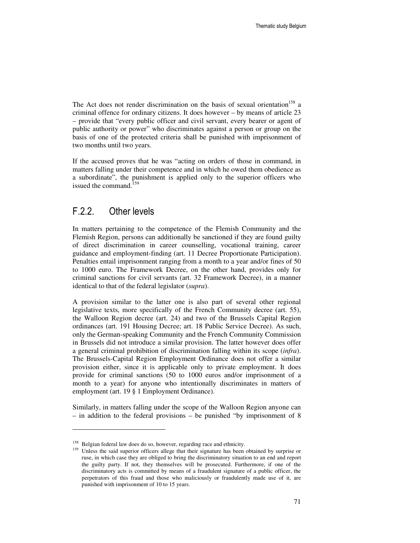The Act does not render discrimination on the basis of sexual orientation<sup>158</sup> a criminal offence for ordinary citizens. It does however – by means of article 23 – provide that "every public officer and civil servant, every bearer or agent of public authority or power" who discriminates against a person or group on the basis of one of the protected criteria shall be punished with imprisonment of two months until two years.

If the accused proves that he was "acting on orders of those in command, in matters falling under their competence and in which he owed them obedience as a subordinate", the punishment is applied only to the superior officers who issued the command.<sup>1</sup>

### F.2.2. Other levels

-

In matters pertaining to the competence of the Flemish Community and the Flemish Region, persons can additionally be sanctioned if they are found guilty of direct discrimination in career counselling, vocational training, career guidance and employment-finding (art. 11 Decree Proportionate Participation). Penalties entail imprisonment ranging from a month to a year and/or fines of 50 to 1000 euro. The Framework Decree, on the other hand, provides only for criminal sanctions for civil servants (art. 32 Framework Decree), in a manner identical to that of the federal legislator (*supra*).

A provision similar to the latter one is also part of several other regional legislative texts, more specifically of the French Community decree (art. 55), the Walloon Region decree (art. 24) and two of the Brussels Capital Region ordinances (art. 191 Housing Decree; art. 18 Public Service Decree). As such, only the German-speaking Community and the French Community Commission in Brussels did not introduce a similar provision. The latter however does offer a general criminal prohibition of discrimination falling within its scope (*infra*). The Brussels-Capital Region Employment Ordinance does not offer a similar provision either, since it is applicable only to private employment. It does provide for criminal sanctions (50 to 1000 euros and/or imprisonment of a month to a year) for anyone who intentionally discriminates in matters of employment (art. 19 § 1 Employment Ordinance).

Similarly, in matters falling under the scope of the Walloon Region anyone can – in addition to the federal provisions – be punished "by imprisonment of 8

<sup>&</sup>lt;sup>158</sup> Belgian federal law does do so, however, regarding race and ethnicity.

<sup>&</sup>lt;sup>159</sup> Unless the said superior officers allege that their signature has been obtained by surprise or ruse, in which case they are obliged to bring the discriminatory situation to an end and report the guilty party. If not, they themselves will be prosecuted. Furthermore, if one of the discriminatory acts is committed by means of a fraudulent signature of a public officer, the perpetrators of this fraud and those who maliciously or fraudulently made use of it, are punished with imprisonment of 10 to 15 years.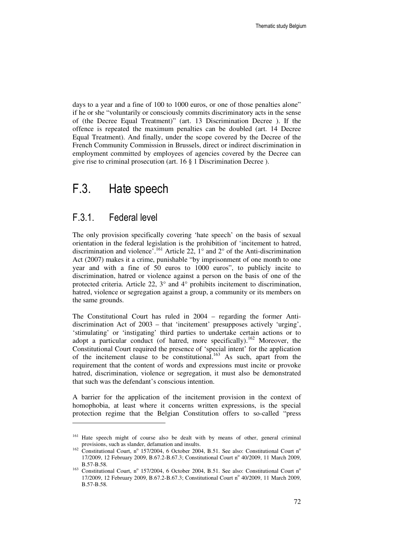days to a year and a fine of 100 to 1000 euros, or one of those penalties alone" if he or she "voluntarily or consciously commits discriminatory acts in the sense of (the Decree Equal Treatment)" (art. 13 Discrimination Decree ). If the offence is repeated the maximum penalties can be doubled (art. 14 Decree Equal Treatment). And finally, under the scope covered by the Decree of the French Community Commission in Brussels, direct or indirect discrimination in employment committed by employees of agencies covered by the Decree can give rise to criminal prosecution (art. 16 § 1 Discrimination Decree ).

### F.3. Hate speech

### F.3.1. Federal level

-

The only provision specifically covering 'hate speech' on the basis of sexual orientation in the federal legislation is the prohibition of 'incitement to hatred, discrimination and violence<sup>7</sup>.<sup>161</sup> Article 22,  $1^{\circ}$  and 2<sup>°</sup> of the Anti-discrimination Act (2007) makes it a crime, punishable "by imprisonment of one month to one year and with a fine of 50 euros to 1000 euros", to publicly incite to discrimination, hatred or violence against a person on the basis of one of the protected criteria. Article 22,  $3^{\circ}$  and  $4^{\circ}$  prohibits incitement to discrimination, hatred, violence or segregation against a group, a community or its members on the same grounds.

The Constitutional Court has ruled in 2004 – regarding the former Antidiscrimination Act of 2003 – that 'incitement' presupposes actively 'urging', 'stimulating' or 'instigating' third parties to undertake certain actions or to adopt a particular conduct (of hatred, more specifically).<sup>162</sup> Moreover, the Constitutional Court required the presence of 'special intent' for the application of the incitement clause to be constitutional.<sup>163</sup> As such, apart from the requirement that the content of words and expressions must incite or provoke hatred, discrimination, violence or segregation, it must also be demonstrated that such was the defendant's conscious intention.

A barrier for the application of the incitement provision in the context of homophobia, at least where it concerns written expressions, is the special protection regime that the Belgian Constitution offers to so-called "press

<sup>&</sup>lt;sup>161</sup> Hate speech might of course also be dealt with by means of other, general criminal provisions, such as slander, defamation and insults.

<sup>&</sup>lt;sup>162</sup> Constitutional Court, nº 157/2004, 6 October 2004, B.51. See also: Constitutional Court nº 17/2009, 12 February 2009, B.67.2-B.67.3; Constitutional Court nº 40/2009, 11 March 2009, B.57-B.58.

<sup>&</sup>lt;sup>163</sup> Constitutional Court, nº 157/2004, 6 October 2004, B.51. See also: Constitutional Court nº 17/2009, 12 February 2009, B.67.2-B.67.3; Constitutional Court nº 40/2009, 11 March 2009, B.57-B.58.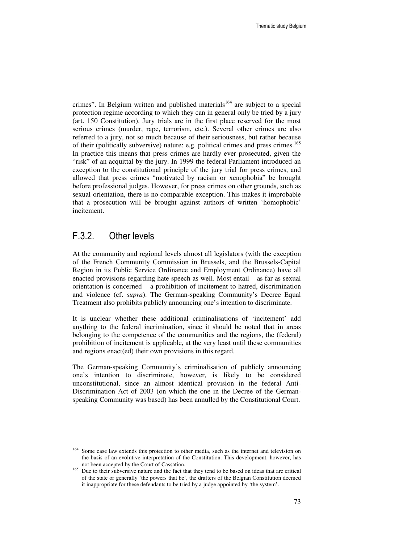crimes". In Belgium written and published materials<sup>164</sup> are subject to a special protection regime according to which they can in general only be tried by a jury (art. 150 Constitution). Jury trials are in the first place reserved for the most serious crimes (murder, rape, terrorism, etc.). Several other crimes are also referred to a jury, not so much because of their seriousness, but rather because of their (politically subversive) nature: e.g. political crimes and press crimes.<sup>165</sup> In practice this means that press crimes are hardly ever prosecuted, given the "risk" of an acquittal by the jury. In 1999 the federal Parliament introduced an exception to the constitutional principle of the jury trial for press crimes, and allowed that press crimes "motivated by racism or xenophobia" be brought before professional judges. However, for press crimes on other grounds, such as sexual orientation, there is no comparable exception. This makes it improbable that a prosecution will be brought against authors of written 'homophobic' incitement.

### F.3.2. Other levels

 $\ddot{ }$ 

At the community and regional levels almost all legislators (with the exception of the French Community Commission in Brussels, and the Brussels-Capital Region in its Public Service Ordinance and Employment Ordinance) have all enacted provisions regarding hate speech as well. Most entail – as far as sexual orientation is concerned – a prohibition of incitement to hatred, discrimination and violence (cf. *supra*). The German-speaking Community's Decree Equal Treatment also prohibits publicly announcing one's intention to discriminate.

It is unclear whether these additional criminalisations of 'incitement' add anything to the federal incrimination, since it should be noted that in areas belonging to the competence of the communities and the regions, the (federal) prohibition of incitement is applicable, at the very least until these communities and regions enact(ed) their own provisions in this regard.

The German-speaking Community's criminalisation of publicly announcing one's intention to discriminate, however, is likely to be considered unconstitutional, since an almost identical provision in the federal Anti-Discrimination Act of 2003 (on which the one in the Decree of the Germanspeaking Community was based) has been annulled by the Constitutional Court.

<sup>&</sup>lt;sup>164</sup> Some case law extends this protection to other media, such as the internet and television on the basis of an evolutive interpretation of the Constitution. This development, however, has not been accepted by the Court of Cassation.

<sup>&</sup>lt;sup>165</sup> Due to their subversive nature and the fact that they tend to be based on ideas that are critical of the state or generally 'the powers that be', the drafters of the Belgian Constitution deemed it inappropriate for these defendants to be tried by a judge appointed by 'the system'.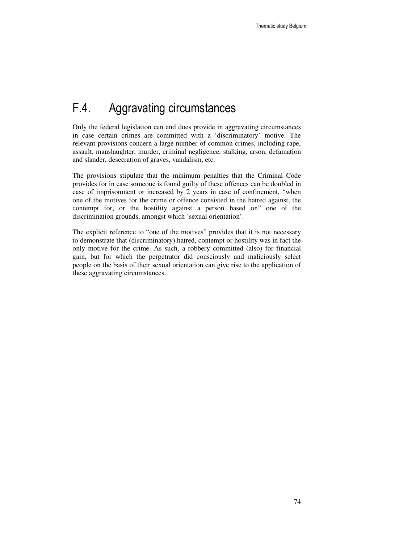# F.4. Aggravating circumstances

Only the federal legislation can and does provide in aggravating circumstances in case certain crimes are committed with a 'discriminatory' motive. The relevant provisions concern a large number of common crimes, including rape, assault, manslaughter, murder, criminal negligence, stalking, arson, defamation and slander, desecration of graves, vandalism, etc.

The provisions stipulate that the minimum penalties that the Criminal Code provides for in case someone is found guilty of these offences can be doubled in case of imprisonment or increased by 2 years in case of confinement, "when one of the motives for the crime or offence consisted in the hatred against, the contempt for, or the hostility against a person based on" one of the discrimination grounds, amongst which 'sexual orientation'.

The explicit reference to "one of the motives" provides that it is not necessary to demonstrate that (discriminatory) hatred, contempt or hostility was in fact the only motive for the crime. As such, a robbery committed (also) for financial gain, but for which the perpetrator did consciously and maliciously select people on the basis of their sexual orientation can give rise to the application of these aggravating circumstances.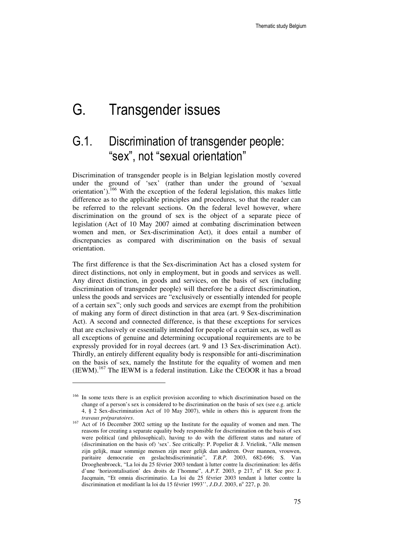# G. Transgender issues

## G.1. Discrimination of transgender people: "sex", not "sexual orientation"

Discrimination of transgender people is in Belgian legislation mostly covered under the ground of 'sex' (rather than under the ground of 'sexual orientation').<sup>166</sup> With the exception of the federal legislation, this makes little difference as to the applicable principles and procedures, so that the reader can be referred to the relevant sections. On the federal level however, where discrimination on the ground of sex is the object of a separate piece of legislation (Act of 10 May 2007 aimed at combating discrimination between women and men, or Sex-discrimination Act), it does entail a number of discrepancies as compared with discrimination on the basis of sexual orientation.

The first difference is that the Sex-discrimination Act has a closed system for direct distinctions, not only in employment, but in goods and services as well. Any direct distinction, in goods and services, on the basis of sex (including discrimination of transgender people) will therefore be a direct discrimination, unless the goods and services are "exclusively or essentially intended for people of a certain sex"; only such goods and services are exempt from the prohibition of making any form of direct distinction in that area (art. 9 Sex-discrimination Act). A second and connected difference, is that these exceptions for services that are exclusively or essentially intended for people of a certain sex, as well as all exceptions of genuine and determining occupational requirements are to be expressly provided for in royal decrees (art. 9 and 13 Sex-discrimination Act). Thirdly, an entirely different equality body is responsible for anti-discrimination on the basis of sex, namely the Institute for the equality of women and men  $(IEWM).<sup>167</sup>$  The IEWM is a federal institution. Like the CEOOR it has a broad

 $\ddot{ }$ 

<sup>&</sup>lt;sup>166</sup> In some texts there is an explicit provision according to which discrimination based on the change of a person's sex is considered to be discrimination on the basis of sex (see e.g. article 4, § 2 Sex-discrimination Act of 10 May 2007), while in others this is apparent from the *travaux préparatoires*.

<sup>&</sup>lt;sup>167</sup> Act of 16 December 2002 setting up the Institute for the equality of women and men. The reasons for creating a separate equality body responsible for discrimination on the basis of sex were political (and philosophical), having to do with the different status and nature of (discrimination on the basis of) 'sex'. See critically: P. Popelier & J. Vrielink, "Alle mensen zijn gelijk, maar sommige mensen zijn meer gelijk dan anderen. Over mannen, vrouwen, paritaire democratie en geslachtsdiscriminatie", *T.B.P.* 2003, 682-696; S. Van Drooghenbroeck, "La loi du 25 février 2003 tendant à lutter contre la discrimination: les défis d'une 'horizontalisation' des droits de l'homme", *A.P.T.* 2003, p 217, nº 18. See pro: J. Jacqmain, "Et omnia discriminatio. La loi du 25 février 2003 tendant à lutter contre la discrimination et modifiant la loi du 15 février 1993", *J.D.J.* 2003, nº 227, p. 20.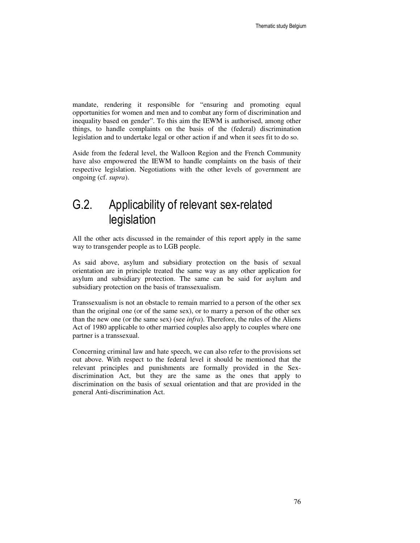mandate, rendering it responsible for "ensuring and promoting equal opportunities for women and men and to combat any form of discrimination and inequality based on gender". To this aim the IEWM is authorised, among other things, to handle complaints on the basis of the (federal) discrimination legislation and to undertake legal or other action if and when it sees fit to do so.

Aside from the federal level, the Walloon Region and the French Community have also empowered the IEWM to handle complaints on the basis of their respective legislation. Negotiations with the other levels of government are ongoing (cf. *supra*).

## G.2. Applicability of relevant sex-related legislation

All the other acts discussed in the remainder of this report apply in the same way to transgender people as to LGB people.

As said above, asylum and subsidiary protection on the basis of sexual orientation are in principle treated the same way as any other application for asylum and subsidiary protection. The same can be said for asylum and subsidiary protection on the basis of transsexualism.

Transsexualism is not an obstacle to remain married to a person of the other sex than the original one (or of the same sex), or to marry a person of the other sex than the new one (or the same sex) (see *infra*). Therefore, the rules of the Aliens Act of 1980 applicable to other married couples also apply to couples where one partner is a transsexual.

Concerning criminal law and hate speech, we can also refer to the provisions set out above. With respect to the federal level it should be mentioned that the relevant principles and punishments are formally provided in the Sexdiscrimination Act, but they are the same as the ones that apply to discrimination on the basis of sexual orientation and that are provided in the general Anti-discrimination Act.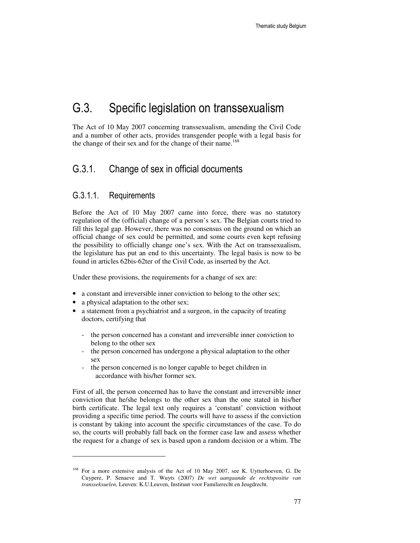### G.3. Specific legislation on transsexualism

The Act of 10 May 2007 concerning transsexualism, amending the Civil Code and a number of other acts, provides transgender people with a legal basis for the change of their sex and for the change of their name.<sup>168</sup>

### G.3.1. Change of sex in official documents

### G.3.1.1. Requirements

Before the Act of 10 May 2007 came into force, there was no statutory regulation of the (official) change of a person's sex. The Belgian courts tried to fill this legal gap. However, there was no consensus on the ground on which an official change of sex could be permitted, and some courts even kept refusing the possibility to officially change one's sex. With the Act on transsexualism, the legislature has put an end to this uncertainty. The legal basis is now to be found in articles 62bis-62ter of the Civil Code, as inserted by the Act.

Under these provisions, the requirements for a change of sex are:

- a constant and irreversible inner conviction to belong to the other sex;
- a physical adaptation to the other sex;

 $\ddot{ }$ 

- a statement from a psychiatrist and a surgeon, in the capacity of treating doctors, certifying that
	- the person concerned has a constant and irreversible inner conviction to belong to the other sex
	- the person concerned has undergone a physical adaptation to the other sex
	- the person concerned is no longer capable to beget children in accordance with his/her former sex.

First of all, the person concerned has to have the constant and irreversible inner conviction that he/she belongs to the other sex than the one stated in his/her birth certificate. The legal text only requires a 'constant' conviction without providing a specific time period. The courts will have to assess if the conviction is constant by taking into account the specific circumstances of the case. To do so, the courts will probably fall back on the former case law and assess whether the request for a change of sex is based upon a random decision or a whim. The

<sup>168</sup> For a more extensive analysis of the Act of 10 May 2007, see K. Uytterhoeven, G. De Cuypere, P. Senaeve and T. Wuyts (2007) *De wet aangaande de rechtspositie van transseksuelen*, Leuven: K.U.Leuven, Instituut voor Familierecht en Jeugdrecht.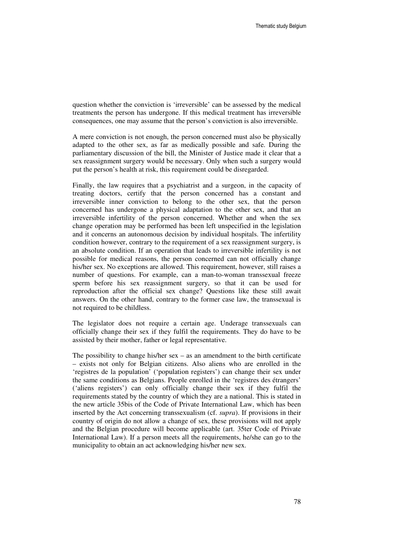question whether the conviction is 'irreversible' can be assessed by the medical treatments the person has undergone. If this medical treatment has irreversible consequences, one may assume that the person's conviction is also irreversible.

A mere conviction is not enough, the person concerned must also be physically adapted to the other sex, as far as medically possible and safe. During the parliamentary discussion of the bill, the Minister of Justice made it clear that a sex reassignment surgery would be necessary. Only when such a surgery would put the person's health at risk, this requirement could be disregarded.

Finally, the law requires that a psychiatrist and a surgeon, in the capacity of treating doctors, certify that the person concerned has a constant and irreversible inner conviction to belong to the other sex, that the person concerned has undergone a physical adaptation to the other sex, and that an irreversible infertility of the person concerned. Whether and when the sex change operation may be performed has been left unspecified in the legislation and it concerns an autonomous decision by individual hospitals. The infertility condition however, contrary to the requirement of a sex reassignment surgery, is an absolute condition. If an operation that leads to irreversible infertility is not possible for medical reasons, the person concerned can not officially change his/her sex. No exceptions are allowed. This requirement, however, still raises a number of questions. For example, can a man-to-woman transsexual freeze sperm before his sex reassignment surgery, so that it can be used for reproduction after the official sex change? Questions like these still await answers. On the other hand, contrary to the former case law, the transsexual is not required to be childless.

The legislator does not require a certain age. Underage transsexuals can officially change their sex if they fulfil the requirements. They do have to be assisted by their mother, father or legal representative.

The possibility to change his/her  $sex - as$  an amendment to the birth certificate – exists not only for Belgian citizens. Also aliens who are enrolled in the 'registres de la population' ('population registers') can change their sex under the same conditions as Belgians. People enrolled in the 'registres des étrangers' ('aliens registers') can only officially change their sex if they fulfil the requirements stated by the country of which they are a national. This is stated in the new article 35bis of the Code of Private International Law, which has been inserted by the Act concerning transsexualism (cf. *supra*). If provisions in their country of origin do not allow a change of sex, these provisions will not apply and the Belgian procedure will become applicable (art. 35ter Code of Private International Law). If a person meets all the requirements, he/she can go to the municipality to obtain an act acknowledging his/her new sex.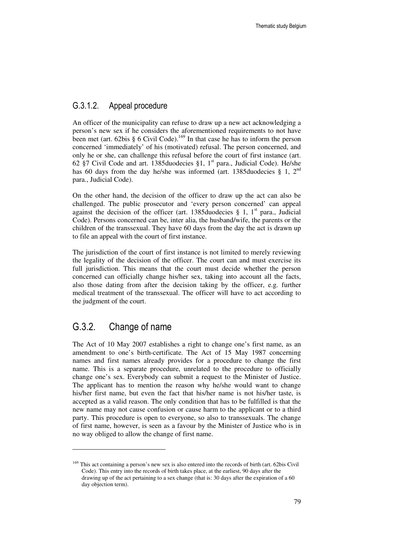### G.3.1.2. Appeal procedure

An officer of the municipality can refuse to draw up a new act acknowledging a person's new sex if he considers the aforementioned requirements to not have been met (art. 62bis § 6 Civil Code).<sup>169</sup> In that case he has to inform the person concerned 'immediately' of his (motivated) refusal. The person concerned, and only he or she, can challenge this refusal before the court of first instance (art. 62 §7 Civil Code and art. 1385duodecies §1,  $1<sup>st</sup>$  para., Judicial Code). He/she has 60 days from the day he/she was informed (art. 1385duodecies § 1,  $2<sup>nd</sup>$ ) para., Judicial Code).

On the other hand, the decision of the officer to draw up the act can also be challenged. The public prosecutor and 'every person concerned' can appeal against the decision of the officer (art. 1385duodecies  $\S$  1, 1<sup>st</sup> para., Judicial Code). Persons concerned can be, inter alia, the husband/wife, the parents or the children of the transsexual. They have 60 days from the day the act is drawn up to file an appeal with the court of first instance.

The jurisdiction of the court of first instance is not limited to merely reviewing the legality of the decision of the officer. The court can and must exercise its full jurisdiction. This means that the court must decide whether the person concerned can officially change his/her sex, taking into account all the facts, also those dating from after the decision taking by the officer, e.g. further medical treatment of the transsexual. The officer will have to act according to the judgment of the court.

### G.3.2. Change of name

 $\ddot{ }$ 

The Act of 10 May 2007 establishes a right to change one's first name, as an amendment to one's birth-certificate. The Act of 15 May 1987 concerning names and first names already provides for a procedure to change the first name. This is a separate procedure, unrelated to the procedure to officially change one's sex. Everybody can submit a request to the Minister of Justice. The applicant has to mention the reason why he/she would want to change his/her first name, but even the fact that his/her name is not his/her taste, is accepted as a valid reason. The only condition that has to be fulfilled is that the new name may not cause confusion or cause harm to the applicant or to a third party. This procedure is open to everyone, so also to transsexuals. The change of first name, however, is seen as a favour by the Minister of Justice who is in no way obliged to allow the change of first name.

<sup>&</sup>lt;sup>169</sup> This act containing a person's new sex is also entered into the records of birth (art. 62bis Civil Code). This entry into the records of birth takes place, at the earliest, 90 days after the drawing up of the act pertaining to a sex change (that is: 30 days after the expiration of a 60 day objection term).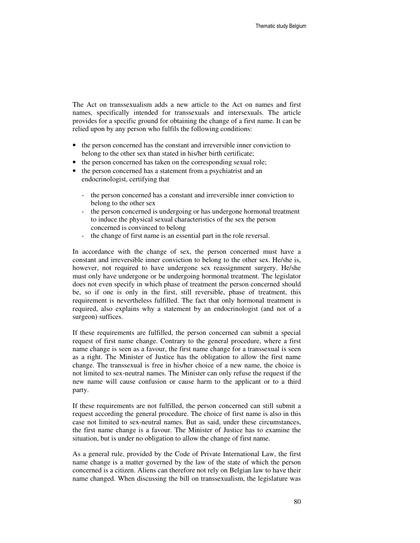The Act on transsexualism adds a new article to the Act on names and first names, specifically intended for transsexuals and intersexuals. The article provides for a specific ground for obtaining the change of a first name. It can be relied upon by any person who fulfils the following conditions:

- the person concerned has the constant and irreversible inner conviction to belong to the other sex than stated in his/her birth certificate;
- the person concerned has taken on the corresponding sexual role;
- the person concerned has a statement from a psychiatrist and an endocrinologist, certifying that
	- the person concerned has a constant and irreversible inner conviction to belong to the other sex
	- the person concerned is undergoing or has undergone hormonal treatment to induce the physical sexual characteristics of the sex the person concerned is convinced to belong
	- the change of first name is an essential part in the role reversal.

In accordance with the change of sex, the person concerned must have a constant and irreversible inner conviction to belong to the other sex. He/she is, however, not required to have undergone sex reassignment surgery. He/she must only have undergone or be undergoing hormonal treatment. The legislator does not even specify in which phase of treatment the person concerned should be, so if one is only in the first, still reversible, phase of treatment, this requirement is nevertheless fulfilled. The fact that only hormonal treatment is required, also explains why a statement by an endocrinologist (and not of a surgeon) suffices.

If these requirements are fulfilled, the person concerned can submit a special request of first name change. Contrary to the general procedure, where a first name change is seen as a favour, the first name change for a transsexual is seen as a right. The Minister of Justice has the obligation to allow the first name change. The transsexual is free in his/her choice of a new name, the choice is not limited to sex-neutral names. The Minister can only refuse the request if the new name will cause confusion or cause harm to the applicant or to a third party.

If these requirements are not fulfilled, the person concerned can still submit a request according the general procedure. The choice of first name is also in this case not limited to sex-neutral names. But as said, under these circumstances, the first name change is a favour. The Minister of Justice has to examine the situation, but is under no obligation to allow the change of first name.

As a general rule, provided by the Code of Private International Law, the first name change is a matter governed by the law of the state of which the person concerned is a citizen. Aliens can therefore not rely on Belgian law to have their name changed. When discussing the bill on transsexualism, the legislature was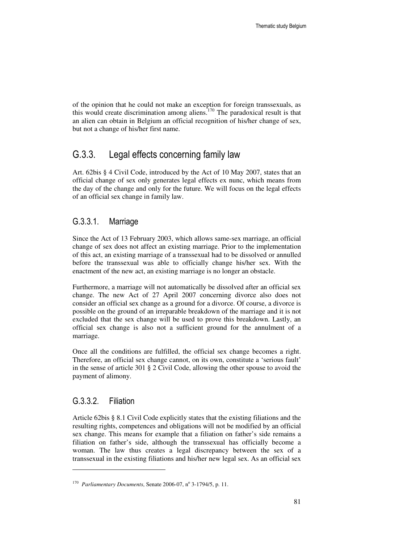of the opinion that he could not make an exception for foreign transsexuals, as this would create discrimination among aliens.<sup>170</sup> The paradoxical result is that an alien can obtain in Belgium an official recognition of his/her change of sex, but not a change of his/her first name.

### G.3.3. Legal effects concerning family law

Art. 62bis § 4 Civil Code, introduced by the Act of 10 May 2007, states that an official change of sex only generates legal effects ex nunc, which means from the day of the change and only for the future. We will focus on the legal effects of an official sex change in family law.

#### G.3.3.1. Marriage

Since the Act of 13 February 2003, which allows same-sex marriage, an official change of sex does not affect an existing marriage. Prior to the implementation of this act, an existing marriage of a transsexual had to be dissolved or annulled before the transsexual was able to officially change his/her sex. With the enactment of the new act, an existing marriage is no longer an obstacle.

Furthermore, a marriage will not automatically be dissolved after an official sex change. The new Act of 27 April 2007 concerning divorce also does not consider an official sex change as a ground for a divorce. Of course, a divorce is possible on the ground of an irreparable breakdown of the marriage and it is not excluded that the sex change will be used to prove this breakdown. Lastly, an official sex change is also not a sufficient ground for the annulment of a marriage.

Once all the conditions are fulfilled, the official sex change becomes a right. Therefore, an official sex change cannot, on its own, constitute a 'serious fault' in the sense of article 301 § 2 Civil Code, allowing the other spouse to avoid the payment of alimony.

#### G.3.3.2. Filiation

 $\ddot{ }$ 

Article 62bis § 8.1 Civil Code explicitly states that the existing filiations and the resulting rights, competences and obligations will not be modified by an official sex change. This means for example that a filiation on father's side remains a filiation on father's side, although the transsexual has officially become a woman. The law thus creates a legal discrepancy between the sex of a transsexual in the existing filiations and his/her new legal sex. As an official sex

<sup>&</sup>lt;sup>170</sup> Parliamentary Documents, Senate 2006-07, nº 3-1794/5, p. 11.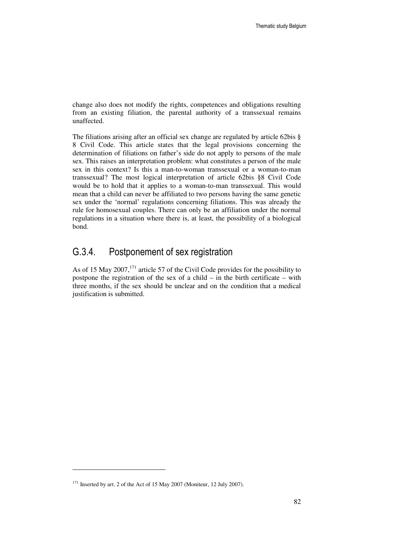change also does not modify the rights, competences and obligations resulting from an existing filiation, the parental authority of a transsexual remains unaffected.

The filiations arising after an official sex change are regulated by article 62bis § 8 Civil Code. This article states that the legal provisions concerning the determination of filiations on father's side do not apply to persons of the male sex. This raises an interpretation problem: what constitutes a person of the male sex in this context? Is this a man-to-woman transsexual or a woman-to-man transsexual? The most logical interpretation of article 62bis §8 Civil Code would be to hold that it applies to a woman-to-man transsexual. This would mean that a child can never be affiliated to two persons having the same genetic sex under the 'normal' regulations concerning filiations. This was already the rule for homosexual couples. There can only be an affiliation under the normal regulations in a situation where there is, at least, the possibility of a biological bond.

### G.3.4. Postponement of sex registration

As of 15 May 2007,<sup>171</sup> article 57 of the Civil Code provides for the possibility to postpone the registration of the sex of a child – in the birth certificate – with three months, if the sex should be unclear and on the condition that a medical justification is submitted.

 $\ddot{ }$ 

<sup>&</sup>lt;sup>171</sup> Inserted by art. 2 of the Act of 15 May 2007 (Moniteur, 12 July 2007).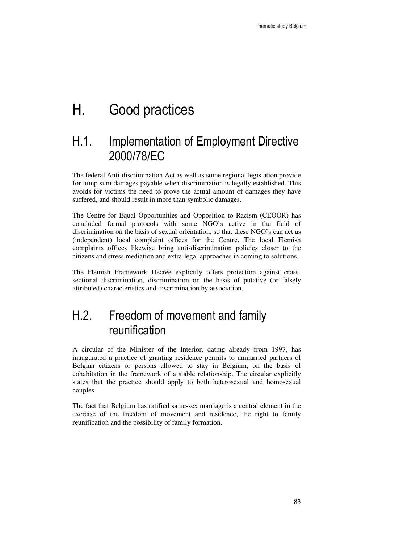# H. Good practices

## H.1. Implementation of Employment Directive 2000/78/EC

The federal Anti-discrimination Act as well as some regional legislation provide for lump sum damages payable when discrimination is legally established. This avoids for victims the need to prove the actual amount of damages they have suffered, and should result in more than symbolic damages.

The Centre for Equal Opportunities and Opposition to Racism (CEOOR) has concluded formal protocols with some NGO's active in the field of discrimination on the basis of sexual orientation, so that these NGO's can act as (independent) local complaint offices for the Centre. The local Flemish complaints offices likewise bring anti-discrimination policies closer to the citizens and stress mediation and extra-legal approaches in coming to solutions.

The Flemish Framework Decree explicitly offers protection against crosssectional discrimination, discrimination on the basis of putative (or falsely attributed) characteristics and discrimination by association.

## H.2. Freedom of movement and family reunification

A circular of the Minister of the Interior, dating already from 1997, has inaugurated a practice of granting residence permits to unmarried partners of Belgian citizens or persons allowed to stay in Belgium, on the basis of cohabitation in the framework of a stable relationship. The circular explicitly states that the practice should apply to both heterosexual and homosexual couples.

The fact that Belgium has ratified same-sex marriage is a central element in the exercise of the freedom of movement and residence, the right to family reunification and the possibility of family formation.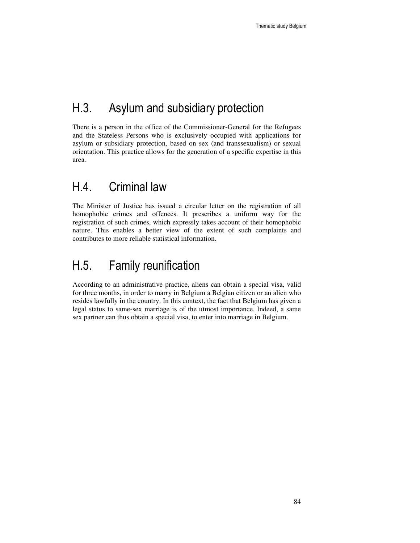# H.3. Asylum and subsidiary protection

There is a person in the office of the Commissioner-General for the Refugees and the Stateless Persons who is exclusively occupied with applications for asylum or subsidiary protection, based on sex (and transsexualism) or sexual orientation. This practice allows for the generation of a specific expertise in this area.

### H.4. Criminal law

The Minister of Justice has issued a circular letter on the registration of all homophobic crimes and offences. It prescribes a uniform way for the registration of such crimes, which expressly takes account of their homophobic nature. This enables a better view of the extent of such complaints and contributes to more reliable statistical information.

## H.5. Family reunification

According to an administrative practice, aliens can obtain a special visa, valid for three months, in order to marry in Belgium a Belgian citizen or an alien who resides lawfully in the country. In this context, the fact that Belgium has given a legal status to same-sex marriage is of the utmost importance. Indeed, a same sex partner can thus obtain a special visa, to enter into marriage in Belgium.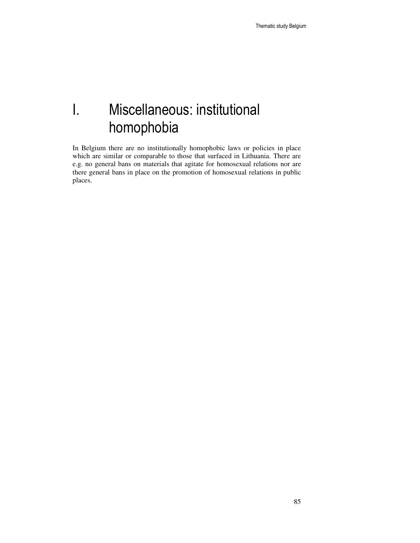# I. Miscellaneous: institutional homophobia

In Belgium there are no institutionally homophobic laws or policies in place which are similar or comparable to those that surfaced in Lithuania. There are e.g. no general bans on materials that agitate for homosexual relations nor are there general bans in place on the promotion of homosexual relations in public places.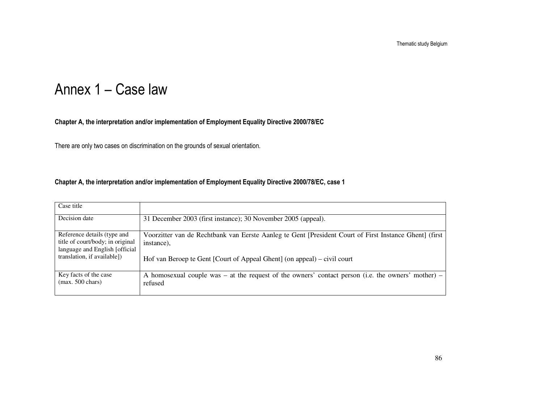# Annex 1 – Case law

#### Chapter A, the interpretation and/or implementation of Employment Equality Directive 2000/78/EC

There are only two cases on discrimination on the grounds of sexual orientation.

#### Chapter A, the interpretation and/or implementation of Employment Equality Directive 2000/78/EC, case 1

| Case title                                                                                         |                                                                                                                      |
|----------------------------------------------------------------------------------------------------|----------------------------------------------------------------------------------------------------------------------|
| Decision date                                                                                      | 31 December 2003 (first instance); 30 November 2005 (appeal).                                                        |
| Reference details (type and<br>title of court/body; in original<br>language and English [official] | Voorzitter van de Rechtbank van Eerste Aanleg te Gent [President Court of First Instance Ghent] (first<br>instance), |
| translation, if available])                                                                        | Hof van Beroep te Gent [Court of Appeal Ghent] (on appeal) – civil court                                             |
| Key facts of the case<br>$(max. 500 \text{ chars})$                                                | A homosexual couple was – at the request of the owners' contact person (i.e. the owners' mother) –<br>refused        |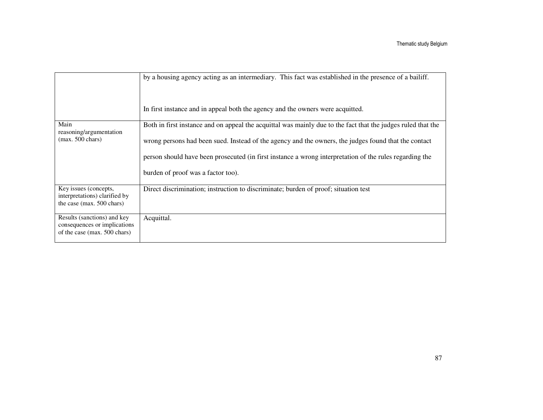|                                                                                             | by a housing agency acting as an intermediary. This fact was established in the presence of a bailiff.<br>In first instance and in appeal both the agency and the owners were acquitted.                                                                                                                                                                              |
|---------------------------------------------------------------------------------------------|-----------------------------------------------------------------------------------------------------------------------------------------------------------------------------------------------------------------------------------------------------------------------------------------------------------------------------------------------------------------------|
| Main<br>reasoning/argumentation<br>$(max. 500 \text{ chars})$                               | Both in first instance and on appeal the acquittal was mainly due to the fact that the judges ruled that the<br>wrong persons had been sued. Instead of the agency and the owners, the judges found that the contact<br>person should have been prosecuted (in first instance a wrong interpretation of the rules regarding the<br>burden of proof was a factor too). |
| Key issues (concepts,<br>interpretations) clarified by<br>the case (max. 500 chars)         | Direct discrimination; instruction to discriminate; burden of proof; situation test                                                                                                                                                                                                                                                                                   |
| Results (sanctions) and key<br>consequences or implications<br>of the case (max. 500 chars) | Acquittal.                                                                                                                                                                                                                                                                                                                                                            |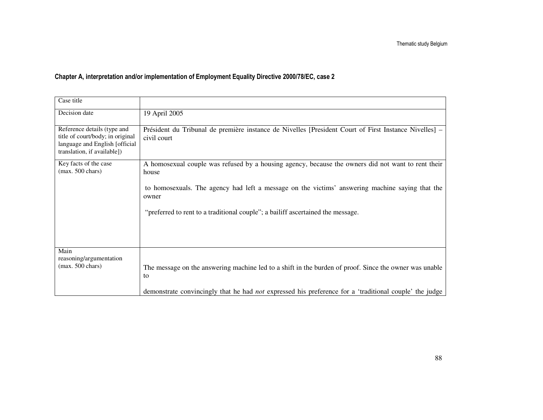### Chapter A, interpretation and/or implementation of Employment Equality Directive 2000/78/EC, case 2

| Case title                                                                                                                       |                                                                                                                      |
|----------------------------------------------------------------------------------------------------------------------------------|----------------------------------------------------------------------------------------------------------------------|
| Decision date                                                                                                                    | 19 April 2005                                                                                                        |
| Reference details (type and<br>title of court/body; in original<br>language and English [official<br>translation, if available]) | Président du Tribunal de première instance de Nivelles [President Court of First Instance Nivelles] –<br>civil court |
| Key facts of the case<br>$(max. 500 \text{ chars})$                                                                              | A homosexual couple was refused by a housing agency, because the owners did not want to rent their<br>house          |
|                                                                                                                                  | to homosexuals. The agency had left a message on the victims' answering machine saying that the<br>owner             |
|                                                                                                                                  | "preferred to rent to a traditional couple"; a bailiff ascertained the message.                                      |
|                                                                                                                                  |                                                                                                                      |
| Main<br>reasoning/argumentation                                                                                                  |                                                                                                                      |
| $(max. 500 \text{ chars})$                                                                                                       | The message on the answering machine led to a shift in the burden of proof. Since the owner was unable<br>to         |
|                                                                                                                                  | demonstrate convincingly that he had <i>not</i> expressed his preference for a 'traditional couple' the judge        |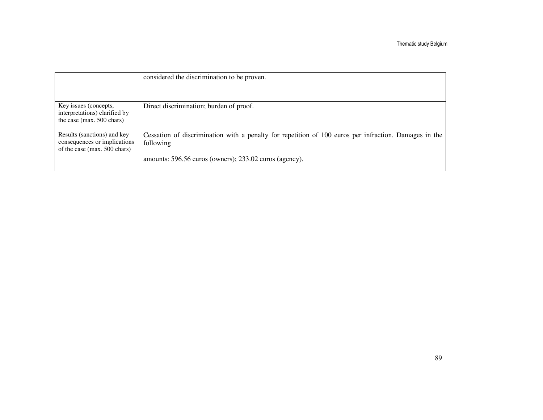|                                                                                             | considered the discrimination to be proven.                                                                        |
|---------------------------------------------------------------------------------------------|--------------------------------------------------------------------------------------------------------------------|
|                                                                                             |                                                                                                                    |
| Key issues (concepts,<br>interpretations) clarified by<br>the case (max. 500 chars)         | Direct discrimination; burden of proof.                                                                            |
| Results (sanctions) and key<br>consequences or implications<br>of the case (max. 500 chars) | Cessation of discrimination with a penalty for repetition of 100 euros per infraction. Damages in the<br>following |
|                                                                                             | amounts: 596.56 euros (owners); 233.02 euros (agency).                                                             |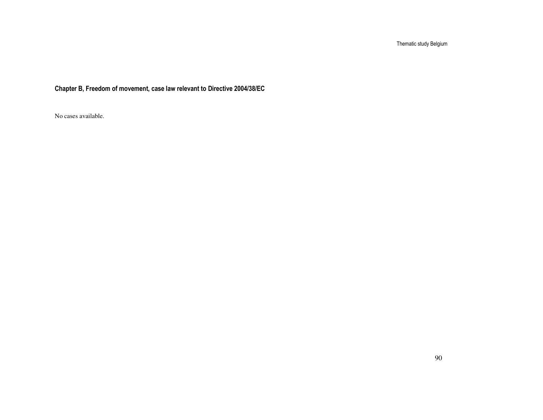Chapter B, Freedom of movement, case law relevant to Directive 2004/38/EC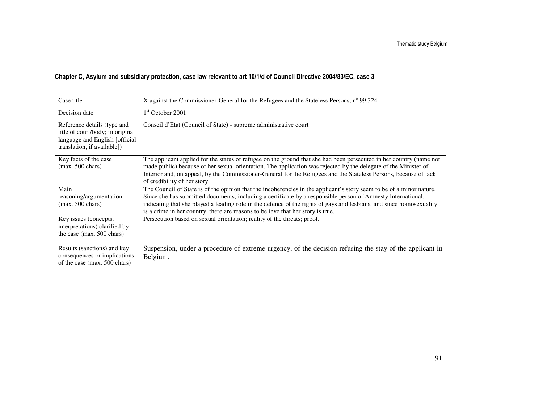| Case title                                                                                                                       | X against the Commissioner-General for the Refugees and the Stateless Persons, n° 99.324                                                                                                                                                                                                                                                                                                                                                        |
|----------------------------------------------------------------------------------------------------------------------------------|-------------------------------------------------------------------------------------------------------------------------------------------------------------------------------------------------------------------------------------------------------------------------------------------------------------------------------------------------------------------------------------------------------------------------------------------------|
| Decision date                                                                                                                    | 1 <sup>st</sup> October 2001                                                                                                                                                                                                                                                                                                                                                                                                                    |
| Reference details (type and<br>title of court/body; in original<br>language and English [official<br>translation, if available]) | Conseil d'Etat (Council of State) - supreme administrative court                                                                                                                                                                                                                                                                                                                                                                                |
| Key facts of the case<br>$(max. 500 \text{ chars})$                                                                              | The applicant applied for the status of refugee on the ground that she had been persecuted in her country (name not<br>made public) because of her sexual orientation. The application was rejected by the delegate of the Minister of<br>Interior and, on appeal, by the Commissioner-General for the Refugees and the Stateless Persons, because of lack<br>of credibility of her story.                                                      |
| Main<br>reasoning/argumentation<br>$(max. 500 \text{ chars})$                                                                    | The Council of State is of the opinion that the incoherencies in the applicant's story seem to be of a minor nature.<br>Since she has submitted documents, including a certificate by a responsible person of Amnesty International,<br>indicating that she played a leading role in the defence of the rights of gays and lesbians, and since homosexuality<br>is a crime in her country, there are reasons to believe that her story is true. |
| Key issues (concepts,<br>interpretations) clarified by<br>the case (max. 500 chars)                                              | Persecution based on sexual orientation; reality of the threats; proof.                                                                                                                                                                                                                                                                                                                                                                         |
| Results (sanctions) and key<br>consequences or implications<br>of the case (max. 500 chars)                                      | Suspension, under a procedure of extreme urgency, of the decision refusing the stay of the applicant in<br>Belgium.                                                                                                                                                                                                                                                                                                                             |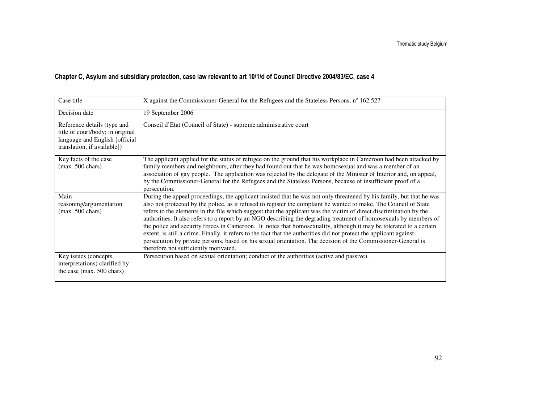| Case title                                                                                                                       | X against the Commissioner-General for the Refugees and the Stateless Persons, $n^{\circ}$ 162.527                                                                                                                                                                                                                                                                                                                                                                                                                                                                                                                                                                                                                                                                                                                                                                                         |
|----------------------------------------------------------------------------------------------------------------------------------|--------------------------------------------------------------------------------------------------------------------------------------------------------------------------------------------------------------------------------------------------------------------------------------------------------------------------------------------------------------------------------------------------------------------------------------------------------------------------------------------------------------------------------------------------------------------------------------------------------------------------------------------------------------------------------------------------------------------------------------------------------------------------------------------------------------------------------------------------------------------------------------------|
| Decision date                                                                                                                    | 19 September 2006                                                                                                                                                                                                                                                                                                                                                                                                                                                                                                                                                                                                                                                                                                                                                                                                                                                                          |
| Reference details (type and<br>title of court/body; in original<br>language and English [official<br>translation, if available]) | Conseil d'Etat (Council of State) - supreme administrative court                                                                                                                                                                                                                                                                                                                                                                                                                                                                                                                                                                                                                                                                                                                                                                                                                           |
| Key facts of the case<br>$(max. 500 \text{ chars})$                                                                              | The applicant applied for the status of refugee on the ground that his workplace in Cameroon had been attacked by<br>family members and neighbours, after they had found out that he was homosexual and was a member of an<br>association of gay people. The application was rejected by the delegate of the Minister of Interior and, on appeal,<br>by the Commissioner-General for the Refugees and the Stateless Persons, because of insufficient proof of a<br>persecution.                                                                                                                                                                                                                                                                                                                                                                                                            |
| Main<br>reasoning/argumentation<br>$(max. 500 \text{ chars})$                                                                    | During the appeal proceedings, the applicant insisted that he was not only threatened by his family, but that he was<br>also not protected by the police, as it refused to register the complaint he wanted to make. The Council of State<br>refers to the elements in the file which suggest that the applicant was the victim of direct discrimination by the<br>authorities. It also refers to a report by an NGO describing the degrading treatment of homosexuals by members of<br>the police and security forces in Cameroon. It notes that homosexuality, although it may be tolerated to a certain<br>extent, is still a crime. Finally, it refers to the fact that the authorities did not protect the applicant against<br>persecution by private persons, based on his sexual orientation. The decision of the Commissioner-General is<br>therefore not sufficiently motivated. |
| Key issues (concepts,<br>interpretations) clarified by<br>the case (max. 500 chars)                                              | Persecution based on sexual orientation; conduct of the authorities (active and passive).                                                                                                                                                                                                                                                                                                                                                                                                                                                                                                                                                                                                                                                                                                                                                                                                  |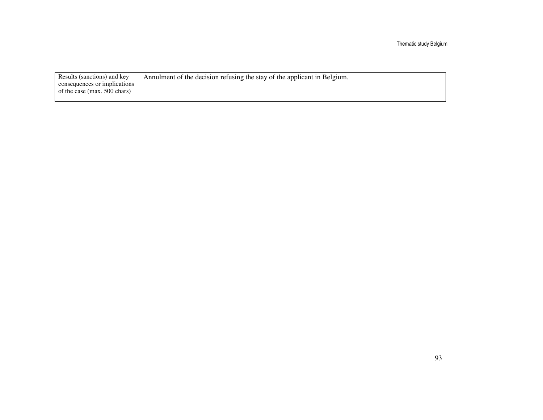| Results (sanctions) and key  | Annulment of the decision refusing the stay of the applicant in Belgium. |
|------------------------------|--------------------------------------------------------------------------|
| consequences or implications |                                                                          |
| of the case (max. 500 chars) |                                                                          |
|                              |                                                                          |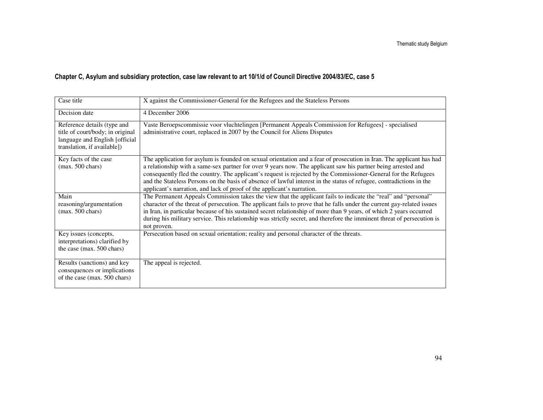| Case title                                                                                                                       | X against the Commissioner-General for the Refugees and the Stateless Persons                                                                                                                                                                                                                                                                                                                                                                                                                                                                              |
|----------------------------------------------------------------------------------------------------------------------------------|------------------------------------------------------------------------------------------------------------------------------------------------------------------------------------------------------------------------------------------------------------------------------------------------------------------------------------------------------------------------------------------------------------------------------------------------------------------------------------------------------------------------------------------------------------|
| Decision date                                                                                                                    | 4 December 2006                                                                                                                                                                                                                                                                                                                                                                                                                                                                                                                                            |
| Reference details (type and<br>title of court/body; in original<br>language and English [official<br>translation, if available]) | Vaste Beroepscommissie voor vluchtelingen [Permanent Appeals Commission for Refugees] - specialised<br>administrative court, replaced in 2007 by the Council for Aliens Disputes                                                                                                                                                                                                                                                                                                                                                                           |
| Key facts of the case<br>$(max. 500 \text{ chars})$                                                                              | The application for asylum is founded on sexual orientation and a fear of prosecution in Iran. The applicant has had<br>a relationship with a same-sex partner for over 9 years now. The applicant saw his partner being arrested and<br>consequently fled the country. The applicant's request is rejected by the Commissioner-General for the Refugees<br>and the Stateless Persons on the basis of absence of lawful interest in the status of refugee, contradictions in the<br>applicant's narration, and lack of proof of the applicant's narration. |
| Main<br>reasoning/argumentation<br>$(max. 500 \text{ chars})$                                                                    | The Permanent Appeals Commission takes the view that the applicant fails to indicate the "real" and "personal"<br>character of the threat of persecution. The applicant fails to prove that he falls under the current gay-related issues<br>in Iran, in particular because of his sustained secret relationship of more than 9 years, of which 2 years occurred<br>during his military service. This relationship was strictly secret, and therefore the imminent threat of persecution is<br>not proven.                                                 |
| Key issues (concepts,<br>interpretations) clarified by<br>the case (max. 500 chars)                                              | Persecution based on sexual orientation; reality and personal character of the threats.                                                                                                                                                                                                                                                                                                                                                                                                                                                                    |
| Results (sanctions) and key<br>consequences or implications<br>of the case (max. 500 chars)                                      | The appeal is rejected.                                                                                                                                                                                                                                                                                                                                                                                                                                                                                                                                    |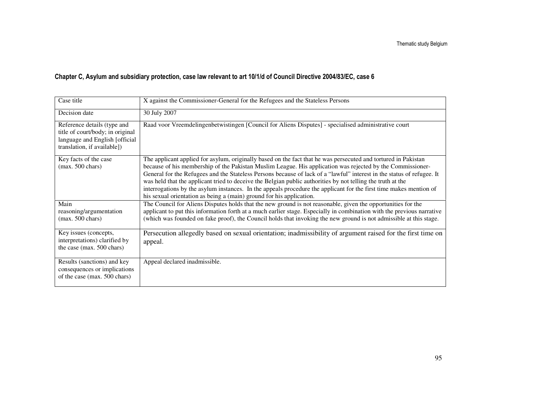| Case title                                                                                                                       | X against the Commissioner-General for the Refugees and the Stateless Persons                                                                                                                                                                                                                                                                                                                                                                                                                                                                                                                                                                                       |
|----------------------------------------------------------------------------------------------------------------------------------|---------------------------------------------------------------------------------------------------------------------------------------------------------------------------------------------------------------------------------------------------------------------------------------------------------------------------------------------------------------------------------------------------------------------------------------------------------------------------------------------------------------------------------------------------------------------------------------------------------------------------------------------------------------------|
| Decision date                                                                                                                    | 30 July 2007                                                                                                                                                                                                                                                                                                                                                                                                                                                                                                                                                                                                                                                        |
| Reference details (type and<br>title of court/body; in original<br>language and English [official<br>translation, if available]) | Raad voor Vreemdelingenbetwistingen [Council for Aliens Disputes] - specialised administrative court                                                                                                                                                                                                                                                                                                                                                                                                                                                                                                                                                                |
| Key facts of the case<br>$(max. 500 \text{ chars})$                                                                              | The applicant applied for asylum, originally based on the fact that he was persecuted and tortured in Pakistan<br>because of his membership of the Pakistan Muslim League. His application was rejected by the Commissioner-<br>General for the Refugees and the Stateless Persons because of lack of a "lawful" interest in the status of refugee. It<br>was held that the applicant tried to deceive the Belgian public authorities by not telling the truth at the<br>interrogations by the asylum instances. In the appeals procedure the applicant for the first time makes mention of<br>his sexual orientation as being a (main) ground for his application. |
| Main<br>reasoning/argumentation<br>$(max. 500 \text{ chars})$                                                                    | The Council for Aliens Disputes holds that the new ground is not reasonable, given the opportunities for the<br>applicant to put this information forth at a much earlier stage. Especially in combination with the previous narrative<br>(which was founded on fake proof), the Council holds that invoking the new ground is not admissible at this stage.                                                                                                                                                                                                                                                                                                        |
| Key issues (concepts,<br>interpretations) clarified by<br>the case (max. 500 chars)                                              | Persecution allegedly based on sexual orientation; inadmissibility of argument raised for the first time on<br>appeal.                                                                                                                                                                                                                                                                                                                                                                                                                                                                                                                                              |
| Results (sanctions) and key<br>consequences or implications<br>of the case (max. 500 chars)                                      | Appeal declared inadmissible.                                                                                                                                                                                                                                                                                                                                                                                                                                                                                                                                                                                                                                       |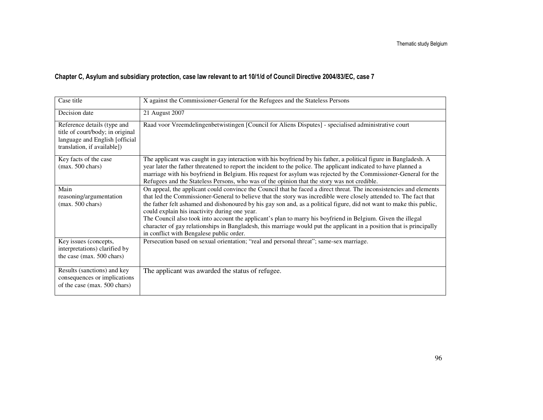| Case title                                                                                                                       | X against the Commissioner-General for the Refugees and the Stateless Persons                                                                                                                                                                                                                                                                                                                                                                                                                                                                                                                                                                                                                           |
|----------------------------------------------------------------------------------------------------------------------------------|---------------------------------------------------------------------------------------------------------------------------------------------------------------------------------------------------------------------------------------------------------------------------------------------------------------------------------------------------------------------------------------------------------------------------------------------------------------------------------------------------------------------------------------------------------------------------------------------------------------------------------------------------------------------------------------------------------|
| Decision date                                                                                                                    | 21 August 2007                                                                                                                                                                                                                                                                                                                                                                                                                                                                                                                                                                                                                                                                                          |
| Reference details (type and<br>title of court/body; in original<br>language and English [official<br>translation, if available]) | Raad voor Vreemdelingenbetwistingen [Council for Aliens Disputes] - specialised administrative court                                                                                                                                                                                                                                                                                                                                                                                                                                                                                                                                                                                                    |
| Key facts of the case<br>$(max. 500 \text{ chars})$                                                                              | The applicant was caught in gay interaction with his boyfriend by his father, a political figure in Bangladesh. A<br>year later the father threatened to report the incident to the police. The applicant indicated to have planned a<br>marriage with his boyfriend in Belgium. His request for asylum was rejected by the Commissioner-General for the<br>Refugees and the Stateless Persons, who was of the opinion that the story was not credible.                                                                                                                                                                                                                                                 |
| Main<br>reasoning/argumentation<br>$(max. 500 \text{ chars})$                                                                    | On appeal, the applicant could convince the Council that he faced a direct threat. The inconsistencies and elements<br>that led the Commissioner-General to believe that the story was incredible were closely attended to. The fact that<br>the father felt ashamed and dishonoured by his gay son and, as a political figure, did not want to make this public,<br>could explain his inactivity during one year.<br>The Council also took into account the applicant's plan to marry his boyfriend in Belgium. Given the illegal<br>character of gay relationships in Bangladesh, this marriage would put the applicant in a position that is principally<br>in conflict with Bengalese public order. |
| Key issues (concepts,<br>interpretations) clarified by<br>the case (max. 500 chars)                                              | Persecution based on sexual orientation; "real and personal threat"; same-sex marriage.                                                                                                                                                                                                                                                                                                                                                                                                                                                                                                                                                                                                                 |
| Results (sanctions) and key<br>consequences or implications<br>of the case (max. 500 chars)                                      | The applicant was awarded the status of refugee.                                                                                                                                                                                                                                                                                                                                                                                                                                                                                                                                                                                                                                                        |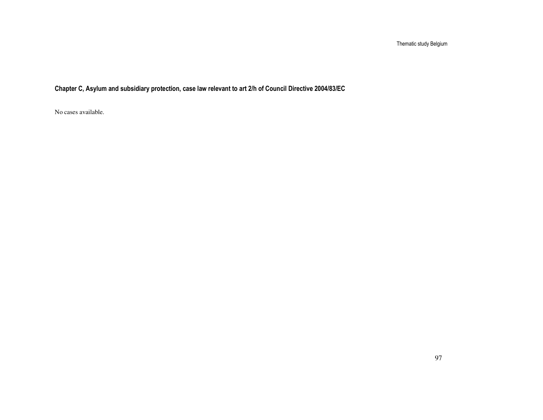Chapter C, Asylum and subsidiary protection, case law relevant to art 2/h of Council Directive 2004/83/EC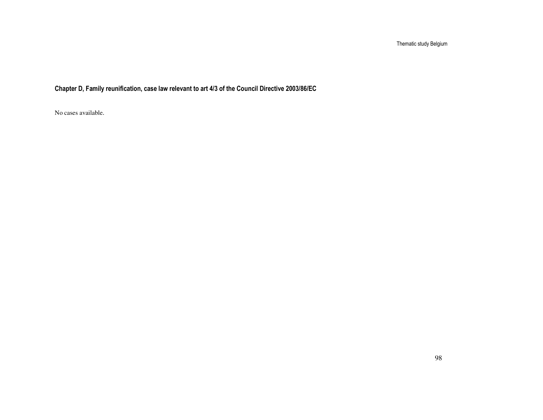Chapter D, Family reunification, case law relevant to art 4/3 of the Council Directive 2003/86/EC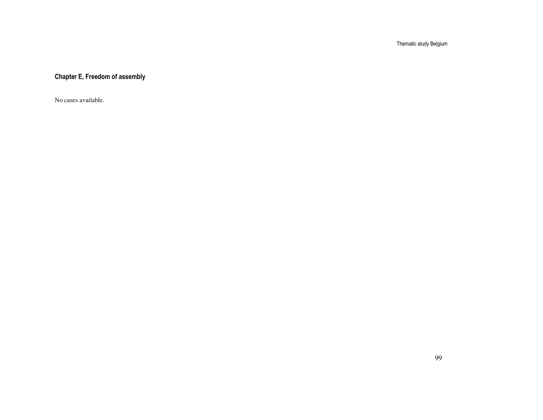Chapter E, Freedom of assembly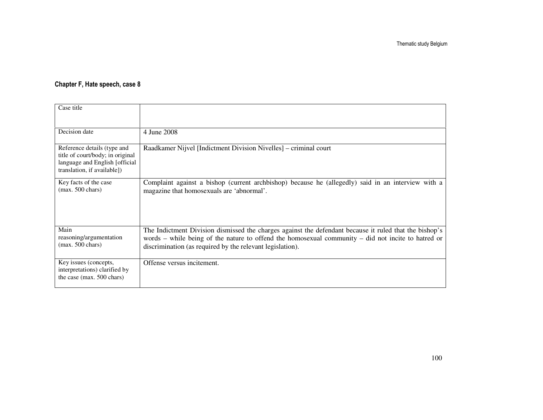#### Chapter F, Hate speech, case 8

| Case title                                                                                                                       |                                                                                                                                                                                                                                                                           |
|----------------------------------------------------------------------------------------------------------------------------------|---------------------------------------------------------------------------------------------------------------------------------------------------------------------------------------------------------------------------------------------------------------------------|
| Decision date                                                                                                                    | 4 June 2008                                                                                                                                                                                                                                                               |
| Reference details (type and<br>title of court/body; in original<br>language and English [official<br>translation, if available]) | Raadkamer Nijvel [Indictment Division Nivelles] – criminal court                                                                                                                                                                                                          |
| Key facts of the case<br>$(max. 500 \text{ chars})$                                                                              | Complaint against a bishop (current archbishop) because he (allegedly) said in an interview with a<br>magazine that homosexuals are 'abnormal'.                                                                                                                           |
| Main<br>reasoning/argumentation<br>$(max. 500 \text{ chars})$                                                                    | The Indictment Division dismissed the charges against the defendant because it ruled that the bishop's<br>words – while being of the nature to offend the homosexual community – did not incite to hatred or<br>discrimination (as required by the relevant legislation). |
| Key issues (concepts,<br>interpretations) clarified by<br>the case (max. 500 chars)                                              | Offense versus incitement.                                                                                                                                                                                                                                                |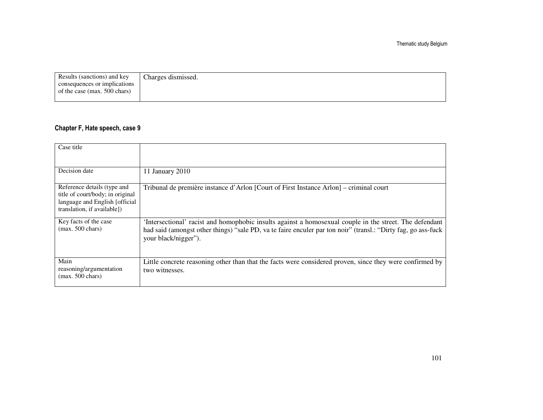| Results (sanctions) and key  | Charges dismissed. |
|------------------------------|--------------------|
| consequences or implications |                    |
| of the case (max. 500 chars) |                    |
|                              |                    |

#### Chapter F, Hate speech, case 9

| Case title                                                                                                                       |                                                                                                                                                                                                                                                  |
|----------------------------------------------------------------------------------------------------------------------------------|--------------------------------------------------------------------------------------------------------------------------------------------------------------------------------------------------------------------------------------------------|
| Decision date                                                                                                                    | 11 January 2010                                                                                                                                                                                                                                  |
| Reference details (type and<br>title of court/body; in original<br>language and English [official<br>translation, if available]) | Tribunal de première instance d'Arlon [Court of First Instance Arlon] – criminal court                                                                                                                                                           |
| Key facts of the case<br>$(max. 500 \text{ chars})$                                                                              | 'Intersectional' racist and homophobic insults against a homosexual couple in the street. The defendant<br>had said (amongst other things) "sale PD, va te faire enculer par ton noir" (transl.: "Dirty fag, go ass-fuck<br>your black/nigger"). |
| Main<br>reasoning/argumentation<br>$(max. 500 \text{ chars})$                                                                    | Little concrete reasoning other than that the facts were considered proven, since they were confirmed by<br>two witnesses.                                                                                                                       |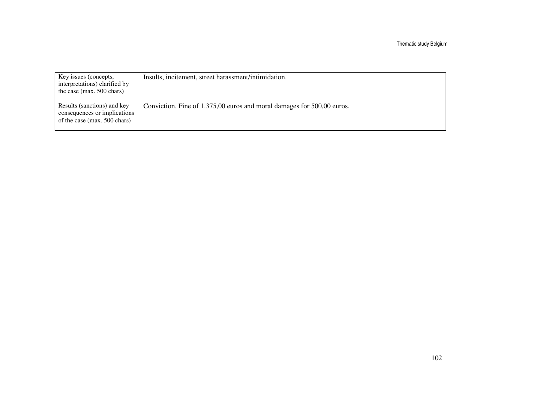| Key issues (concepts,<br>interpretations) clarified by<br>the case (max. 500 chars)         | Insults, incitement, street harassment/intimidation.                   |
|---------------------------------------------------------------------------------------------|------------------------------------------------------------------------|
| Results (sanctions) and key<br>consequences or implications<br>of the case (max. 500 chars) | Conviction. Fine of 1.375,00 euros and moral damages for 500,00 euros. |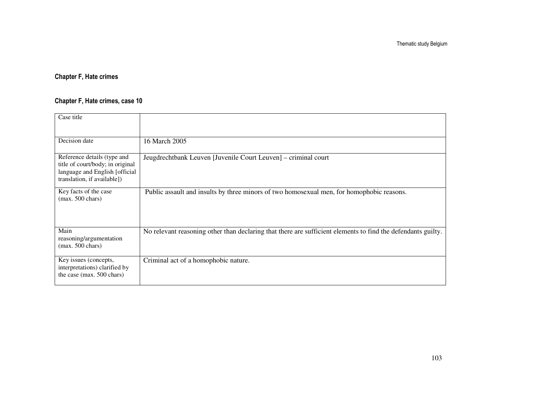### Chapter F, Hate crimes

### Chapter F, Hate crimes, case 10

| Case title                                                                                                                       |                                                                                                              |
|----------------------------------------------------------------------------------------------------------------------------------|--------------------------------------------------------------------------------------------------------------|
| Decision date                                                                                                                    | 16 March 2005                                                                                                |
| Reference details (type and<br>title of court/body; in original<br>language and English [official<br>translation, if available]) | Jeugdrechtbank Leuven [Juvenile Court Leuven] - criminal court                                               |
| Key facts of the case<br>$(max. 500 \text{ chars})$                                                                              | Public assault and insults by three minors of two homosexual men, for homophobic reasons.                    |
| Main<br>reasoning/argumentation<br>$(max. 500 \text{ chars})$                                                                    | No relevant reasoning other than declaring that there are sufficient elements to find the defendants guilty. |
| Key issues (concepts,<br>interpretations) clarified by<br>the case (max. 500 chars)                                              | Criminal act of a homophobic nature.                                                                         |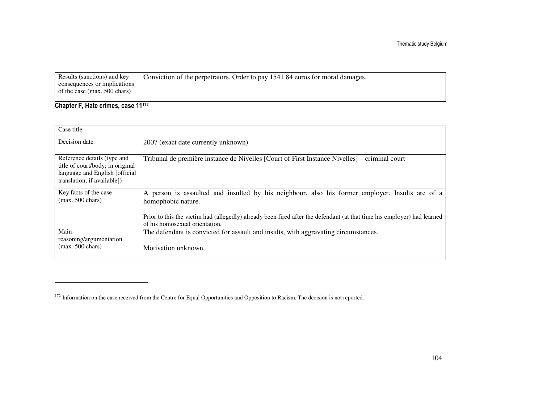| Results (sanctions) and key  | Conviction of the perpetrators. Order to pay 1541.84 euros for moral damages. |
|------------------------------|-------------------------------------------------------------------------------|
| consequences or implications |                                                                               |
| of the case (max. 500 chars) |                                                                               |
| ______________               | $\cdot$ $\cdot$ $\cdot$                                                       |

#### Chapter F, Hate crimes, case 11<sup>172</sup>

| Case title                                                                                                                       |                                                                                                                                                           |
|----------------------------------------------------------------------------------------------------------------------------------|-----------------------------------------------------------------------------------------------------------------------------------------------------------|
| Decision date                                                                                                                    | 2007 (exact date currently unknown)                                                                                                                       |
| Reference details (type and<br>title of court/body; in original<br>language and English [official<br>translation, if available]) | Tribunal de première instance de Nivelles [Court of First Instance Nivelles] – criminal court                                                             |
| Key facts of the case<br>$(max. 500 \text{ chars})$                                                                              | A person is assaulted and insulted by his neighbour, also his former employer. Insults are of a<br>homophobic nature.                                     |
|                                                                                                                                  | Prior to this the victim had (allegedly) already been fired after the defendant (at that time his employer) had learned<br>of his homosexual orientation. |
| Main<br>reasoning/argumentation                                                                                                  | The defendant is convicted for assault and insults, with aggravating circumstances.                                                                       |
| $(max. 500 \text{ chars})$                                                                                                       | Motivation unknown.                                                                                                                                       |

<sup>&</sup>lt;sup>172</sup> Information on the case received from the Centre for Equal Opportunities and Opposition to Racism. The decision is not reported.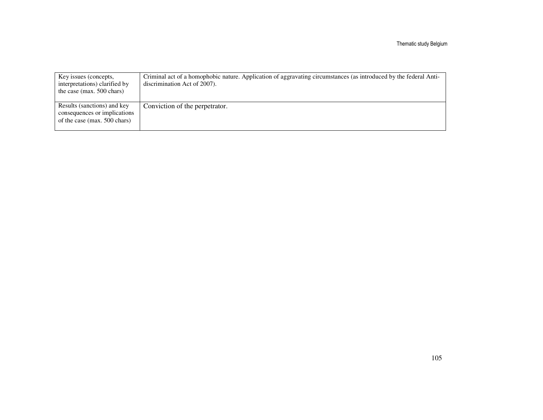| Key issues (concepts,<br>interpretations) clarified by<br>the case (max. $500$ chars)       | Criminal act of a homophobic nature. Application of aggravating circumstances (as introduced by the federal Anti-<br>discrimination Act of 2007). |
|---------------------------------------------------------------------------------------------|---------------------------------------------------------------------------------------------------------------------------------------------------|
| Results (sanctions) and key<br>consequences or implications<br>of the case (max. 500 chars) | Conviction of the perpetrator.                                                                                                                    |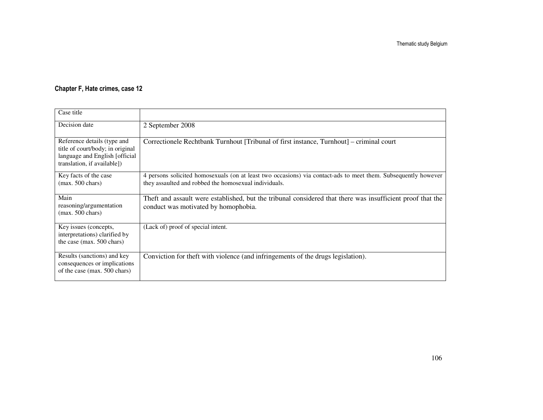#### Chapter F, Hate crimes, case 12

| Case title                                                                                                                       |                                                                                                                                                                         |
|----------------------------------------------------------------------------------------------------------------------------------|-------------------------------------------------------------------------------------------------------------------------------------------------------------------------|
| Decision date                                                                                                                    | 2 September 2008                                                                                                                                                        |
| Reference details (type and<br>title of court/body; in original<br>language and English [official<br>translation, if available]) | Correctionele Rechtbank Turnhout [Tribunal of first instance, Turnhout] – criminal court                                                                                |
| Key facts of the case<br>$(max. 500 \text{ chars})$                                                                              | 4 persons solicited homosexuals (on at least two occasions) via contact-ads to meet them. Subsequently however<br>they assaulted and robbed the homosexual individuals. |
| Main<br>reasoning/argumentation<br>$(max. 500 \text{ chars})$                                                                    | Theft and assault were established, but the tribunal considered that there was insufficient proof that the<br>conduct was motivated by homophobia.                      |
| Key issues (concepts,<br>interpretations) clarified by<br>the case (max. 500 chars)                                              | (Lack of) proof of special intent.                                                                                                                                      |
| Results (sanctions) and key<br>consequences or implications<br>of the case (max. 500 chars)                                      | Conviction for theft with violence (and infringements of the drugs legislation).                                                                                        |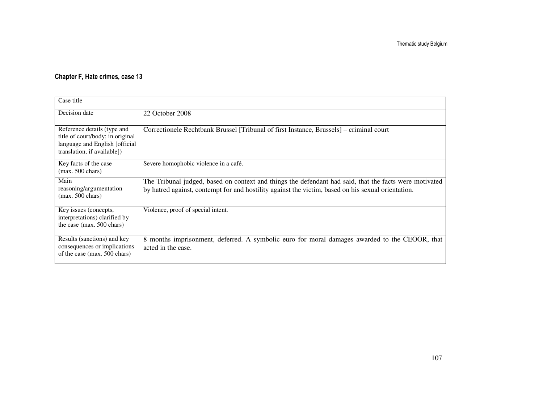### Chapter F, Hate crimes, case 13

| Case title                                                                                                                       |                                                                                                                                                                                                              |
|----------------------------------------------------------------------------------------------------------------------------------|--------------------------------------------------------------------------------------------------------------------------------------------------------------------------------------------------------------|
| Decision date                                                                                                                    | 22 October 2008                                                                                                                                                                                              |
| Reference details (type and<br>title of court/body; in original<br>language and English [official<br>translation, if available]) | Correctionele Rechtbank Brussel [Tribunal of first Instance, Brussels] – criminal court                                                                                                                      |
| Key facts of the case<br>$(max. 500 \text{ chars})$                                                                              | Severe homophobic violence in a café.                                                                                                                                                                        |
| Main<br>reasoning/argumentation<br>$(max. 500 \text{ chars})$                                                                    | The Tribunal judged, based on context and things the defendant had said, that the facts were motivated<br>by hatred against, contempt for and hostility against the victim, based on his sexual orientation. |
| Key issues (concepts,<br>interpretations) clarified by<br>the case (max. 500 chars)                                              | Violence, proof of special intent.                                                                                                                                                                           |
| Results (sanctions) and key<br>consequences or implications<br>of the case (max. 500 chars)                                      | 8 months imprisonment, deferred. A symbolic euro for moral damages awarded to the CEOOR, that<br>acted in the case.                                                                                          |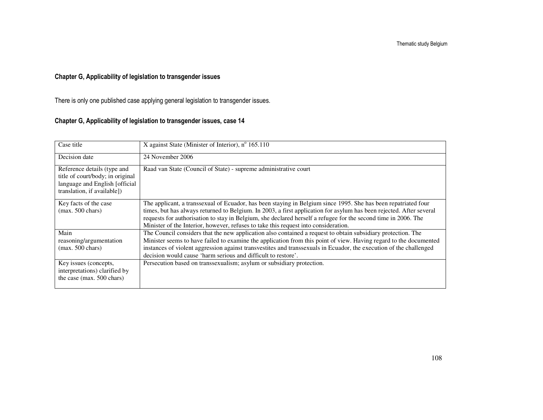# Chapter G, Applicability of legislation to transgender issues

There is only one published case applying general legislation to transgender issues.

## Chapter G, Applicability of legislation to transgender issues, case 14

| Case title                                                                                                                       | X against State (Minister of Interior), $n^{\circ}$ 165.110                                                                                                                                                                                                                                                                                                                                                                                    |
|----------------------------------------------------------------------------------------------------------------------------------|------------------------------------------------------------------------------------------------------------------------------------------------------------------------------------------------------------------------------------------------------------------------------------------------------------------------------------------------------------------------------------------------------------------------------------------------|
| Decision date                                                                                                                    | 24 November 2006                                                                                                                                                                                                                                                                                                                                                                                                                               |
| Reference details (type and<br>title of court/body; in original<br>language and English [official<br>translation, if available]) | Raad van State (Council of State) - supreme administrative court                                                                                                                                                                                                                                                                                                                                                                               |
| Key facts of the case<br>$(max. 500 \text{ chars})$                                                                              | The applicant, a transsexual of Ecuador, has been staying in Belgium since 1995. She has been repatriated four<br>times, but has always returned to Belgium. In 2003, a first application for asylum has been rejected. After several<br>requests for authorisation to stay in Belgium, she declared herself a refugee for the second time in 2006. The<br>Minister of the Interior, however, refuses to take this request into consideration. |
| Main<br>reasoning/argumentation<br>$(max. 500 \text{ chars})$                                                                    | The Council considers that the new application also contained a request to obtain subsidiary protection. The<br>Minister seems to have failed to examine the application from this point of view. Having regard to the documented<br>instances of violent aggression against transvestites and transsexuals in Ecuador, the execution of the challenged<br>decision would cause 'harm serious and difficult to restore'.                       |
| Key issues (concepts,<br>interpretations) clarified by<br>the case (max. 500 chars)                                              | Persecution based on transsexualism; asylum or subsidiary protection.                                                                                                                                                                                                                                                                                                                                                                          |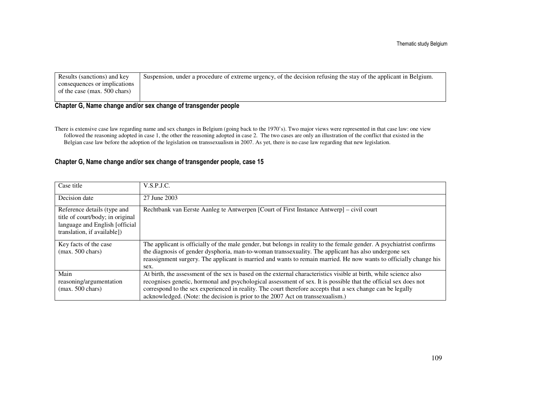| Results (sanctions) and key  | Suspension, under a procedure of extreme urgency, of the decision refusing the stay of the applicant in Belgium. |
|------------------------------|------------------------------------------------------------------------------------------------------------------|
| consequences or implications |                                                                                                                  |
| of the case (max. 500 chars) |                                                                                                                  |
|                              |                                                                                                                  |

## Chapter G, Name change and/or sex change of transgender people

There is extensive case law regarding name and sex changes in Belgium (going back to the 1970's). Two major views were represented in that case law: one view followed the reasoning adopted in case 1, the other the reasoning adopted in case 2. The two cases are only an illustration of the conflict that existed in the Belgian case law before the adoption of the legislation on transsexualism in 2007. As yet, there is no case law regarding that new legislation.

## Chapter G, Name change and/or sex change of transgender people, case 15

| Case title                                                                                                                        | V.S.P.J.C.                                                                                                                                                                                                                                                                                                                                                                                                                           |
|-----------------------------------------------------------------------------------------------------------------------------------|--------------------------------------------------------------------------------------------------------------------------------------------------------------------------------------------------------------------------------------------------------------------------------------------------------------------------------------------------------------------------------------------------------------------------------------|
| Decision date                                                                                                                     | 27 June 2003                                                                                                                                                                                                                                                                                                                                                                                                                         |
| Reference details (type and<br>title of court/body; in original<br>language and English [official]<br>translation, if available]) | Rechtbank van Eerste Aanleg te Antwerpen [Court of First Instance Antwerp] – civil court                                                                                                                                                                                                                                                                                                                                             |
| Key facts of the case<br>$(max. 500 \text{ chars})$                                                                               | The applicant is officially of the male gender, but belongs in reality to the female gender. A psychiatrist confirms<br>the diagnosis of gender dysphoria, man-to-woman transsexuality. The applicant has also undergone sex<br>reassignment surgery. The applicant is married and wants to remain married. He now wants to officially change his<br>sex.                                                                            |
| Main<br>reasoning/argumentation<br>$(max. 500 \text{ chars})$                                                                     | At birth, the assessment of the sex is based on the external characteristics visible at birth, while science also<br>recognises genetic, hormonal and psychological assessment of sex. It is possible that the official sex does not<br>correspond to the sex experienced in reality. The court therefore accepts that a sex change can be legally<br>acknowledged. (Note: the decision is prior to the 2007 Act on transsexualism.) |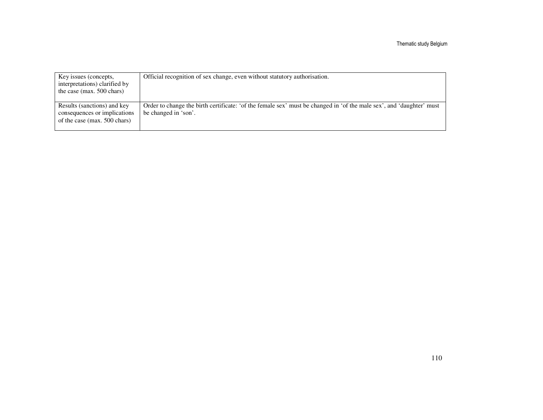| Key issues (concepts,<br>interpretations) clarified by<br>the case (max. $500$ chars)       | Official recognition of sex change, even without statutory authorisation.                                                                    |
|---------------------------------------------------------------------------------------------|----------------------------------------------------------------------------------------------------------------------------------------------|
| Results (sanctions) and key<br>consequences or implications<br>of the case (max. 500 chars) | Order to change the birth certificate: 'of the female sex' must be changed in 'of the male sex', and 'daughter' must<br>be changed in 'son'. |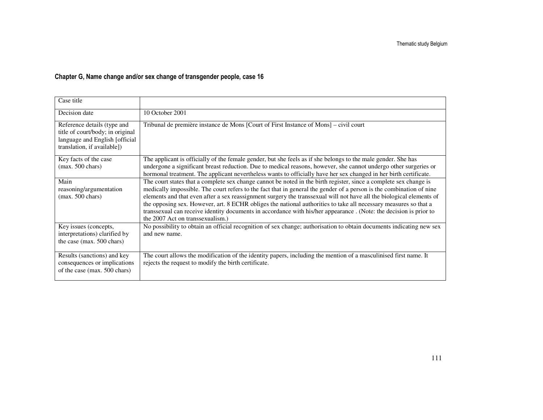# Chapter G, Name change and/or sex change of transgender people, case 16

| Case title                                                                                                                       |                                                                                                                                                                                                                                                                                                                                                                                                                                                                                                                                                                                                                                                 |
|----------------------------------------------------------------------------------------------------------------------------------|-------------------------------------------------------------------------------------------------------------------------------------------------------------------------------------------------------------------------------------------------------------------------------------------------------------------------------------------------------------------------------------------------------------------------------------------------------------------------------------------------------------------------------------------------------------------------------------------------------------------------------------------------|
| Decision date                                                                                                                    | 10 October 2001                                                                                                                                                                                                                                                                                                                                                                                                                                                                                                                                                                                                                                 |
| Reference details (type and<br>title of court/body; in original<br>language and English [official<br>translation, if available]) | Tribunal de première instance de Mons [Court of First Instance of Mons] – civil court                                                                                                                                                                                                                                                                                                                                                                                                                                                                                                                                                           |
| Key facts of the case<br>$(max. 500 \text{ chars})$                                                                              | The applicant is officially of the female gender, but she feels as if she belongs to the male gender. She has<br>undergone a significant breast reduction. Due to medical reasons, however, she cannot undergo other surgeries or<br>hormonal treatment. The applicant nevertheless wants to officially have her sex changed in her birth certificate.                                                                                                                                                                                                                                                                                          |
| Main<br>reasoning/argumentation<br>$(max. 500 \text{ chars})$                                                                    | The court states that a complete sex change cannot be noted in the birth register, since a complete sex change is<br>medically impossible. The court refers to the fact that in general the gender of a person is the combination of nine<br>elements and that even after a sex reassignment surgery the transsexual will not have all the biological elements of<br>the opposing sex. However, art. 8 ECHR obliges the national authorities to take all necessary measures so that a<br>transsexual can receive identity documents in accordance with his/her appearance . (Note: the decision is prior to<br>the 2007 Act on transsexualism.) |
| Key issues (concepts,<br>interpretations) clarified by<br>the case (max. 500 chars)                                              | No possibility to obtain an official recognition of sex change; authorisation to obtain documents indicating new sex<br>and new name.                                                                                                                                                                                                                                                                                                                                                                                                                                                                                                           |
| Results (sanctions) and key<br>consequences or implications<br>of the case (max. 500 chars)                                      | The court allows the modification of the identity papers, including the mention of a masculinised first name. It<br>rejects the request to modify the birth certificate.                                                                                                                                                                                                                                                                                                                                                                                                                                                                        |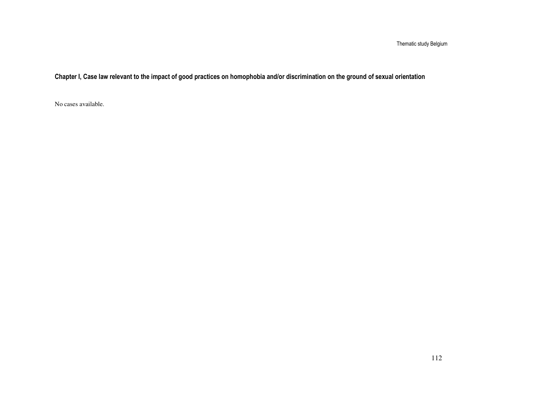Thematic study Belgium

Chapter I, Case law relevant to the impact of good practices on homophobia and/or discrimination on the ground of sexual orientation

No cases available.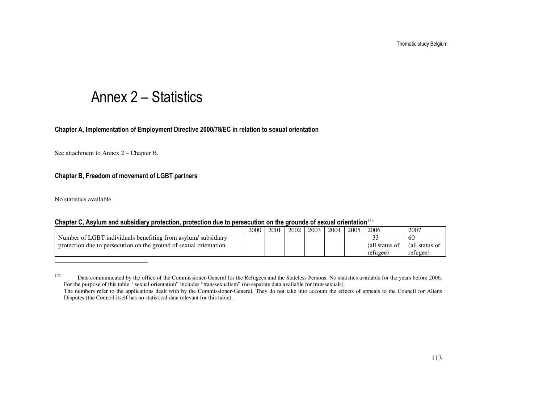# Annex 2 – Statistics

### Chapter A, Implementation of Employment Directive 2000/78/EC in relation to sexual orientation

See attachment to Annex 2 – Chapter B.

## Chapter B, Freedom of movement of LGBT partners

No statistics available.

#### Chapter C, Asylum and subsidiary protection, protection due to persecution on the grounds of sexual orientation<sup>173</sup>

|                                                                   | 2000 | 2001 | 2002 | 2003 | 2004 | 2005 | 2006           | 2007           |
|-------------------------------------------------------------------|------|------|------|------|------|------|----------------|----------------|
| Number of LGBT individuals benefiting from asylum/subsidiary      |      |      |      |      |      |      | ັ              | 60             |
| protection due to persecution on the ground of sexual orientation |      |      |      |      |      |      | (all status of | (all status of |
|                                                                   |      |      |      |      |      |      | refugee        | refugee,       |

<sup>&</sup>lt;sup>173</sup> Data communicated by the office of the Commissioner-General for the Refugees and the Stateless Persons. No statistics available for the years before 2006. For the purpose of this table, "sexual orientation" includes "transsexualism" (no separate data available for transsexuals).

 The numbers refer to the applications dealt with by the Commissioner-General. They do not take into account the effects of appeals to the Council for Aliens Disputes (the Council itself has no statistical data relevant for this table).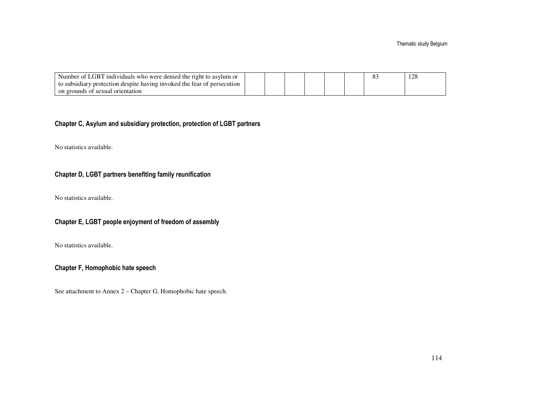| Number of LGBT individuals who were denied the right to asylum or       |  |  |  | 120 |
|-------------------------------------------------------------------------|--|--|--|-----|
| to subsidiary protection despite having invoked the fear of persecution |  |  |  |     |
| on grounds of sexual orientation                                        |  |  |  |     |

## Chapter C, Asylum and subsidiary protection, protection of LGBT partners

No statistics available.

## Chapter D, LGBT partners benefiting family reunification

No statistics available.

## Chapter E, LGBT people enjoyment of freedom of assembly

No statistics available.

## Chapter F, Homophobic hate speech

See attachment to Annex 2 – Chapter G, Homophobic hate speech.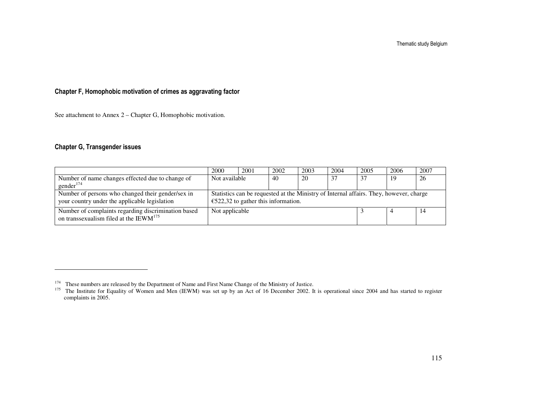Thematic study Belgium

## Chapter F, Homophobic motivation of crimes as aggravating factor

See attachment to Annex 2 – Chapter G, Homophobic motivation.

## Chapter G, Transgender issues

|                                                                                                     | 2000                                                                                                                          | 2001 | 2002 | 2003 | 2004 | 2005 | 2006 | 2007 |
|-----------------------------------------------------------------------------------------------------|-------------------------------------------------------------------------------------------------------------------------------|------|------|------|------|------|------|------|
| Number of name changes effected due to change of<br>gender <sup>174</sup>                           | Not available                                                                                                                 |      | 40   | 20   | 37   | 37   | -19  | 26   |
| Number of persons who changed their gender/sex in<br>your country under the applicable legislation  | Statistics can be requested at the Ministry of Internal affairs. They, however, charge<br>€522,32 to gather this information. |      |      |      |      |      |      |      |
| Number of complaints regarding discrimination based<br>on transsexualism filed at the IEW $M^{175}$ | Not applicable                                                                                                                |      |      |      |      |      |      | 14   |

<sup>&</sup>lt;sup>174</sup> These numbers are released by the Department of Name and First Name Change of the Ministry of Justice.<br><sup>175</sup> The Institute for Equality of Women and Men (IEWM) was set up by an Act of 16 December 2002. It is operatio complaints in 2005.